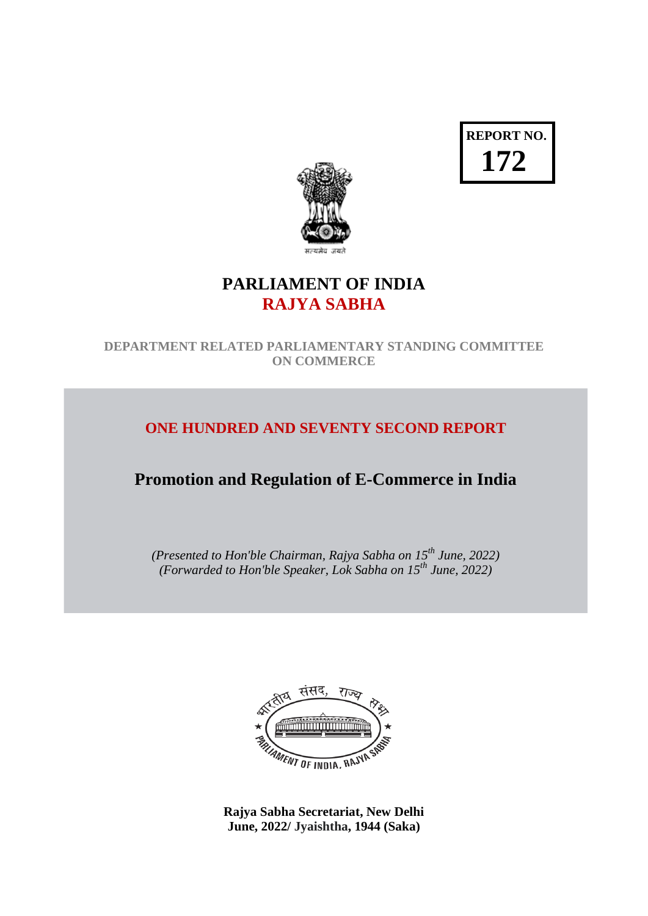**REPORT NO. 172**



# **PARLIAMENT OF INDIA RAJYA SABHA**

**DEPARTMENT RELATED PARLIAMENTARY STANDING COMMITTEE ON COMMERCE**

# **ONE HUNDRED AND SEVENTY SECOND REPORT**

# **Promotion and Regulation of E-Commerce in India**

*(Presented to Hon'ble Chairman, Rajya Sabha on 15th June, 2022) (Forwarded to Hon'ble Speaker, Lok Sabha on 15th June, 2022)*



**Rajya Sabha Secretariat, New Delhi June, 2022/ Jyaishtha, 1944 (Saka)**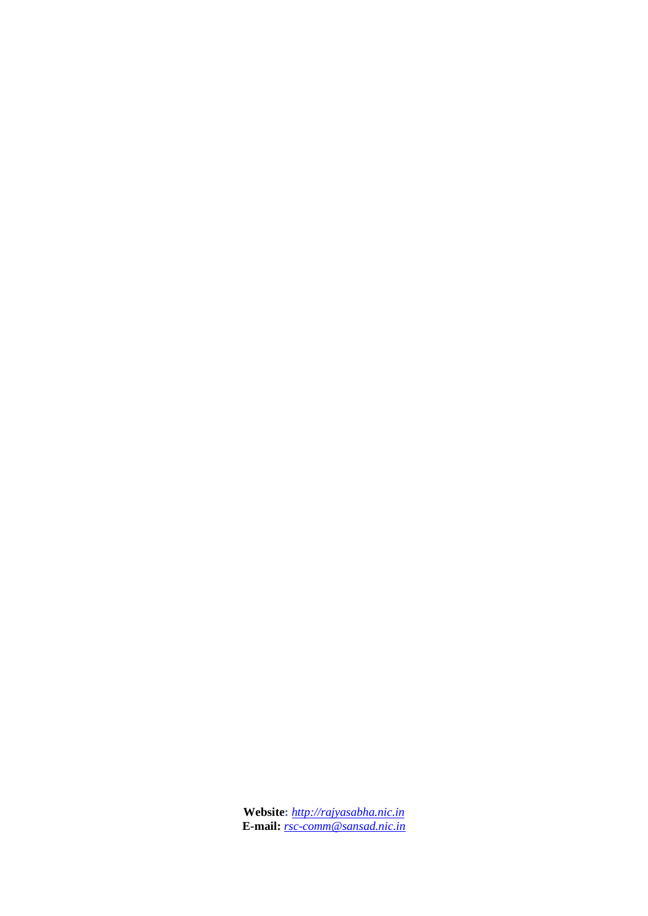**Website:** *[http://rajyasabha.nic.in](http://rajyasabha.nic.in/)* **E-mail:** *[rsc-comm@sansad.nic.in](mailto:rsc-comm@sansad.nic.in)*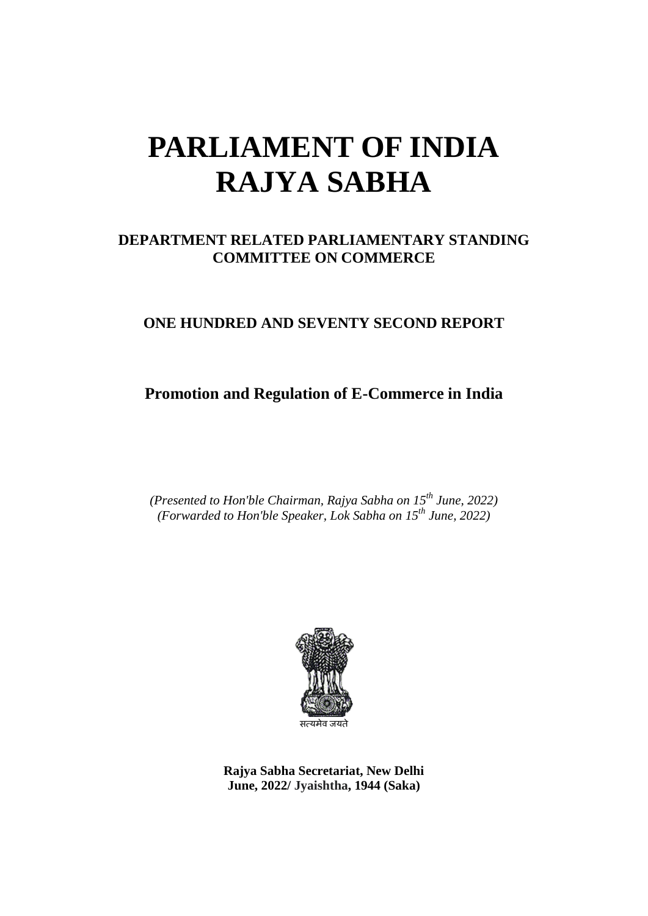# **PARLIAMENT OF INDIA RAJYA SABHA**

#### **DEPARTMENT RELATED PARLIAMENTARY STANDING COMMITTEE ON COMMERCE**

#### **ONE HUNDRED AND SEVENTY SECOND REPORT**

# **Promotion and Regulation of E-Commerce in India**

*(Presented to Hon'ble Chairman, Rajya Sabha on 15th June, 2022) (Forwarded to Hon'ble Speaker, Lok Sabha on 15th June, 2022)*



**Rajya Sabha Secretariat, New Delhi June, 2022/ Jyaishtha, 1944 (Saka)**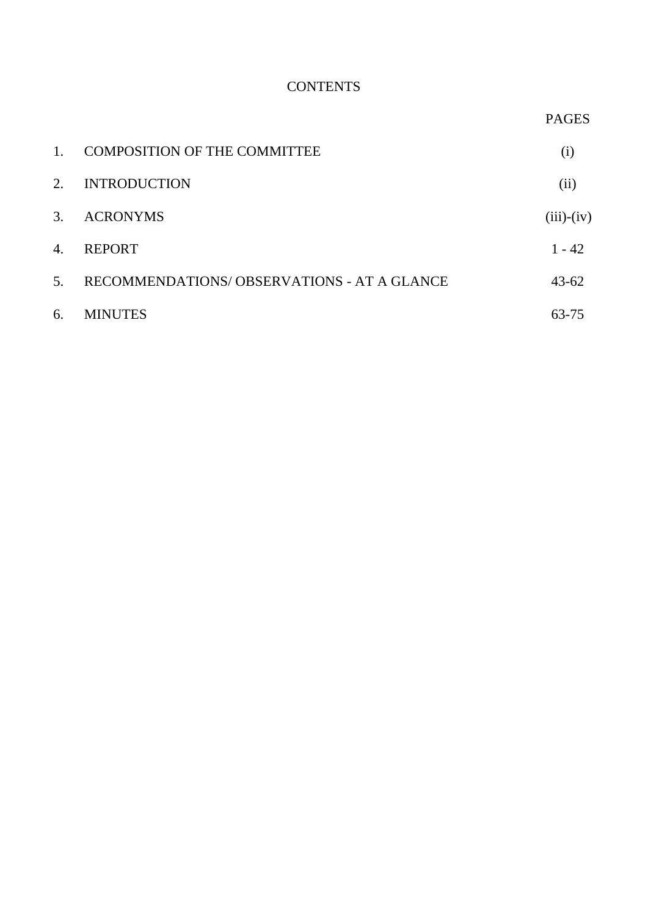#### **CONTENTS**

PAGES

| 1.               | <b>COMPOSITION OF THE COMMITTEE</b>        | (i)          |
|------------------|--------------------------------------------|--------------|
| 2.               | <b>INTRODUCTION</b>                        | (ii)         |
| $\mathfrak{Z}$ . | <b>ACRONYMS</b>                            | $(iii)-(iv)$ |
| 4.               | <b>REPORT</b>                              | $1 - 42$     |
| 5 <sub>1</sub>   | RECOMMENDATIONS/OBSERVATIONS - AT A GLANCE | $43 - 62$    |
| 6.               | <b>MINUTES</b>                             | 63-75        |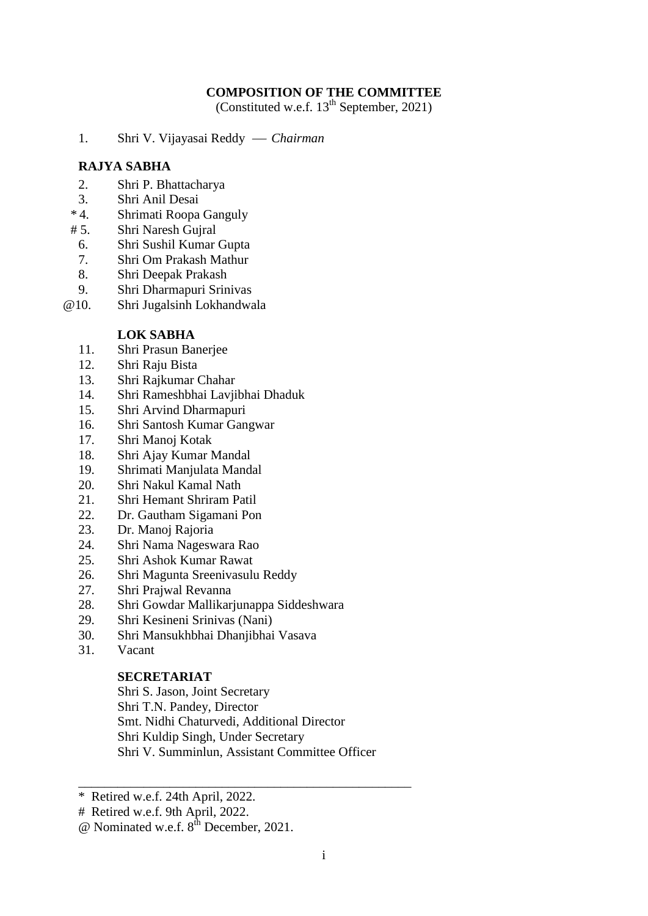#### **COMPOSITION OF THE COMMITTEE**

(Constituted w.e.f.  $13^{th}$  September, 2021)

1. Shri V. Vijayasai Reddy  *Chairman*

#### **RAJYA SABHA**

- 2. Shri P. Bhattacharya
- 3. Shri Anil Desai<br>\* 4. Shrimati Roopa
- Shrimati Roopa Ganguly
- # 5. Shri Naresh Gujral
- 6. Shri Sushil Kumar Gupta
- 7. Shri Om Prakash Mathur
- 8. Shri Deepak Prakash
- 9. Shri Dharmapuri Srinivas
- @10. Shri Jugalsinh Lokhandwala

#### **LOK SABHA**

- 11. Shri Prasun Banerjee
- 12. Shri Raju Bista
- 13. Shri Rajkumar Chahar
- 14. Shri Rameshbhai Lavjibhai Dhaduk
- 15. Shri Arvind Dharmapuri
- 16. Shri Santosh Kumar Gangwar
- 17. Shri Manoj Kotak
- 18. Shri Ajay Kumar Mandal
- 19. Shrimati Manjulata Mandal
- 20. Shri Nakul Kamal Nath
- 21. Shri Hemant Shriram Patil
- 22. Dr. Gautham Sigamani Pon
- 23. Dr. Manoj Rajoria
- 24. Shri Nama Nageswara Rao
- 25. Shri Ashok Kumar Rawat
- 26. Shri Magunta Sreenivasulu Reddy
- 27. Shri Prajwal Revanna
- 28. Shri Gowdar Mallikarjunappa Siddeshwara
- 29. Shri Kesineni Srinivas (Nani)
- 30. Shri Mansukhbhai Dhanjibhai Vasava
- 31. Vacant

#### **SECRETARIAT**

Shri S. Jason, Joint Secretary Shri T.N. Pandey, Director Smt. Nidhi Chaturvedi, Additional Director Shri Kuldip Singh, Under Secretary Shri V. Summinlun, Assistant Committee Officer

\_\_\_\_\_\_\_\_\_\_\_\_\_\_\_\_\_\_\_\_\_\_\_\_\_\_\_\_\_\_\_\_\_\_\_\_\_\_\_\_\_\_\_\_\_\_\_\_\_\_\_

\* Retired w.e.f. 24th April, 2022.

# Retired w.e.f. 9th April, 2022.

 $\omega$  Nominated w.e.f.  $8^{th}$  December, 2021.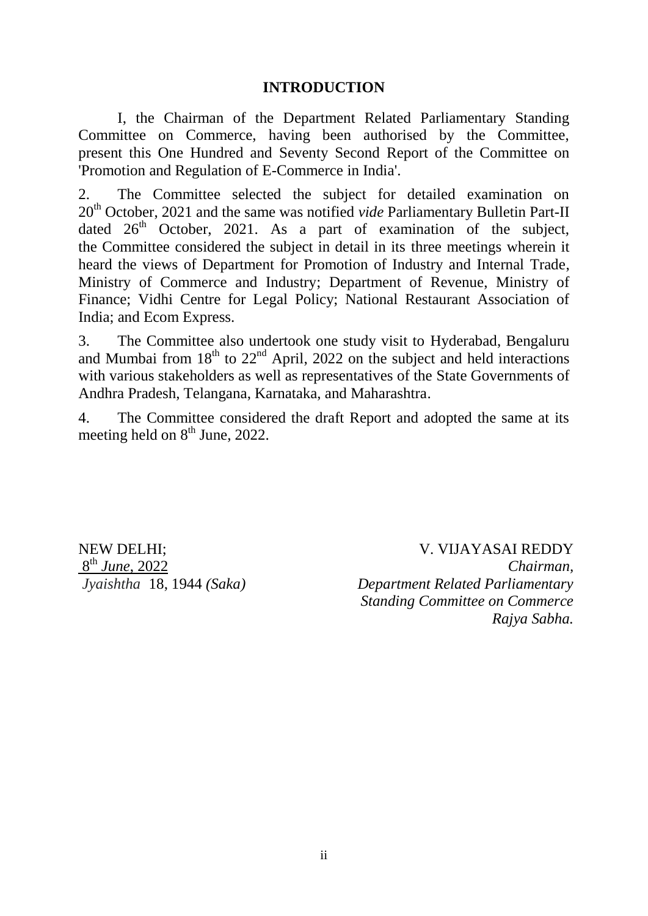#### **INTRODUCTION**

I, the Chairman of the Department Related Parliamentary Standing Committee on Commerce, having been authorised by the Committee, present this One Hundred and Seventy Second Report of the Committee on 'Promotion and Regulation of E-Commerce in India'.

2. The Committee selected the subject for detailed examination on 20<sup>th</sup> October, 2021 and the same was notified *vide* Parliamentary Bulletin Part-II dated  $26<sup>th</sup>$  October, 2021. As a part of examination of the subject, the Committee considered the subject in detail in its three meetings wherein it heard the views of Department for Promotion of Industry and Internal Trade, Ministry of Commerce and Industry; Department of Revenue, Ministry of Finance; Vidhi Centre for Legal Policy; National Restaurant Association of India; and Ecom Express.

3. The Committee also undertook one study visit to Hyderabad, Bengaluru and Mumbai from  $18<sup>th</sup>$  to  $22<sup>nd</sup>$  April, 2022 on the subject and held interactions with various stakeholders as well as representatives of the State Governments of Andhra Pradesh, Telangana, Karnataka, and Maharashtra.

4. The Committee considered the draft Report and adopted the same at its meeting held on  $8<sup>th</sup>$  June, 2022.

NEW DELHI; 8 th *June*, 2022 *Jyaishtha* 18, 1944 *(Saka)*

 V. VIJAYASAI REDDY *Chairman, Department Related Parliamentary Standing Committee on Commerce Rajya Sabha.*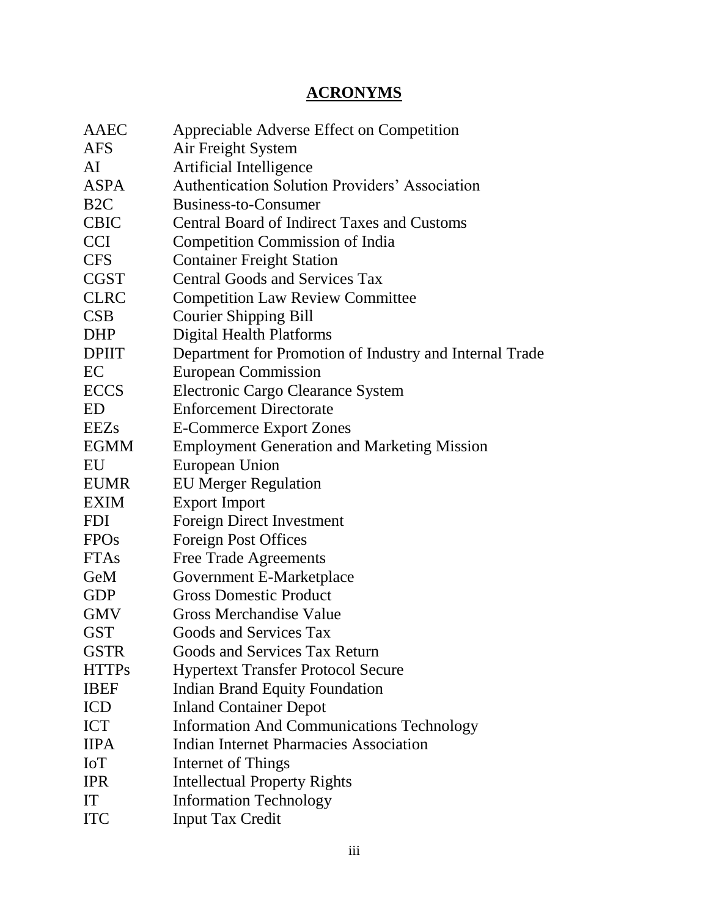# **ACRONYMS**

| AAEC             | Appreciable Adverse Effect on Competition               |
|------------------|---------------------------------------------------------|
| <b>AFS</b>       | Air Freight System                                      |
| AI               | Artificial Intelligence                                 |
| <b>ASPA</b>      | <b>Authentication Solution Providers' Association</b>   |
| B <sub>2</sub> C | Business-to-Consumer                                    |
| <b>CBIC</b>      | <b>Central Board of Indirect Taxes and Customs</b>      |
| <b>CCI</b>       | <b>Competition Commission of India</b>                  |
| <b>CFS</b>       | <b>Container Freight Station</b>                        |
| <b>CGST</b>      | <b>Central Goods and Services Tax</b>                   |
| <b>CLRC</b>      | <b>Competition Law Review Committee</b>                 |
| <b>CSB</b>       | <b>Courier Shipping Bill</b>                            |
| <b>DHP</b>       | <b>Digital Health Platforms</b>                         |
| <b>DPIIT</b>     | Department for Promotion of Industry and Internal Trade |
| EC               | <b>European Commission</b>                              |
| <b>ECCS</b>      | Electronic Cargo Clearance System                       |
| ED               | <b>Enforcement Directorate</b>                          |
| <b>EEZs</b>      | <b>E-Commerce Export Zones</b>                          |
| <b>EGMM</b>      | <b>Employment Generation and Marketing Mission</b>      |
| EU               | European Union                                          |
| <b>EUMR</b>      | <b>EU Merger Regulation</b>                             |
| <b>EXIM</b>      | <b>Export Import</b>                                    |
| <b>FDI</b>       | <b>Foreign Direct Investment</b>                        |
| <b>FPOs</b>      | <b>Foreign Post Offices</b>                             |
| <b>FTAs</b>      | <b>Free Trade Agreements</b>                            |
| GeM              | Government E-Marketplace                                |
| <b>GDP</b>       | <b>Gross Domestic Product</b>                           |
| <b>GMV</b>       | <b>Gross Merchandise Value</b>                          |
| <b>GST</b>       | Goods and Services Tax                                  |
| <b>GSTR</b>      | Goods and Services Tax Return                           |
| <b>HTTPs</b>     | <b>Hypertext Transfer Protocol Secure</b>               |
| <b>IBEF</b>      | <b>Indian Brand Equity Foundation</b>                   |
| <b>ICD</b>       | <b>Inland Container Depot</b>                           |
| <b>ICT</b>       | <b>Information And Communications Technology</b>        |
| <b>IIPA</b>      | <b>Indian Internet Pharmacies Association</b>           |
| <b>IoT</b>       | Internet of Things                                      |
| <b>IPR</b>       | <b>Intellectual Property Rights</b>                     |
| <b>IT</b>        | <b>Information Technology</b>                           |
| <b>ITC</b>       | <b>Input Tax Credit</b>                                 |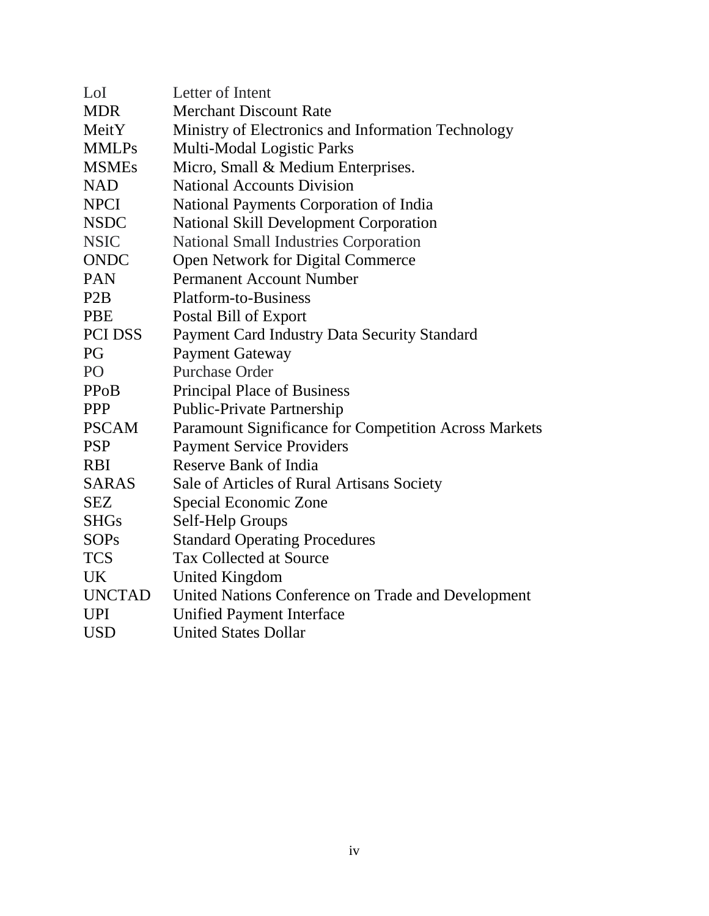| LoI               | Letter of Intent                                             |
|-------------------|--------------------------------------------------------------|
| <b>MDR</b>        | <b>Merchant Discount Rate</b>                                |
| MeitY             | Ministry of Electronics and Information Technology           |
| <b>MMLPs</b>      | Multi-Modal Logistic Parks                                   |
| <b>MSMEs</b>      | Micro, Small & Medium Enterprises.                           |
| <b>NAD</b>        | <b>National Accounts Division</b>                            |
| <b>NPCI</b>       | National Payments Corporation of India                       |
| <b>NSDC</b>       | <b>National Skill Development Corporation</b>                |
| <b>NSIC</b>       | <b>National Small Industries Corporation</b>                 |
| <b>ONDC</b>       | Open Network for Digital Commerce                            |
| <b>PAN</b>        | <b>Permanent Account Number</b>                              |
| P <sub>2</sub> B  | <b>Platform-to-Business</b>                                  |
| <b>PBE</b>        | Postal Bill of Export                                        |
| <b>PCI DSS</b>    | Payment Card Industry Data Security Standard                 |
| PG                | <b>Payment Gateway</b>                                       |
| PO                | <b>Purchase Order</b>                                        |
| PP <sub>o</sub> B | <b>Principal Place of Business</b>                           |
| <b>PPP</b>        | <b>Public-Private Partnership</b>                            |
| <b>PSCAM</b>      | <b>Paramount Significance for Competition Across Markets</b> |
| <b>PSP</b>        | <b>Payment Service Providers</b>                             |
| <b>RBI</b>        | Reserve Bank of India                                        |
| <b>SARAS</b>      | Sale of Articles of Rural Artisans Society                   |
| <b>SEZ</b>        | Special Economic Zone                                        |
| <b>SHGs</b>       | Self-Help Groups                                             |
| <b>SOPs</b>       | <b>Standard Operating Procedures</b>                         |
| <b>TCS</b>        | <b>Tax Collected at Source</b>                               |
| UK.               | <b>United Kingdom</b>                                        |
| <b>UNCTAD</b>     | United Nations Conference on Trade and Development           |
| <b>UPI</b>        | <b>Unified Payment Interface</b>                             |
| <b>USD</b>        | <b>United States Dollar</b>                                  |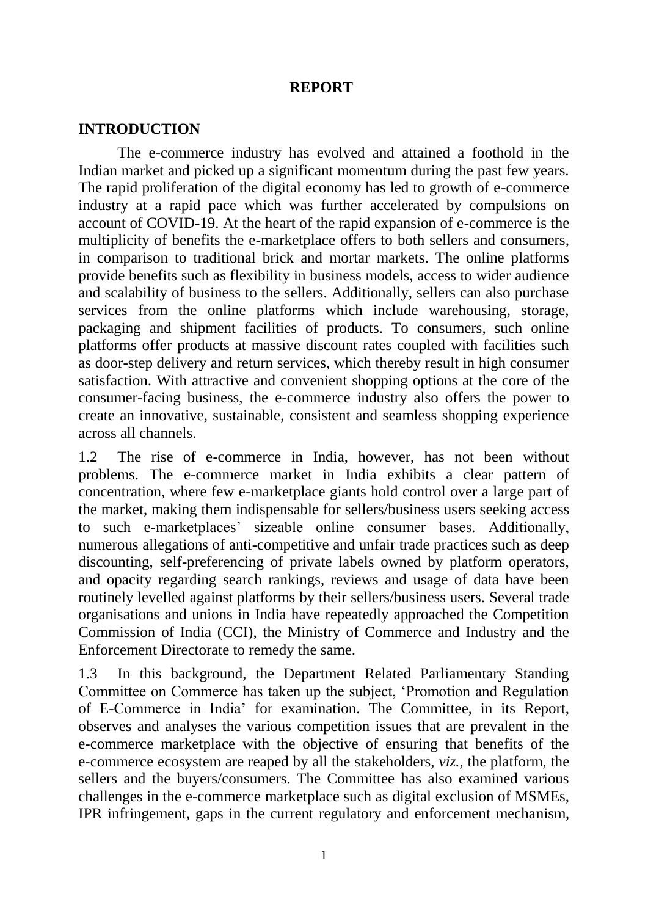#### **REPORT**

#### **INTRODUCTION**

The e-commerce industry has evolved and attained a foothold in the Indian market and picked up a significant momentum during the past few years. The rapid proliferation of the digital economy has led to growth of e-commerce industry at a rapid pace which was further accelerated by compulsions on account of COVID-19. At the heart of the rapid expansion of e-commerce is the multiplicity of benefits the e-marketplace offers to both sellers and consumers, in comparison to traditional brick and mortar markets. The online platforms provide benefits such as flexibility in business models, access to wider audience and scalability of business to the sellers. Additionally, sellers can also purchase services from the online platforms which include warehousing, storage, packaging and shipment facilities of products. To consumers, such online platforms offer products at massive discount rates coupled with facilities such as door-step delivery and return services, which thereby result in high consumer satisfaction. With attractive and convenient shopping options at the core of the consumer-facing business, the e-commerce industry also offers the power to create an innovative, sustainable, consistent and seamless shopping experience across all channels.

1.2 The rise of e-commerce in India, however, has not been without problems. The e-commerce market in India exhibits a clear pattern of concentration, where few e-marketplace giants hold control over a large part of the market, making them indispensable for sellers/business users seeking access to such e-marketplaces' sizeable online consumer bases. Additionally, numerous allegations of anti-competitive and unfair trade practices such as deep discounting, self-preferencing of private labels owned by platform operators, and opacity regarding search rankings, reviews and usage of data have been routinely levelled against platforms by their sellers/business users. Several trade organisations and unions in India have repeatedly approached the Competition Commission of India (CCI), the Ministry of Commerce and Industry and the Enforcement Directorate to remedy the same.

1.3 In this background, the Department Related Parliamentary Standing Committee on Commerce has taken up the subject, 'Promotion and Regulation of E-Commerce in India' for examination. The Committee, in its Report, observes and analyses the various competition issues that are prevalent in the e-commerce marketplace with the objective of ensuring that benefits of the e-commerce ecosystem are reaped by all the stakeholders, *viz.,* the platform, the sellers and the buyers/consumers. The Committee has also examined various challenges in the e-commerce marketplace such as digital exclusion of MSMEs, IPR infringement, gaps in the current regulatory and enforcement mechanism,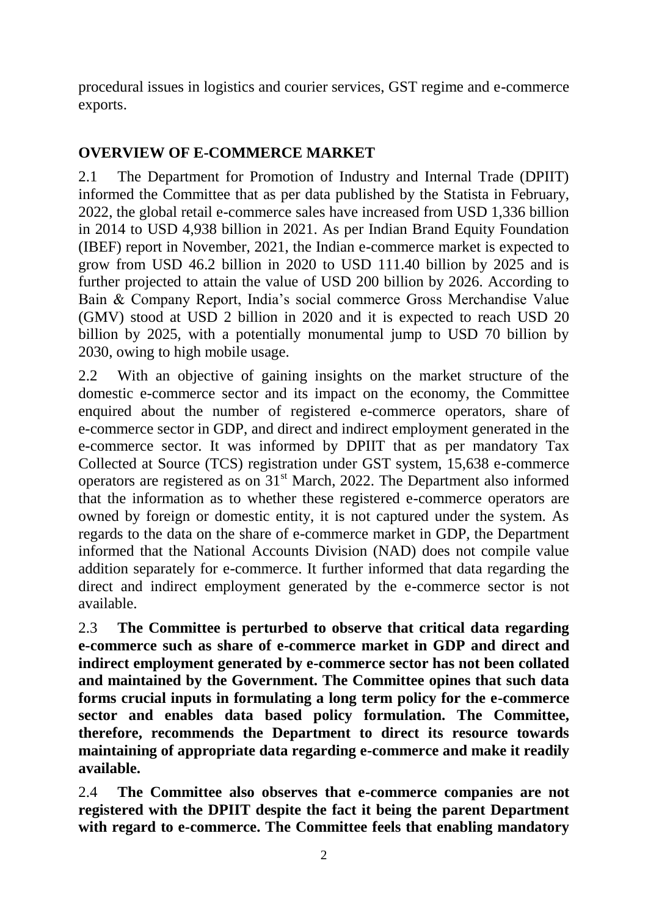procedural issues in logistics and courier services, GST regime and e-commerce exports.

# **OVERVIEW OF E-COMMERCE MARKET**

2.1 The Department for Promotion of Industry and Internal Trade (DPIIT) informed the Committee that as per data published by the Statista in February, 2022, the global retail e-commerce sales have increased from USD 1,336 billion in 2014 to USD 4,938 billion in 2021. As per Indian Brand Equity Foundation (IBEF) report in November, 2021, the Indian e-commerce market is expected to grow from USD 46.2 billion in 2020 to USD 111.40 billion by 2025 and is further projected to attain the value of USD 200 billion by 2026. According to Bain & Company Report, India's social commerce Gross Merchandise Value (GMV) stood at USD 2 billion in 2020 and it is expected to reach USD 20 billion by 2025, with a potentially monumental jump to USD 70 billion by 2030, owing to high mobile usage.

2.2 With an objective of gaining insights on the market structure of the domestic e-commerce sector and its impact on the economy, the Committee enquired about the number of registered e-commerce operators, share of e-commerce sector in GDP, and direct and indirect employment generated in the e-commerce sector. It was informed by DPIIT that as per mandatory Tax Collected at Source (TCS) registration under GST system, 15,638 e-commerce operators are registered as on  $31<sup>st</sup>$  March, 2022. The Department also informed that the information as to whether these registered e-commerce operators are owned by foreign or domestic entity, it is not captured under the system. As regards to the data on the share of e-commerce market in GDP, the Department informed that the National Accounts Division (NAD) does not compile value addition separately for e-commerce. It further informed that data regarding the direct and indirect employment generated by the e-commerce sector is not available.

2.3 **The Committee is perturbed to observe that critical data regarding e-commerce such as share of e-commerce market in GDP and direct and indirect employment generated by e-commerce sector has not been collated and maintained by the Government. The Committee opines that such data forms crucial inputs in formulating a long term policy for the e-commerce sector and enables data based policy formulation. The Committee, therefore, recommends the Department to direct its resource towards maintaining of appropriate data regarding e-commerce and make it readily available.** 

2.4 **The Committee also observes that e-commerce companies are not registered with the DPIIT despite the fact it being the parent Department with regard to e-commerce. The Committee feels that enabling mandatory**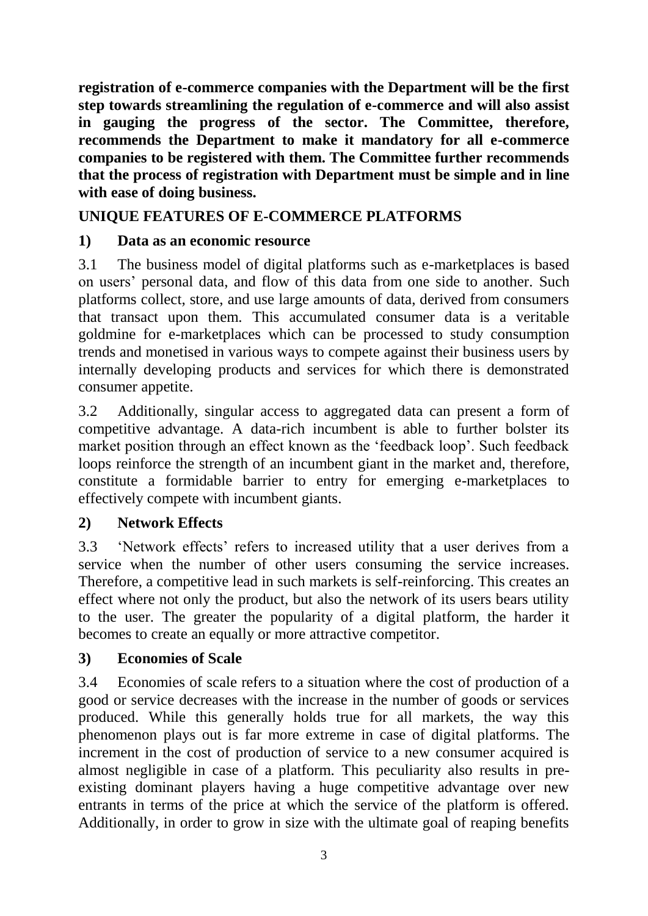**registration of e-commerce companies with the Department will be the first step towards streamlining the regulation of e-commerce and will also assist in gauging the progress of the sector. The Committee, therefore, recommends the Department to make it mandatory for all e-commerce companies to be registered with them. The Committee further recommends that the process of registration with Department must be simple and in line with ease of doing business.**

# **UNIQUE FEATURES OF E-COMMERCE PLATFORMS**

# **1) Data as an economic resource**

3.1 The business model of digital platforms such as e-marketplaces is based on users' personal data, and flow of this data from one side to another. Such platforms collect, store, and use large amounts of data, derived from consumers that transact upon them. This accumulated consumer data is a veritable goldmine for e-marketplaces which can be processed to study consumption trends and monetised in various ways to compete against their business users by internally developing products and services for which there is demonstrated consumer appetite.

3.2 Additionally, singular access to aggregated data can present a form of competitive advantage. A data-rich incumbent is able to further bolster its market position through an effect known as the 'feedback loop'. Such feedback loops reinforce the strength of an incumbent giant in the market and, therefore, constitute a formidable barrier to entry for emerging e-marketplaces to effectively compete with incumbent giants.

# **2) Network Effects**

3.3 'Network effects' refers to increased utility that a user derives from a service when the number of other users consuming the service increases. Therefore, a competitive lead in such markets is self-reinforcing. This creates an effect where not only the product, but also the network of its users bears utility to the user. The greater the popularity of a digital platform, the harder it becomes to create an equally or more attractive competitor.

#### **3) Economies of Scale**

3.4 Economies of scale refers to a situation where the cost of production of a good or service decreases with the increase in the number of goods or services produced. While this generally holds true for all markets, the way this phenomenon plays out is far more extreme in case of digital platforms. The increment in the cost of production of service to a new consumer acquired is almost negligible in case of a platform. This peculiarity also results in preexisting dominant players having a huge competitive advantage over new entrants in terms of the price at which the service of the platform is offered. Additionally, in order to grow in size with the ultimate goal of reaping benefits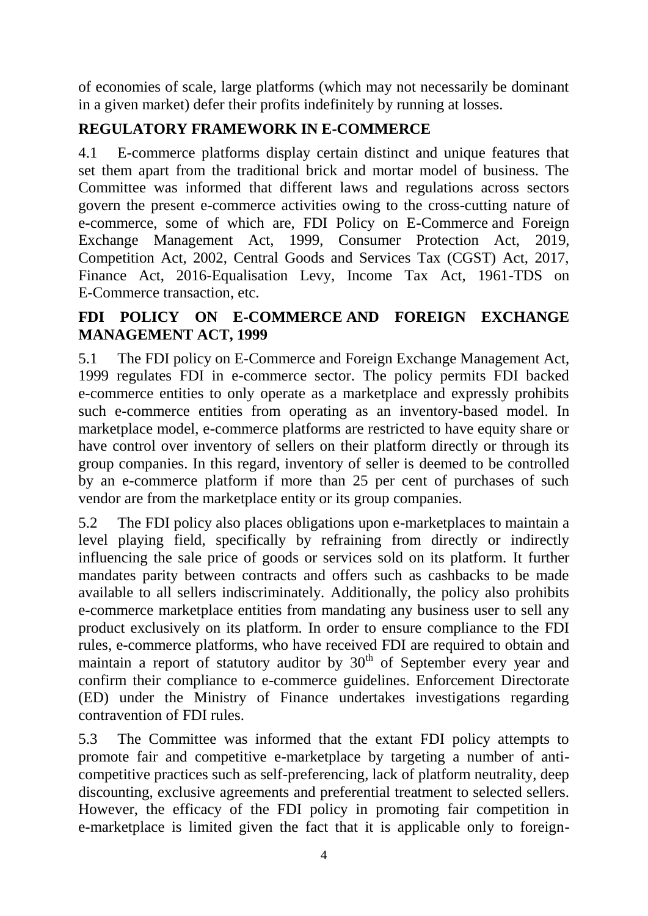of economies of scale, large platforms (which may not necessarily be dominant in a given market) defer their profits indefinitely by running at losses.

# **REGULATORY FRAMEWORK IN E-COMMERCE**

4.1 E-commerce platforms display certain distinct and unique features that set them apart from the traditional brick and mortar model of business. The Committee was informed that different laws and regulations across sectors govern the present e-commerce activities owing to the cross-cutting nature of e-commerce, some of which are, FDI Policy on E-Commerce and Foreign Exchange Management Act, 1999, Consumer Protection Act, 2019, Competition Act, 2002, Central Goods and Services Tax (CGST) Act, 2017, Finance Act, 2016-Equalisation Levy, Income Tax Act, 1961-TDS on E-Commerce transaction, etc.

# **FDI POLICY ON E-COMMERCE AND FOREIGN EXCHANGE MANAGEMENT ACT, 1999**

5.1 The FDI policy on E-Commerce and Foreign Exchange Management Act, 1999 regulates FDI in e-commerce sector. The policy permits FDI backed e-commerce entities to only operate as a marketplace and expressly prohibits such e-commerce entities from operating as an inventory-based model. In marketplace model, e-commerce platforms are restricted to have equity share or have control over inventory of sellers on their platform directly or through its group companies. In this regard, inventory of seller is deemed to be controlled by an e-commerce platform if more than 25 per cent of purchases of such vendor are from the marketplace entity or its group companies.

5.2 The FDI policy also places obligations upon e-marketplaces to maintain a level playing field, specifically by refraining from directly or indirectly influencing the sale price of goods or services sold on its platform. It further mandates parity between contracts and offers such as cashbacks to be made available to all sellers indiscriminately. Additionally, the policy also prohibits e-commerce marketplace entities from mandating any business user to sell any product exclusively on its platform. In order to ensure compliance to the FDI rules, e-commerce platforms, who have received FDI are required to obtain and maintain a report of statutory auditor by 30<sup>th</sup> of September every year and confirm their compliance to e-commerce guidelines. Enforcement Directorate (ED) under the Ministry of Finance undertakes investigations regarding contravention of FDI rules.

5.3 The Committee was informed that the extant FDI policy attempts to promote fair and competitive e-marketplace by targeting a number of anticompetitive practices such as self-preferencing, lack of platform neutrality, deep discounting, exclusive agreements and preferential treatment to selected sellers. However, the efficacy of the FDI policy in promoting fair competition in e-marketplace is limited given the fact that it is applicable only to foreign-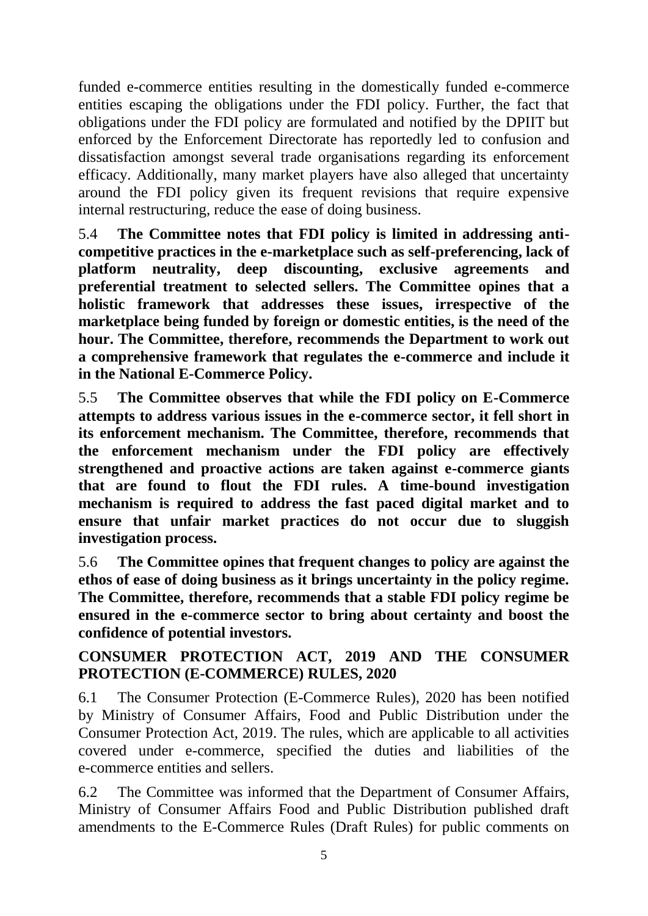funded e-commerce entities resulting in the domestically funded e-commerce entities escaping the obligations under the FDI policy. Further, the fact that obligations under the FDI policy are formulated and notified by the DPIIT but enforced by the Enforcement Directorate has reportedly led to confusion and dissatisfaction amongst several trade organisations regarding its enforcement efficacy. Additionally, many market players have also alleged that uncertainty around the FDI policy given its frequent revisions that require expensive internal restructuring, reduce the ease of doing business.

5.4 **The Committee notes that FDI policy is limited in addressing anticompetitive practices in the e-marketplace such as self-preferencing, lack of platform neutrality, deep discounting, exclusive agreements and preferential treatment to selected sellers. The Committee opines that a holistic framework that addresses these issues, irrespective of the marketplace being funded by foreign or domestic entities, is the need of the hour. The Committee, therefore, recommends the Department to work out a comprehensive framework that regulates the e-commerce and include it in the National E-Commerce Policy.**

5.5 **The Committee observes that while the FDI policy on E-Commerce attempts to address various issues in the e-commerce sector, it fell short in its enforcement mechanism. The Committee, therefore, recommends that the enforcement mechanism under the FDI policy are effectively strengthened and proactive actions are taken against e-commerce giants that are found to flout the FDI rules. A time-bound investigation mechanism is required to address the fast paced digital market and to ensure that unfair market practices do not occur due to sluggish investigation process.** 

5.6 **The Committee opines that frequent changes to policy are against the ethos of ease of doing business as it brings uncertainty in the policy regime. The Committee, therefore, recommends that a stable FDI policy regime be ensured in the e-commerce sector to bring about certainty and boost the confidence of potential investors.** 

# **CONSUMER PROTECTION ACT, 2019 AND THE CONSUMER PROTECTION (E-COMMERCE) RULES, 2020**

6.1 The Consumer Protection (E-Commerce Rules), 2020 has been notified by Ministry of Consumer Affairs, Food and Public Distribution under the Consumer Protection Act, 2019. The rules, which are applicable to all activities covered under e-commerce, specified the duties and liabilities of the e-commerce entities and sellers.

6.2 The Committee was informed that the Department of Consumer Affairs, Ministry of Consumer Affairs Food and Public Distribution published draft amendments to the E-Commerce Rules (Draft Rules) for public comments on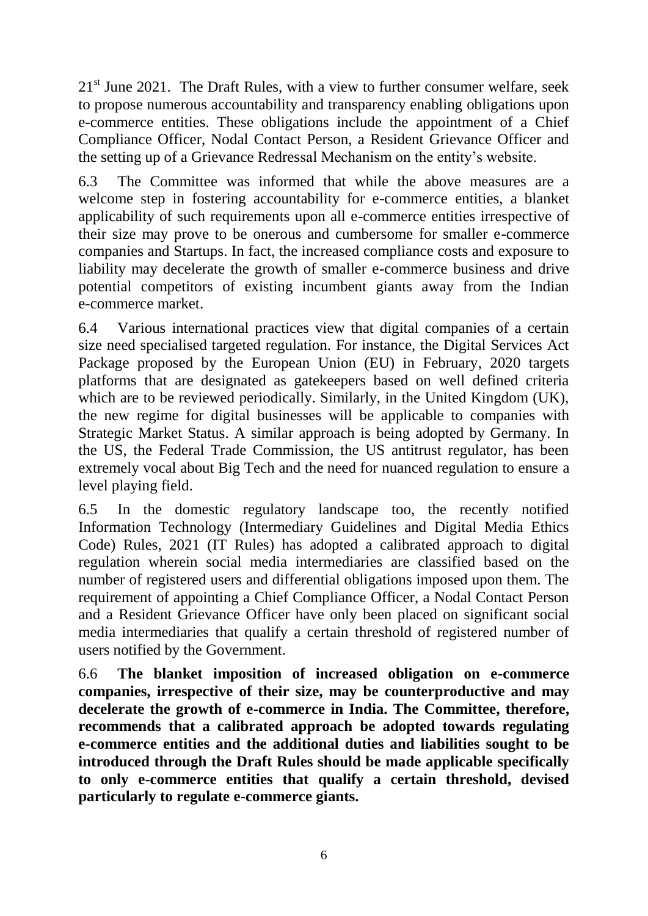$21<sup>st</sup>$  June 2021. The Draft Rules, with a view to further consumer welfare, seek to propose numerous accountability and transparency enabling obligations upon e-commerce entities. These obligations include the appointment of a Chief Compliance Officer, Nodal Contact Person, a Resident Grievance Officer and the setting up of a Grievance Redressal Mechanism on the entity's website.

6.3 The Committee was informed that while the above measures are a welcome step in fostering accountability for e-commerce entities, a blanket applicability of such requirements upon all e-commerce entities irrespective of their size may prove to be onerous and cumbersome for smaller e-commerce companies and Startups. In fact, the increased compliance costs and exposure to liability may decelerate the growth of smaller e-commerce business and drive potential competitors of existing incumbent giants away from the Indian e-commerce market.

6.4 Various international practices view that digital companies of a certain size need specialised targeted regulation. For instance, the Digital Services Act Package proposed by the European Union (EU) in February, 2020 targets platforms that are designated as gatekeepers based on well defined criteria which are to be reviewed periodically. Similarly, in the United Kingdom (UK), the new regime for digital businesses will be applicable to companies with Strategic Market Status. A similar approach is being adopted by Germany. In the US, the Federal Trade Commission, the US antitrust regulator, has been extremely vocal about Big Tech and the need for nuanced regulation to ensure a level playing field.

6.5 In the domestic regulatory landscape too, the recently notified Information Technology (Intermediary Guidelines and Digital Media Ethics Code) Rules, 2021 (IT Rules) has adopted a calibrated approach to digital regulation wherein social media intermediaries are classified based on the number of registered users and differential obligations imposed upon them. The requirement of appointing a Chief Compliance Officer, a Nodal Contact Person and a Resident Grievance Officer have only been placed on significant social media intermediaries that qualify a certain threshold of registered number of users notified by the Government.

6.6 **The blanket imposition of increased obligation on e-commerce companies, irrespective of their size, may be counterproductive and may decelerate the growth of e-commerce in India. The Committee, therefore, recommends that a calibrated approach be adopted towards regulating e-commerce entities and the additional duties and liabilities sought to be introduced through the Draft Rules should be made applicable specifically to only e-commerce entities that qualify a certain threshold, devised particularly to regulate e-commerce giants.**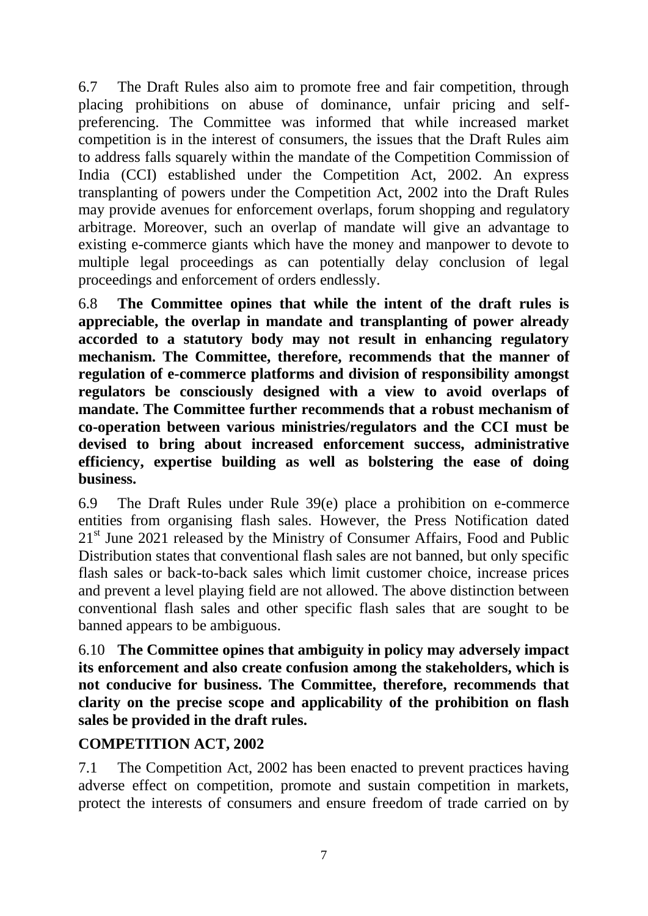6.7 The Draft Rules also aim to promote free and fair competition, through placing prohibitions on abuse of dominance, unfair pricing and selfpreferencing. The Committee was informed that while increased market competition is in the interest of consumers, the issues that the Draft Rules aim to address falls squarely within the mandate of the Competition Commission of India (CCI) established under the Competition Act, 2002. An express transplanting of powers under the Competition Act, 2002 into the Draft Rules may provide avenues for enforcement overlaps, forum shopping and regulatory arbitrage. Moreover, such an overlap of mandate will give an advantage to existing e-commerce giants which have the money and manpower to devote to multiple legal proceedings as can potentially delay conclusion of legal proceedings and enforcement of orders endlessly.

6.8 **The Committee opines that while the intent of the draft rules is appreciable, the overlap in mandate and transplanting of power already accorded to a statutory body may not result in enhancing regulatory mechanism. The Committee, therefore, recommends that the manner of regulation of e-commerce platforms and division of responsibility amongst regulators be consciously designed with a view to avoid overlaps of mandate. The Committee further recommends that a robust mechanism of co-operation between various ministries/regulators and the CCI must be devised to bring about increased enforcement success, administrative efficiency, expertise building as well as bolstering the ease of doing business.**

6.9 The Draft Rules under Rule 39(e) place a prohibition on e-commerce entities from organising flash sales. However, the Press Notification dated 21<sup>st</sup> June 2021 released by the Ministry of Consumer Affairs, Food and Public Distribution states that conventional flash sales are not banned, but only specific flash sales or back-to-back sales which limit customer choice, increase prices and prevent a level playing field are not allowed. The above distinction between conventional flash sales and other specific flash sales that are sought to be banned appears to be ambiguous.

6.10 **The Committee opines that ambiguity in policy may adversely impact its enforcement and also create confusion among the stakeholders, which is not conducive for business. The Committee, therefore, recommends that clarity on the precise scope and applicability of the prohibition on flash sales be provided in the draft rules.** 

# **COMPETITION ACT, 2002**

7.1 The Competition Act, 2002 has been enacted to prevent practices having adverse effect on competition, promote and sustain competition in markets, protect the interests of consumers and ensure freedom of trade carried on by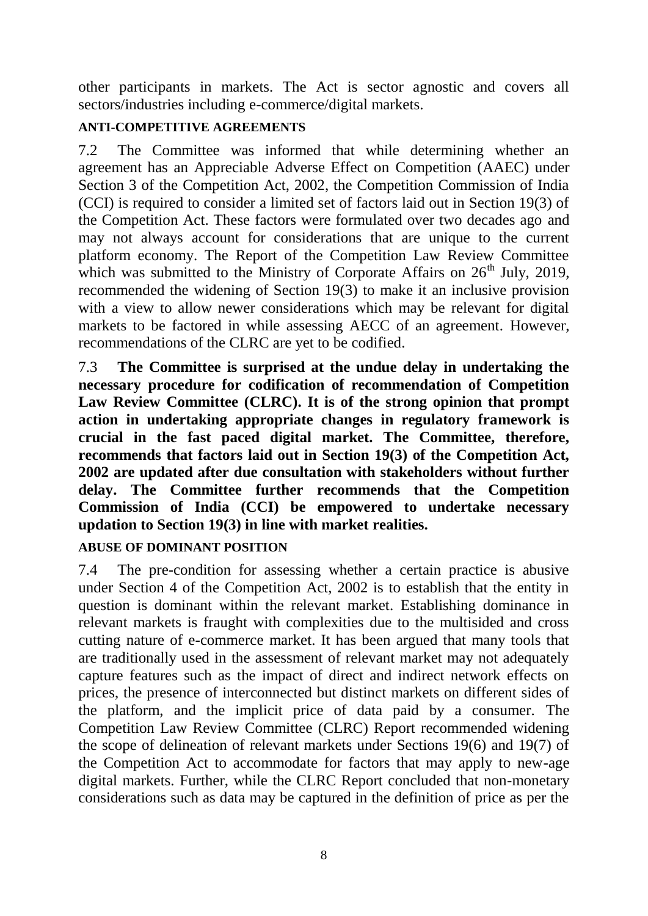other participants in markets. The Act is sector agnostic and covers all sectors/industries including e-commerce/digital markets.

#### **ANTI-COMPETITIVE AGREEMENTS**

7.2 The Committee was informed that while determining whether an agreement has an Appreciable Adverse Effect on Competition (AAEC) under Section 3 of the Competition Act, 2002, the Competition Commission of India (CCI) is required to consider a limited set of factors laid out in Section 19(3) of the Competition Act. These factors were formulated over two decades ago and may not always account for considerations that are unique to the current platform economy. The Report of the Competition Law Review Committee which was submitted to the Ministry of Corporate Affairs on  $26<sup>th</sup>$  July, 2019, recommended the widening of Section 19(3) to make it an inclusive provision with a view to allow newer considerations which may be relevant for digital markets to be factored in while assessing AECC of an agreement. However, recommendations of the CLRC are yet to be codified.

7.3 **The Committee is surprised at the undue delay in undertaking the necessary procedure for codification of recommendation of Competition Law Review Committee (CLRC). It is of the strong opinion that prompt action in undertaking appropriate changes in regulatory framework is crucial in the fast paced digital market. The Committee, therefore, recommends that factors laid out in Section 19(3) of the Competition Act, 2002 are updated after due consultation with stakeholders without further delay. The Committee further recommends that the Competition Commission of India (CCI) be empowered to undertake necessary updation to Section 19(3) in line with market realities.** 

#### **ABUSE OF DOMINANT POSITION**

7.4 The pre-condition for assessing whether a certain practice is abusive under Section 4 of the Competition Act, 2002 is to establish that the entity in question is dominant within the relevant market. Establishing dominance in relevant markets is fraught with complexities due to the multisided and cross cutting nature of e-commerce market. It has been argued that many tools that are traditionally used in the assessment of relevant market may not adequately capture features such as the impact of direct and indirect network effects on prices, the presence of interconnected but distinct markets on different sides of the platform, and the implicit price of data paid by a consumer. The Competition Law Review Committee (CLRC) Report recommended widening the scope of delineation of relevant markets under Sections 19(6) and 19(7) of the Competition Act to accommodate for factors that may apply to new-age digital markets. Further, while the CLRC Report concluded that non-monetary considerations such as data may be captured in the definition of price as per the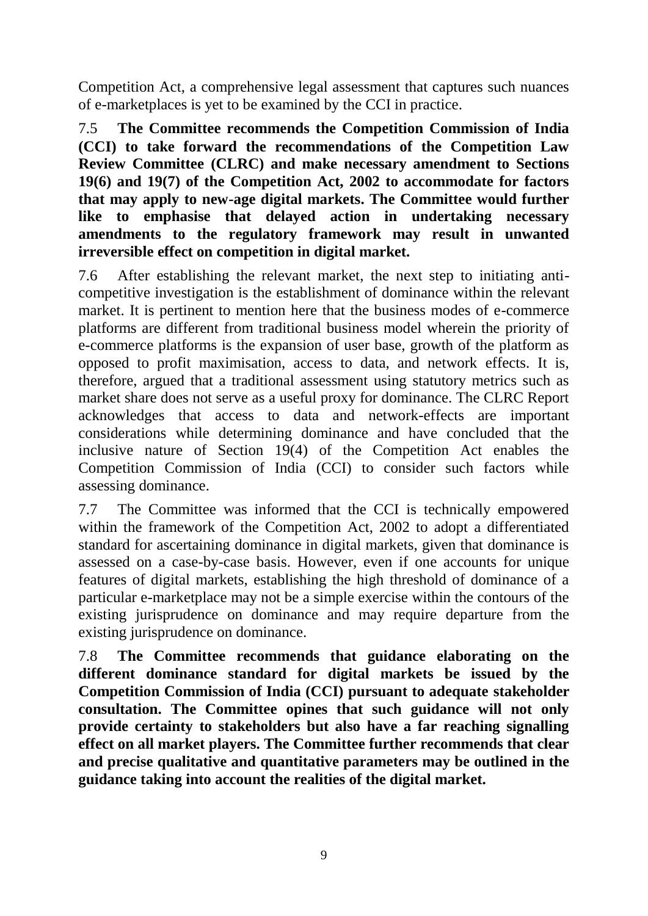Competition Act, a comprehensive legal assessment that captures such nuances of e-marketplaces is yet to be examined by the CCI in practice.

7.5 **The Committee recommends the Competition Commission of India (CCI) to take forward the recommendations of the Competition Law Review Committee (CLRC) and make necessary amendment to Sections 19(6) and 19(7) of the Competition Act, 2002 to accommodate for factors that may apply to new-age digital markets. The Committee would further like to emphasise that delayed action in undertaking necessary amendments to the regulatory framework may result in unwanted irreversible effect on competition in digital market.** 

7.6 After establishing the relevant market, the next step to initiating anticompetitive investigation is the establishment of dominance within the relevant market. It is pertinent to mention here that the business modes of e-commerce platforms are different from traditional business model wherein the priority of e-commerce platforms is the expansion of user base, growth of the platform as opposed to profit maximisation, access to data, and network effects. It is, therefore, argued that a traditional assessment using statutory metrics such as market share does not serve as a useful proxy for dominance. The CLRC Report acknowledges that access to data and network-effects are important considerations while determining dominance and have concluded that the inclusive nature of Section 19(4) of the Competition Act enables the Competition Commission of India (CCI) to consider such factors while assessing dominance.

7.7 The Committee was informed that the CCI is technically empowered within the framework of the Competition Act, 2002 to adopt a differentiated standard for ascertaining dominance in digital markets, given that dominance is assessed on a case-by-case basis. However, even if one accounts for unique features of digital markets, establishing the high threshold of dominance of a particular e-marketplace may not be a simple exercise within the contours of the existing jurisprudence on dominance and may require departure from the existing jurisprudence on dominance.

7.8 **The Committee recommends that guidance elaborating on the different dominance standard for digital markets be issued by the Competition Commission of India (CCI) pursuant to adequate stakeholder consultation. The Committee opines that such guidance will not only provide certainty to stakeholders but also have a far reaching signalling effect on all market players. The Committee further recommends that clear and precise qualitative and quantitative parameters may be outlined in the guidance taking into account the realities of the digital market.**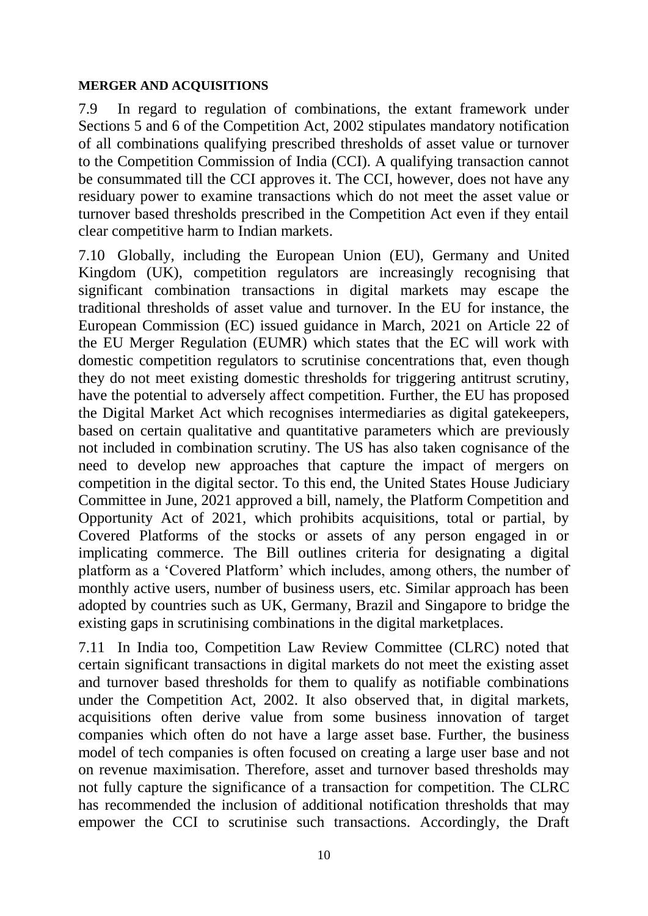#### **MERGER AND ACQUISITIONS**

7.9 In regard to regulation of combinations, the extant framework under Sections 5 and 6 of the Competition Act, 2002 stipulates mandatory notification of all combinations qualifying prescribed thresholds of asset value or turnover to the Competition Commission of India (CCI). A qualifying transaction cannot be consummated till the CCI approves it. The CCI, however, does not have any residuary power to examine transactions which do not meet the asset value or turnover based thresholds prescribed in the Competition Act even if they entail clear competitive harm to Indian markets.

7.10 Globally, including the European Union (EU), Germany and United Kingdom (UK), competition regulators are increasingly recognising that significant combination transactions in digital markets may escape the traditional thresholds of asset value and turnover. In the EU for instance, the European Commission (EC) issued guidance in March, 2021 on Article 22 of the EU Merger Regulation (EUMR) which states that the EC will work with domestic competition regulators to scrutinise concentrations that, even though they do not meet existing domestic thresholds for triggering antitrust scrutiny, have the potential to adversely affect competition. Further, the EU has proposed the Digital Market Act which recognises intermediaries as digital gatekeepers, based on certain qualitative and quantitative parameters which are previously not included in combination scrutiny. The US has also taken cognisance of the need to develop new approaches that capture the impact of mergers on competition in the digital sector. To this end, the United States House Judiciary Committee in June, 2021 approved a bill, namely, the Platform Competition and Opportunity Act of 2021, which prohibits acquisitions, total or partial, by Covered Platforms of the stocks or assets of any person engaged in or implicating commerce. The Bill outlines criteria for designating a digital platform as a 'Covered Platform' which includes, among others, the number of monthly active users, number of business users, etc. Similar approach has been adopted by countries such as UK, Germany, Brazil and Singapore to bridge the existing gaps in scrutinising combinations in the digital marketplaces.

7.11 In India too, Competition Law Review Committee (CLRC) noted that certain significant transactions in digital markets do not meet the existing asset and turnover based thresholds for them to qualify as notifiable combinations under the Competition Act, 2002. It also observed that, in digital markets, acquisitions often derive value from some business innovation of target companies which often do not have a large asset base. Further, the business model of tech companies is often focused on creating a large user base and not on revenue maximisation. Therefore, asset and turnover based thresholds may not fully capture the significance of a transaction for competition. The CLRC has recommended the inclusion of additional notification thresholds that may empower the CCI to scrutinise such transactions. Accordingly, the Draft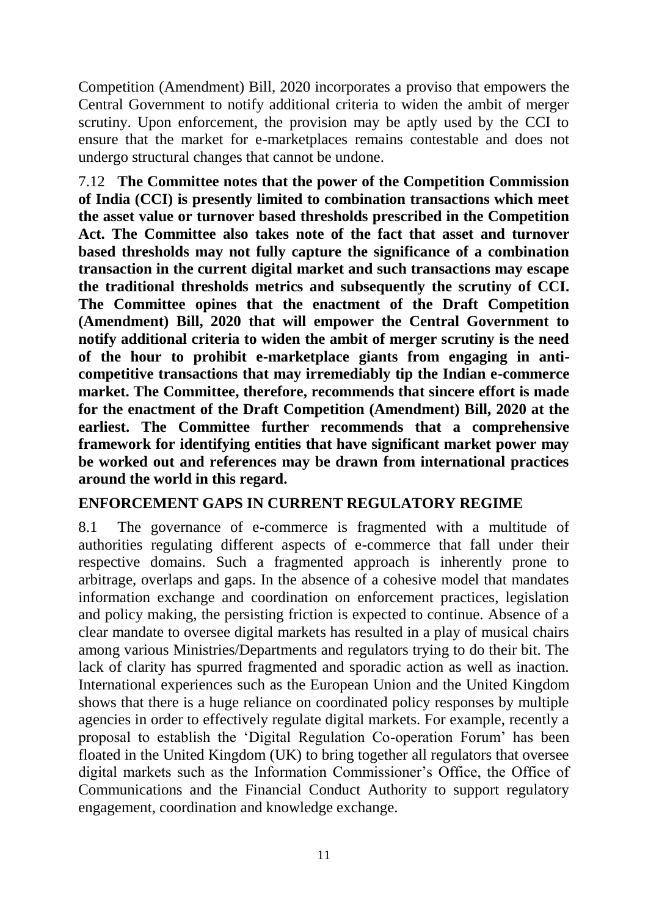Competition (Amendment) Bill, 2020 incorporates a proviso that empowers the Central Government to notify additional criteria to widen the ambit of merger scrutiny. Upon enforcement, the provision may be aptly used by the CCI to ensure that the market for e-marketplaces remains contestable and does not undergo structural changes that cannot be undone.

7.12 **The Committee notes that the power of the Competition Commission of India (CCI) is presently limited to combination transactions which meet the asset value or turnover based thresholds prescribed in the Competition Act. The Committee also takes note of the fact that asset and turnover based thresholds may not fully capture the significance of a combination transaction in the current digital market and such transactions may escape the traditional thresholds metrics and subsequently the scrutiny of CCI. The Committee opines that the enactment of the Draft Competition (Amendment) Bill, 2020 that will empower the Central Government to notify additional criteria to widen the ambit of merger scrutiny is the need of the hour to prohibit e-marketplace giants from engaging in anticompetitive transactions that may irremediably tip the Indian e-commerce market. The Committee, therefore, recommends that sincere effort is made for the enactment of the Draft Competition (Amendment) Bill, 2020 at the earliest. The Committee further recommends that a comprehensive framework for identifying entities that have significant market power may be worked out and references may be drawn from international practices around the world in this regard.** 

#### **ENFORCEMENT GAPS IN CURRENT REGULATORY REGIME**

8.1 The governance of e-commerce is fragmented with a multitude of authorities regulating different aspects of e-commerce that fall under their respective domains. Such a fragmented approach is inherently prone to arbitrage, overlaps and gaps. In the absence of a cohesive model that mandates information exchange and coordination on enforcement practices, legislation and policy making, the persisting friction is expected to continue. Absence of a clear mandate to oversee digital markets has resulted in a play of musical chairs among various Ministries/Departments and regulators trying to do their bit. The lack of clarity has spurred fragmented and sporadic action as well as inaction. International experiences such as the European Union and the United Kingdom shows that there is a huge reliance on coordinated policy responses by multiple agencies in order to effectively regulate digital markets. For example, recently a proposal to establish the 'Digital Regulation Co-operation Forum' has been floated in the United Kingdom (UK) to bring together all regulators that oversee digital markets such as the Information Commissioner's Office, the Office of Communications and the Financial Conduct Authority to support regulatory engagement, coordination and knowledge exchange.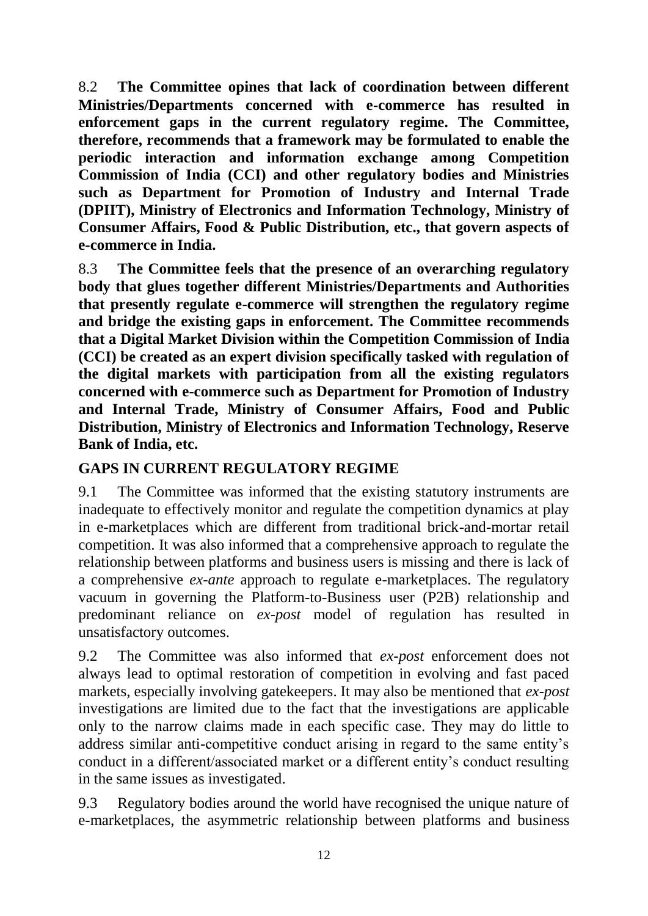8.2 **The Committee opines that lack of coordination between different Ministries/Departments concerned with e-commerce has resulted in enforcement gaps in the current regulatory regime. The Committee, therefore, recommends that a framework may be formulated to enable the periodic interaction and information exchange among Competition Commission of India (CCI) and other regulatory bodies and Ministries such as Department for Promotion of Industry and Internal Trade (DPIIT), Ministry of Electronics and Information Technology, Ministry of Consumer Affairs, Food & Public Distribution, etc., that govern aspects of e-commerce in India.** 

8.3 **The Committee feels that the presence of an overarching regulatory body that glues together different Ministries/Departments and Authorities that presently regulate e-commerce will strengthen the regulatory regime and bridge the existing gaps in enforcement. The Committee recommends that a Digital Market Division within the Competition Commission of India (CCI) be created as an expert division specifically tasked with regulation of the digital markets with participation from all the existing regulators concerned with e-commerce such as Department for Promotion of Industry and Internal Trade, Ministry of Consumer Affairs, Food and Public Distribution, Ministry of Electronics and Information Technology, Reserve Bank of India, etc.** 

# **GAPS IN CURRENT REGULATORY REGIME**

9.1 The Committee was informed that the existing statutory instruments are inadequate to effectively monitor and regulate the competition dynamics at play in e-marketplaces which are different from traditional brick-and-mortar retail competition. It was also informed that a comprehensive approach to regulate the relationship between platforms and business users is missing and there is lack of a comprehensive *ex-ante* approach to regulate e-marketplaces. The regulatory vacuum in governing the Platform-to-Business user (P2B) relationship and predominant reliance on *ex-post* model of regulation has resulted in unsatisfactory outcomes.

9.2 The Committee was also informed that *ex-post* enforcement does not always lead to optimal restoration of competition in evolving and fast paced markets, especially involving gatekeepers. It may also be mentioned that *ex-post* investigations are limited due to the fact that the investigations are applicable only to the narrow claims made in each specific case. They may do little to address similar anti-competitive conduct arising in regard to the same entity's conduct in a different/associated market or a different entity's conduct resulting in the same issues as investigated.

9.3 Regulatory bodies around the world have recognised the unique nature of e-marketplaces, the asymmetric relationship between platforms and business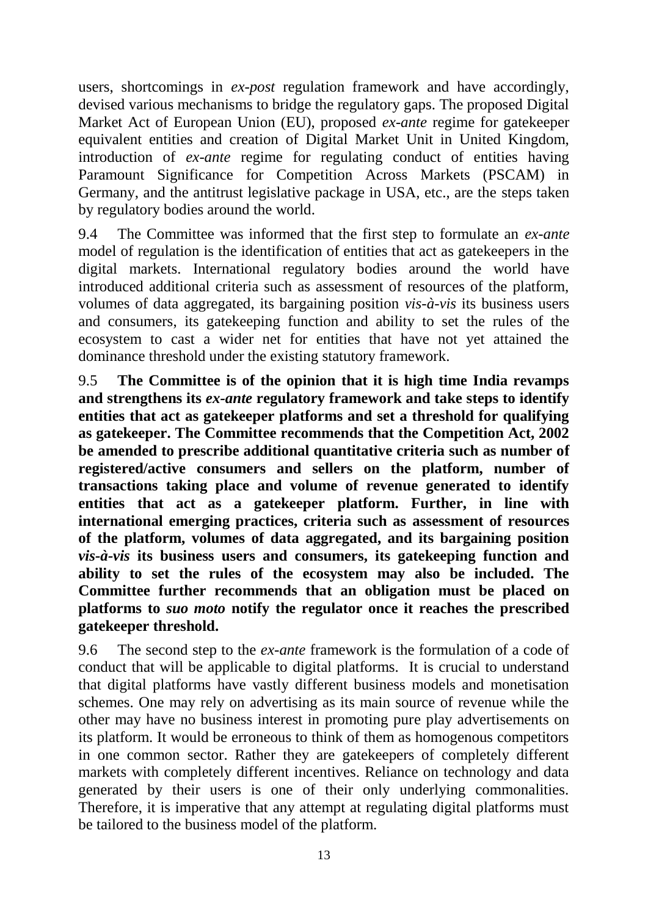users, shortcomings in *ex-post* regulation framework and have accordingly, devised various mechanisms to bridge the regulatory gaps. The proposed Digital Market Act of European Union (EU), proposed *ex-ante* regime for gatekeeper equivalent entities and creation of Digital Market Unit in United Kingdom, introduction of *ex-ante* regime for regulating conduct of entities having Paramount Significance for Competition Across Markets (PSCAM) in Germany, and the antitrust legislative package in USA, etc., are the steps taken by regulatory bodies around the world.

9.4 The Committee was informed that the first step to formulate an *ex-ante* model of regulation is the identification of entities that act as gatekeepers in the digital markets. International regulatory bodies around the world have introduced additional criteria such as assessment of resources of the platform, volumes of data aggregated, its bargaining position *vis-à-vis* its business users and consumers, its gatekeeping function and ability to set the rules of the ecosystem to cast a wider net for entities that have not yet attained the dominance threshold under the existing statutory framework.

9.5 **The Committee is of the opinion that it is high time India revamps and strengthens its** *ex-ante* **regulatory framework and take steps to identify entities that act as gatekeeper platforms and set a threshold for qualifying as gatekeeper. The Committee recommends that the Competition Act, 2002 be amended to prescribe additional quantitative criteria such as number of registered/active consumers and sellers on the platform, number of transactions taking place and volume of revenue generated to identify entities that act as a gatekeeper platform. Further, in line with international emerging practices, criteria such as assessment of resources of the platform, volumes of data aggregated, and its bargaining position**  *vis-à-vis* **its business users and consumers, its gatekeeping function and ability to set the rules of the ecosystem may also be included. The Committee further recommends that an obligation must be placed on platforms to** *suo moto* **notify the regulator once it reaches the prescribed gatekeeper threshold.** 

9.6 The second step to the *ex-ante* framework is the formulation of a code of conduct that will be applicable to digital platforms. It is crucial to understand that digital platforms have vastly different business models and monetisation schemes. One may rely on advertising as its main source of revenue while the other may have no business interest in promoting pure play advertisements on its platform. It would be erroneous to think of them as homogenous competitors in one common sector. Rather they are gatekeepers of completely different markets with completely different incentives. Reliance on technology and data generated by their users is one of their only underlying commonalities. Therefore, it is imperative that any attempt at regulating digital platforms must be tailored to the business model of the platform.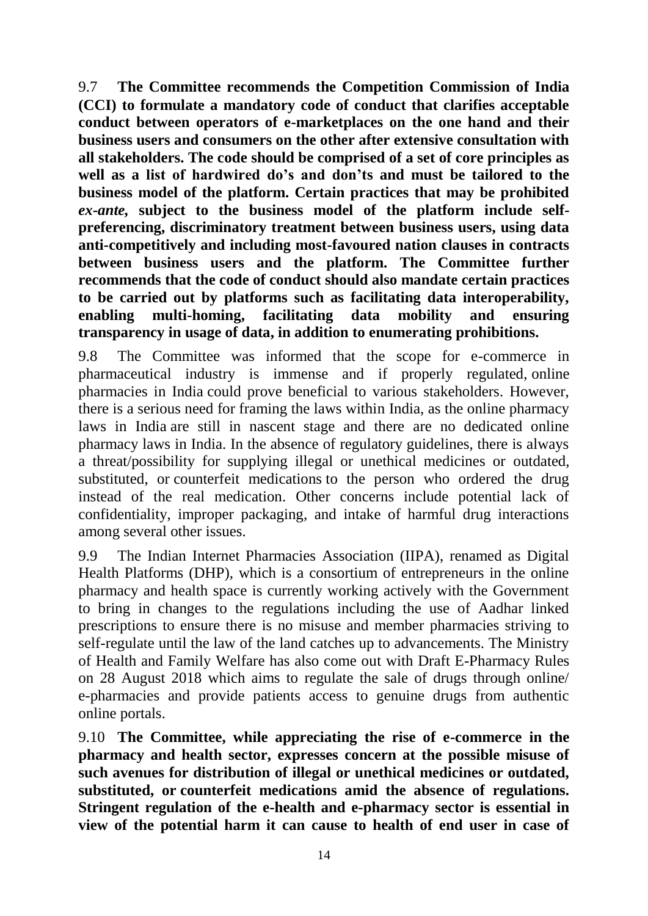9.7 **The Committee recommends the Competition Commission of India (CCI) to formulate a mandatory code of conduct that clarifies acceptable conduct between operators of e-marketplaces on the one hand and their business users and consumers on the other after extensive consultation with all stakeholders. The code should be comprised of a set of core principles as well as a list of hardwired do's and don'ts and must be tailored to the business model of the platform. Certain practices that may be prohibited**  *ex-ante,* **subject to the business model of the platform include selfpreferencing, discriminatory treatment between business users, using data anti-competitively and including most-favoured nation clauses in contracts between business users and the platform. The Committee further recommends that the code of conduct should also mandate certain practices to be carried out by platforms such as facilitating data interoperability, enabling multi-homing, facilitating data mobility and ensuring transparency in usage of data, in addition to enumerating prohibitions.**

9.8 The Committee was informed that the scope for e-commerce in pharmaceutical industry is immense and if properly regulated, online pharmacies in India could prove beneficial to various stakeholders. However, there is a serious need for framing the laws within India, as the online pharmacy laws in India are still in nascent stage and there are no dedicated online pharmacy laws in India. In the absence of regulatory guidelines, there is always a threat/possibility for supplying illegal or unethical medicines or outdated, substituted, or counterfeit medications to the person who ordered the drug instead of the real medication. Other concerns include potential lack of confidentiality, improper packaging, and intake of harmful drug interactions among several other issues.

9.9 The Indian Internet Pharmacies Association (IIPA), renamed as Digital Health Platforms (DHP), which is a consortium of entrepreneurs in the online pharmacy and health space is currently working actively with the Government to bring in changes to the regulations including the use of Aadhar linked prescriptions to ensure there is no misuse and member pharmacies striving to self-regulate until the law of the land catches up to advancements. The Ministry of Health and Family Welfare has also come out with Draft E-Pharmacy Rules on 28 August 2018 which aims to regulate the sale of drugs through online/ e-pharmacies and provide patients access to genuine drugs from authentic online portals.

9.10 **The Committee, while appreciating the rise of e-commerce in the pharmacy and health sector, expresses concern at the possible misuse of such avenues for distribution of illegal or unethical medicines or outdated, substituted, or counterfeit medications amid the absence of regulations. Stringent regulation of the e-health and e-pharmacy sector is essential in view of the potential harm it can cause to health of end user in case of**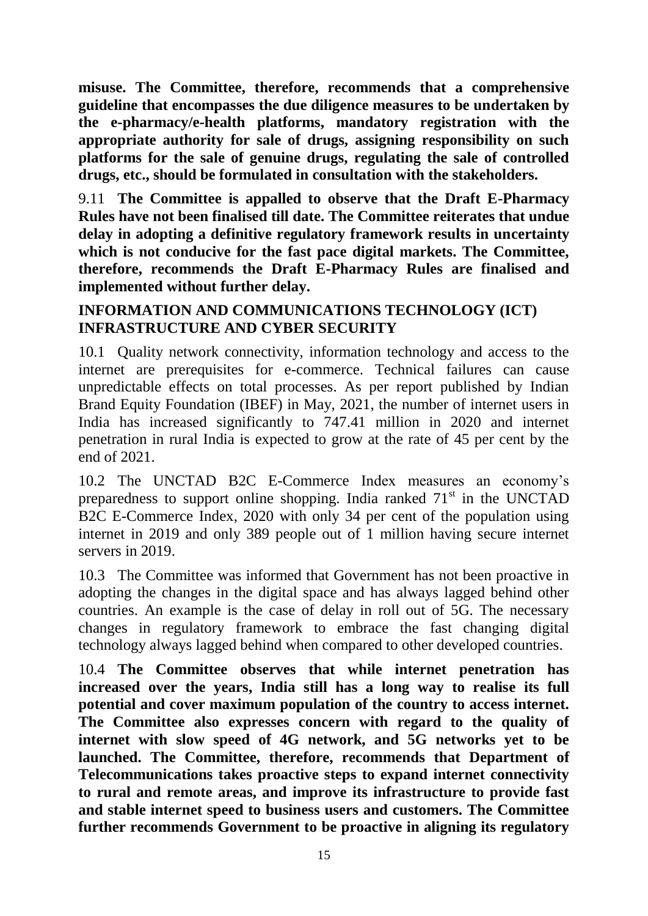**misuse. The Committee, therefore, recommends that a comprehensive guideline that encompasses the due diligence measures to be undertaken by the e-pharmacy/e-health platforms, mandatory registration with the appropriate authority for sale of drugs, assigning responsibility on such platforms for the sale of genuine drugs, regulating the sale of controlled drugs, etc., should be formulated in consultation with the stakeholders.** 

9.11 **The Committee is appalled to observe that the Draft E-Pharmacy Rules have not been finalised till date. The Committee reiterates that undue delay in adopting a definitive regulatory framework results in uncertainty which is not conducive for the fast pace digital markets. The Committee, therefore, recommends the Draft E-Pharmacy Rules are finalised and implemented without further delay.** 

## **INFORMATION AND COMMUNICATIONS TECHNOLOGY (ICT) INFRASTRUCTURE AND CYBER SECURITY**

10.1 Quality network connectivity, information technology and access to the internet are prerequisites for e-commerce. Technical failures can cause unpredictable effects on total processes. As per report published by Indian Brand Equity Foundation (IBEF) in May, 2021, the number of internet users in India has increased significantly to 747.41 million in 2020 and internet penetration in rural India is expected to grow at the rate of 45 per cent by the end of 2021.

10.2 The UNCTAD B2C E-Commerce Index measures an economy's preparedness to support online shopping. India ranked  $71<sup>st</sup>$  in the UNCTAD B2C E-Commerce Index, 2020 with only 34 per cent of the population using internet in 2019 and only 389 people out of 1 million having secure internet servers in 2019.

10.3 The Committee was informed that Government has not been proactive in adopting the changes in the digital space and has always lagged behind other countries. An example is the case of delay in roll out of 5G. The necessary changes in regulatory framework to embrace the fast changing digital technology always lagged behind when compared to other developed countries.

10.4 **The Committee observes that while internet penetration has increased over the years, India still has a long way to realise its full potential and cover maximum population of the country to access internet. The Committee also expresses concern with regard to the quality of internet with slow speed of 4G network, and 5G networks yet to be launched. The Committee, therefore, recommends that Department of Telecommunications takes proactive steps to expand internet connectivity to rural and remote areas, and improve its infrastructure to provide fast and stable internet speed to business users and customers. The Committee further recommends Government to be proactive in aligning its regulatory**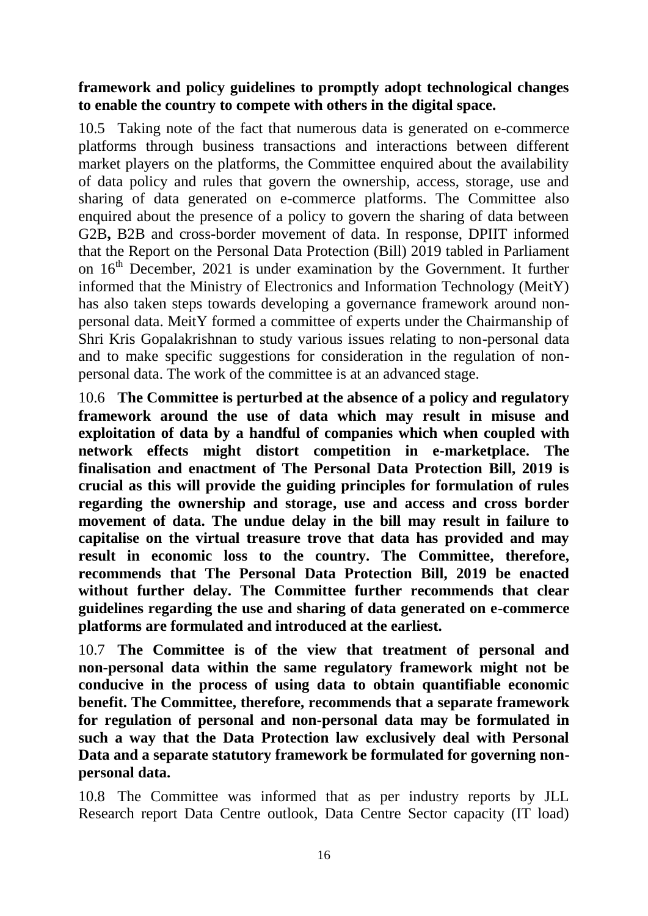# **framework and policy guidelines to promptly adopt technological changes to enable the country to compete with others in the digital space.**

10.5 Taking note of the fact that numerous data is generated on e-commerce platforms through business transactions and interactions between different market players on the platforms, the Committee enquired about the availability of data policy and rules that govern the ownership, access, storage, use and sharing of data generated on e-commerce platforms. The Committee also enquired about the presence of a policy to govern the sharing of data between G2B**,** B2B and cross-border movement of data. In response, DPIIT informed that the Report on the Personal Data Protection (Bill) 2019 tabled in Parliament on  $16<sup>th</sup>$  December, 2021 is under examination by the Government. It further informed that the Ministry of Electronics and Information Technology (MeitY) has also taken steps towards developing a governance framework around nonpersonal data. MeitY formed a committee of experts under the Chairmanship of Shri Kris Gopalakrishnan to study various issues relating to non-personal data and to make specific suggestions for consideration in the regulation of nonpersonal data. The work of the committee is at an advanced stage.

10.6 **The Committee is perturbed at the absence of a policy and regulatory framework around the use of data which may result in misuse and exploitation of data by a handful of companies which when coupled with network effects might distort competition in e-marketplace. The finalisation and enactment of The Personal Data Protection Bill, 2019 is crucial as this will provide the guiding principles for formulation of rules regarding the ownership and storage, use and access and cross border movement of data. The undue delay in the bill may result in failure to capitalise on the virtual treasure trove that data has provided and may result in economic loss to the country. The Committee, therefore, recommends that The Personal Data Protection Bill, 2019 be enacted without further delay. The Committee further recommends that clear guidelines regarding the use and sharing of data generated on e-commerce platforms are formulated and introduced at the earliest.**

10.7 **The Committee is of the view that treatment of personal and non-personal data within the same regulatory framework might not be conducive in the process of using data to obtain quantifiable economic benefit. The Committee, therefore, recommends that a separate framework for regulation of personal and non-personal data may be formulated in such a way that the Data Protection law exclusively deal with Personal Data and a separate statutory framework be formulated for governing nonpersonal data.**

10.8 The Committee was informed that as per industry reports by JLL Research report Data Centre outlook, Data Centre Sector capacity (IT load)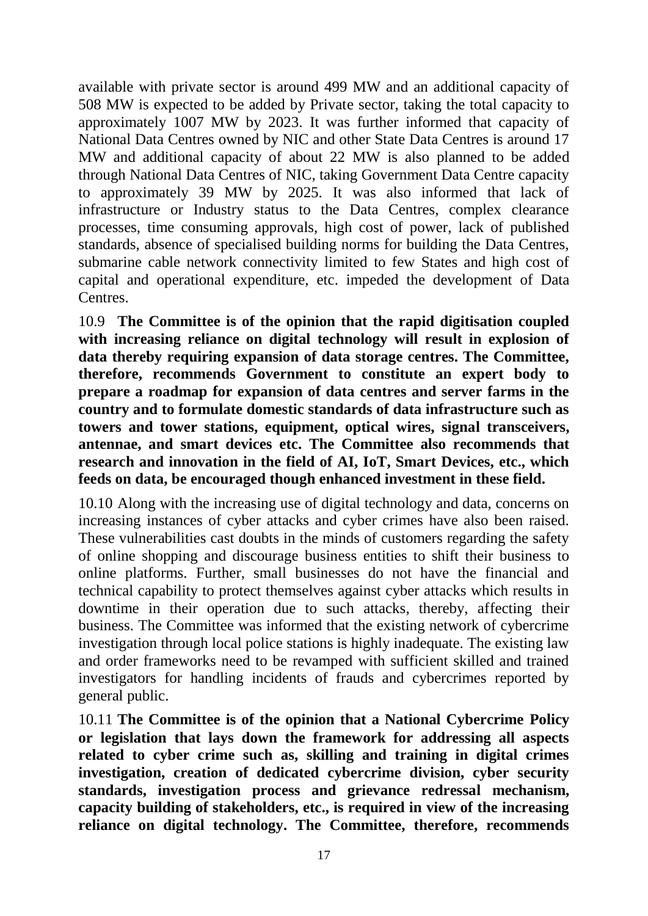available with private sector is around 499 MW and an additional capacity of 508 MW is expected to be added by Private sector, taking the total capacity to approximately 1007 MW by 2023. It was further informed that capacity of National Data Centres owned by NIC and other State Data Centres is around 17 MW and additional capacity of about 22 MW is also planned to be added through National Data Centres of NIC, taking Government Data Centre capacity to approximately 39 MW by 2025. It was also informed that lack of infrastructure or Industry status to the Data Centres, complex clearance processes, time consuming approvals, high cost of power, lack of published standards, absence of specialised building norms for building the Data Centres, submarine cable network connectivity limited to few States and high cost of capital and operational expenditure, etc. impeded the development of Data Centres.

10.9 **The Committee is of the opinion that the rapid digitisation coupled with increasing reliance on digital technology will result in explosion of data thereby requiring expansion of data storage centres. The Committee, therefore, recommends Government to constitute an expert body to prepare a roadmap for expansion of data centres and server farms in the country and to formulate domestic standards of data infrastructure such as towers and tower stations, equipment, optical wires, signal transceivers, antennae, and smart devices etc. The Committee also recommends that research and innovation in the field of AI, IoT, Smart Devices, etc., which feeds on data, be encouraged though enhanced investment in these field.** 

10.10 Along with the increasing use of digital technology and data, concerns on increasing instances of cyber attacks and cyber crimes have also been raised. These vulnerabilities cast doubts in the minds of customers regarding the safety of online shopping and discourage business entities to shift their business to online platforms. Further, small businesses do not have the financial and technical capability to protect themselves against cyber attacks which results in downtime in their operation due to such attacks, thereby, affecting their business. The Committee was informed that the existing network of cybercrime investigation through local police stations is highly inadequate. The existing law and order frameworks need to be revamped with sufficient skilled and trained investigators for handling incidents of frauds and cybercrimes reported by general public.

10.11 **The Committee is of the opinion that a National Cybercrime Policy or legislation that lays down the framework for addressing all aspects related to cyber crime such as, skilling and training in digital crimes investigation, creation of dedicated cybercrime division, cyber security standards, investigation process and grievance redressal mechanism, capacity building of stakeholders, etc., is required in view of the increasing reliance on digital technology. The Committee, therefore, recommends**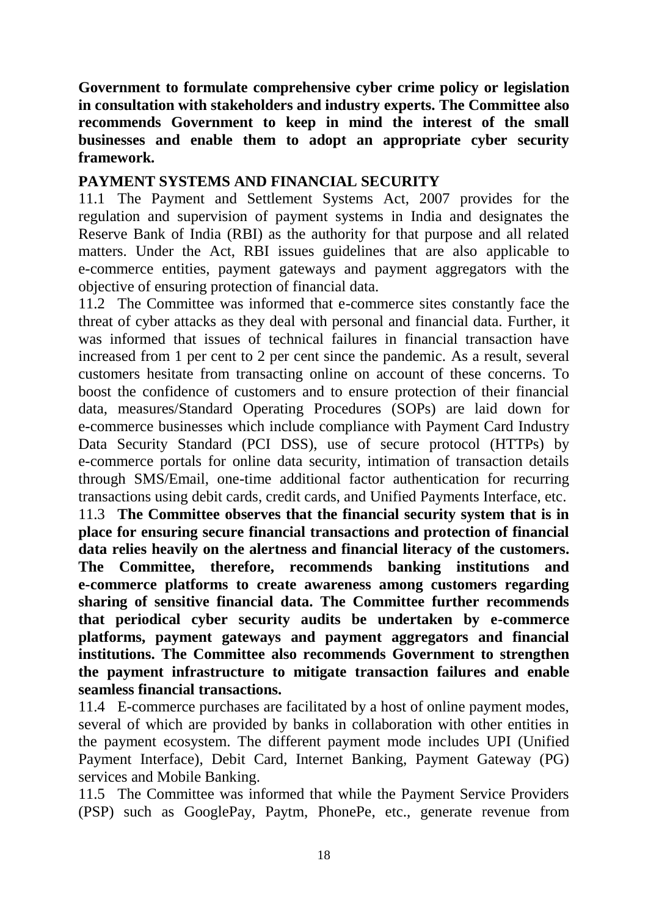**Government to formulate comprehensive cyber crime policy or legislation in consultation with stakeholders and industry experts. The Committee also recommends Government to keep in mind the interest of the small businesses and enable them to adopt an appropriate cyber security framework.** 

#### **PAYMENT SYSTEMS AND FINANCIAL SECURITY**

11.1 The Payment and Settlement Systems Act, 2007 provides for the regulation and supervision of payment systems in India and designates the Reserve Bank of India (RBI) as the authority for that purpose and all related matters. Under the Act, RBI issues guidelines that are also applicable to e-commerce entities, payment gateways and payment aggregators with the objective of ensuring protection of financial data.

11.2 The Committee was informed that e-commerce sites constantly face the threat of cyber attacks as they deal with personal and financial data. Further, it was informed that issues of technical failures in financial transaction have increased from 1 per cent to 2 per cent since the pandemic. As a result, several customers hesitate from transacting online on account of these concerns. To boost the confidence of customers and to ensure protection of their financial data, measures/Standard Operating Procedures (SOPs) are laid down for e-commerce businesses which include compliance with Payment Card Industry Data Security Standard (PCI DSS), use of secure protocol (HTTPs) by e-commerce portals for online data security, intimation of transaction details through SMS/Email, one-time additional factor authentication for recurring transactions using debit cards, credit cards, and Unified Payments Interface, etc.

11.3 **The Committee observes that the financial security system that is in place for ensuring secure financial transactions and protection of financial data relies heavily on the alertness and financial literacy of the customers. The Committee, therefore, recommends banking institutions and e-commerce platforms to create awareness among customers regarding sharing of sensitive financial data. The Committee further recommends that periodical cyber security audits be undertaken by e-commerce platforms, payment gateways and payment aggregators and financial institutions. The Committee also recommends Government to strengthen the payment infrastructure to mitigate transaction failures and enable seamless financial transactions.**

11.4 E-commerce purchases are facilitated by a host of online payment modes, several of which are provided by banks in collaboration with other entities in the payment ecosystem. The different payment mode includes UPI (Unified Payment Interface), Debit Card, Internet Banking, Payment Gateway (PG) services and Mobile Banking.

11.5 The Committee was informed that while the Payment Service Providers (PSP) such as GooglePay, Paytm, PhonePe, etc., generate revenue from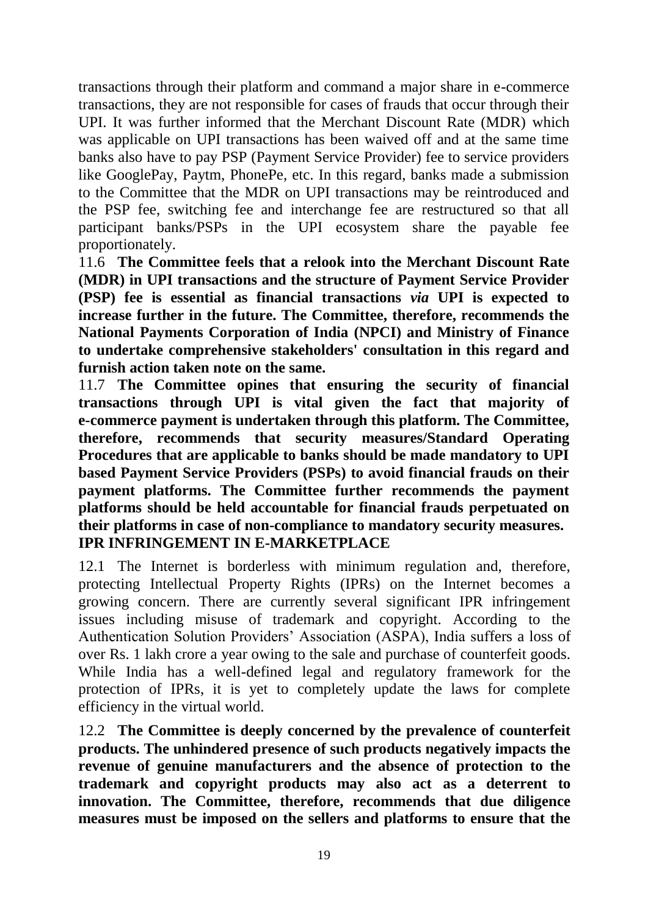transactions through their platform and command a major share in e-commerce transactions, they are not responsible for cases of frauds that occur through their UPI. It was further informed that the Merchant Discount Rate (MDR) which was applicable on UPI transactions has been waived off and at the same time banks also have to pay PSP (Payment Service Provider) fee to service providers like GooglePay, Paytm, PhonePe, etc. In this regard, banks made a submission to the Committee that the MDR on UPI transactions may be reintroduced and the PSP fee, switching fee and interchange fee are restructured so that all participant banks/PSPs in the UPI ecosystem share the payable fee proportionately.

11.6 **The Committee feels that a relook into the Merchant Discount Rate (MDR) in UPI transactions and the structure of Payment Service Provider (PSP) fee is essential as financial transactions** *via* **UPI is expected to increase further in the future. The Committee, therefore, recommends the National Payments Corporation of India (NPCI) and Ministry of Finance to undertake comprehensive stakeholders' consultation in this regard and furnish action taken note on the same.**

11.7 **The Committee opines that ensuring the security of financial transactions through UPI is vital given the fact that majority of e-commerce payment is undertaken through this platform. The Committee, therefore, recommends that security measures/Standard Operating Procedures that are applicable to banks should be made mandatory to UPI based Payment Service Providers (PSPs) to avoid financial frauds on their payment platforms. The Committee further recommends the payment platforms should be held accountable for financial frauds perpetuated on their platforms in case of non-compliance to mandatory security measures. IPR INFRINGEMENT IN E-MARKETPLACE**

12.1 The Internet is borderless with minimum regulation and, therefore, protecting Intellectual Property Rights (IPRs) on the Internet becomes a growing concern. There are currently several significant IPR infringement issues including misuse of trademark and copyright. According to the Authentication Solution Providers' Association (ASPA), India suffers a loss of over Rs. 1 lakh crore a year owing to the sale and purchase of counterfeit goods. While India has a well-defined legal and regulatory framework for the protection of IPRs, it is yet to completely update the laws for complete efficiency in the virtual world.

12.2 **The Committee is deeply concerned by the prevalence of counterfeit products. The unhindered presence of such products negatively impacts the revenue of genuine manufacturers and the absence of protection to the trademark and copyright products may also act as a deterrent to innovation. The Committee, therefore, recommends that due diligence measures must be imposed on the sellers and platforms to ensure that the**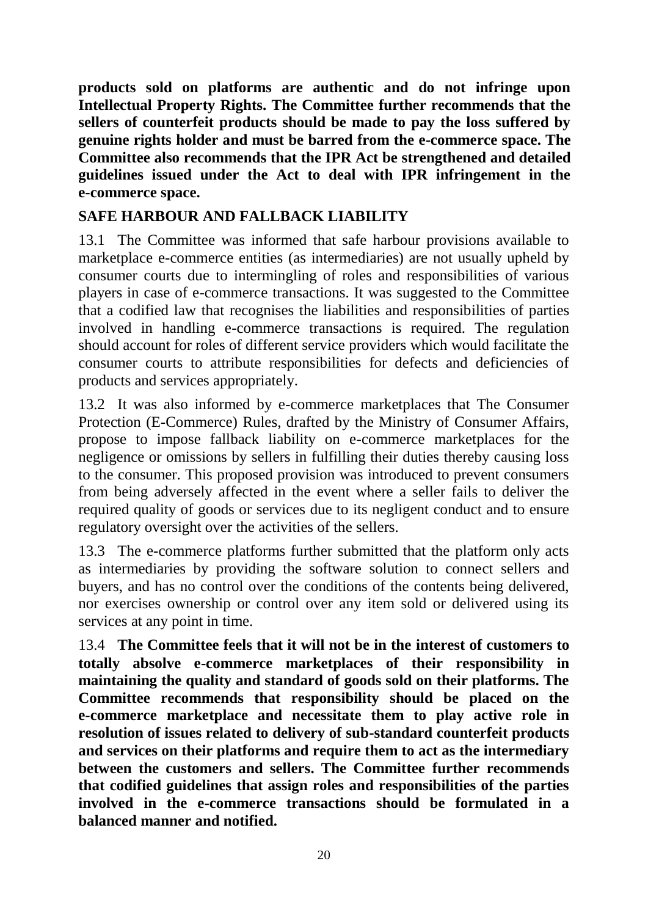**products sold on platforms are authentic and do not infringe upon Intellectual Property Rights. The Committee further recommends that the sellers of counterfeit products should be made to pay the loss suffered by genuine rights holder and must be barred from the e-commerce space. The Committee also recommends that the IPR Act be strengthened and detailed guidelines issued under the Act to deal with IPR infringement in the e-commerce space.** 

# **SAFE HARBOUR AND FALLBACK LIABILITY**

13.1 The Committee was informed that safe harbour provisions available to marketplace e-commerce entities (as intermediaries) are not usually upheld by consumer courts due to intermingling of roles and responsibilities of various players in case of e-commerce transactions. It was suggested to the Committee that a codified law that recognises the liabilities and responsibilities of parties involved in handling e-commerce transactions is required. The regulation should account for roles of different service providers which would facilitate the consumer courts to attribute responsibilities for defects and deficiencies of products and services appropriately.

13.2 It was also informed by e-commerce marketplaces that The Consumer Protection (E-Commerce) Rules, drafted by the Ministry of Consumer Affairs, propose to impose fallback liability on e-commerce marketplaces for the negligence or omissions by sellers in fulfilling their duties thereby causing loss to the consumer. This proposed provision was introduced to prevent consumers from being adversely affected in the event where a seller fails to deliver the required quality of goods or services due to its negligent conduct and to ensure regulatory oversight over the activities of the sellers.

13.3 The e-commerce platforms further submitted that the platform only acts as intermediaries by providing the software solution to connect sellers and buyers, and has no control over the conditions of the contents being delivered, nor exercises ownership or control over any item sold or delivered using its services at any point in time.

13.4 **The Committee feels that it will not be in the interest of customers to totally absolve e-commerce marketplaces of their responsibility in maintaining the quality and standard of goods sold on their platforms. The Committee recommends that responsibility should be placed on the e-commerce marketplace and necessitate them to play active role in resolution of issues related to delivery of sub-standard counterfeit products and services on their platforms and require them to act as the intermediary between the customers and sellers. The Committee further recommends that codified guidelines that assign roles and responsibilities of the parties involved in the e-commerce transactions should be formulated in a balanced manner and notified.**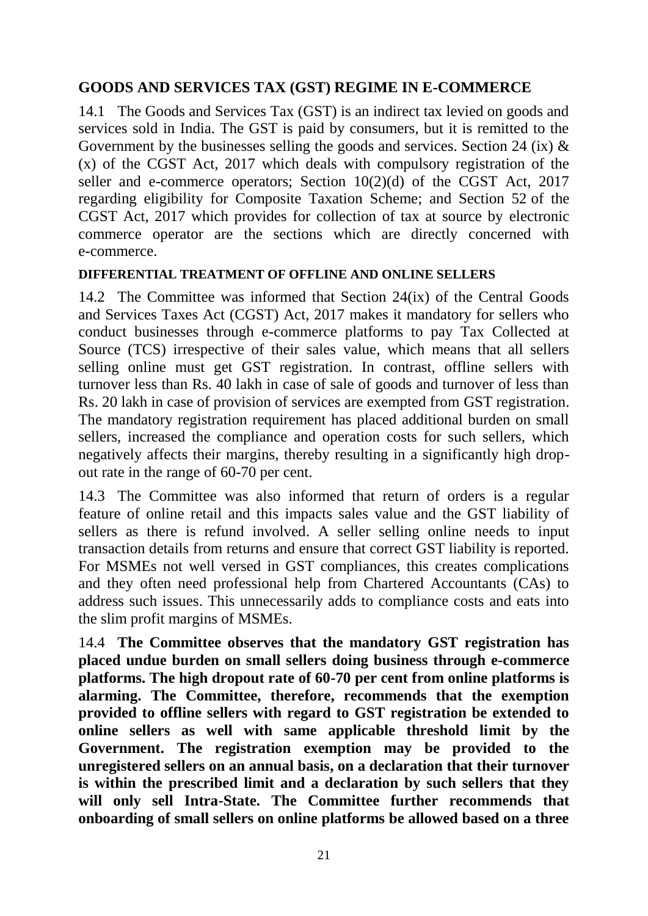# **GOODS AND SERVICES TAX (GST) REGIME IN E-COMMERCE**

14.1 The Goods and Services Tax (GST) is an indirect tax levied on goods and services sold in India. The GST is paid by consumers, but it is remitted to the Government by the businesses selling the goods and services. Section 24 (ix)  $\&$ (x) of the CGST Act, 2017 which deals with compulsory registration of the seller and e-commerce operators; Section  $10(2)(d)$  of the CGST Act, 2017 regarding eligibility for Composite Taxation Scheme; and Section 52 of the CGST Act, 2017 which provides for collection of tax at source by electronic commerce operator are the sections which are directly concerned with e-commerce.

#### **DIFFERENTIAL TREATMENT OF OFFLINE AND ONLINE SELLERS**

14.2 The Committee was informed that Section 24(ix) of the Central Goods and Services Taxes Act (CGST) Act, 2017 makes it mandatory for sellers who conduct businesses through e-commerce platforms to pay Tax Collected at Source (TCS) irrespective of their sales value, which means that all sellers selling online must get GST registration. In contrast, offline sellers with turnover less than Rs. 40 lakh in case of sale of goods and turnover of less than Rs. 20 lakh in case of provision of services are exempted from GST registration. The mandatory registration requirement has placed additional burden on small sellers, increased the compliance and operation costs for such sellers, which negatively affects their margins, thereby resulting in a significantly high dropout rate in the range of 60-70 per cent.

14.3 The Committee was also informed that return of orders is a regular feature of online retail and this impacts sales value and the GST liability of sellers as there is refund involved. A seller selling online needs to input transaction details from returns and ensure that correct GST liability is reported. For MSMEs not well versed in GST compliances, this creates complications and they often need professional help from Chartered Accountants (CAs) to address such issues. This unnecessarily adds to compliance costs and eats into the slim profit margins of MSMEs.

14.4 **The Committee observes that the mandatory GST registration has placed undue burden on small sellers doing business through e-commerce platforms. The high dropout rate of 60-70 per cent from online platforms is alarming. The Committee, therefore, recommends that the exemption provided to offline sellers with regard to GST registration be extended to online sellers as well with same applicable threshold limit by the Government. The registration exemption may be provided to the unregistered sellers on an annual basis, on a declaration that their turnover is within the prescribed limit and a declaration by such sellers that they will only sell Intra-State. The Committee further recommends that onboarding of small sellers on online platforms be allowed based on a three**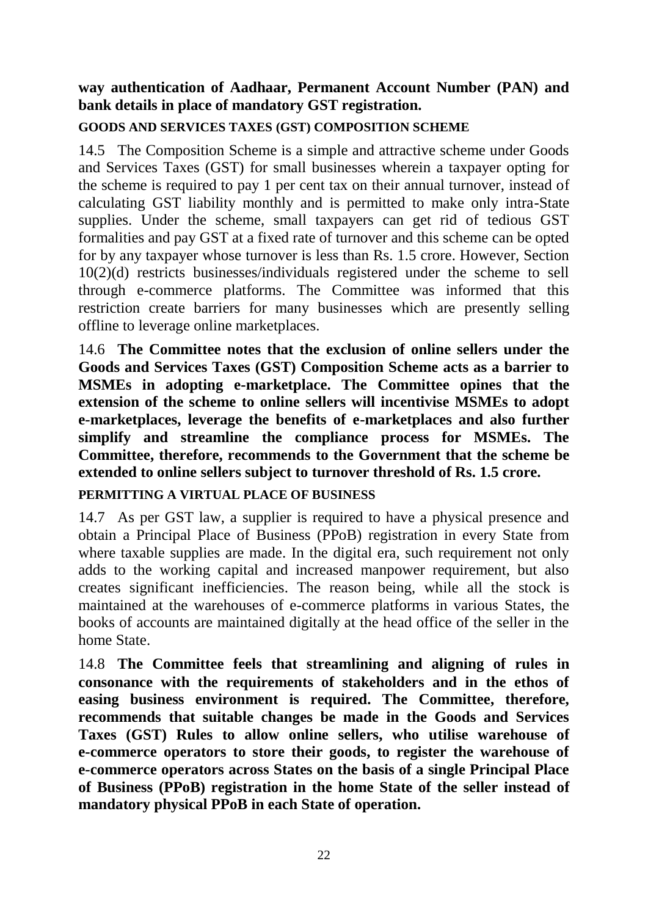## **way authentication of Aadhaar, Permanent Account Number (PAN) and bank details in place of mandatory GST registration.**

#### **GOODS AND SERVICES TAXES (GST) COMPOSITION SCHEME**

14.5 The Composition Scheme is a simple and attractive scheme under Goods and Services Taxes (GST) for small businesses wherein a taxpayer opting for the scheme is required to pay 1 per cent tax on their annual turnover, instead of calculating GST liability monthly and is permitted to make only intra-State supplies. Under the scheme, small taxpayers can get rid of tedious GST formalities and pay GST at a fixed rate of turnover and this scheme can be opted for by any taxpayer whose turnover is less than Rs. 1.5 crore. However, Section 10(2)(d) restricts businesses/individuals registered under the scheme to sell through e-commerce platforms. The Committee was informed that this restriction create barriers for many businesses which are presently selling offline to leverage online marketplaces.

14.6 **The Committee notes that the exclusion of online sellers under the Goods and Services Taxes (GST) Composition Scheme acts as a barrier to MSMEs in adopting e-marketplace. The Committee opines that the extension of the scheme to online sellers will incentivise MSMEs to adopt e-marketplaces, leverage the benefits of e-marketplaces and also further simplify and streamline the compliance process for MSMEs. The Committee, therefore, recommends to the Government that the scheme be extended to online sellers subject to turnover threshold of Rs. 1.5 crore.** 

#### **PERMITTING A VIRTUAL PLACE OF BUSINESS**

14.7 As per GST law, a supplier is required to have a physical presence and obtain a Principal Place of Business (PPoB) registration in every State from where taxable supplies are made. In the digital era, such requirement not only adds to the working capital and increased manpower requirement, but also creates significant inefficiencies. The reason being, while all the stock is maintained at the warehouses of e-commerce platforms in various States, the books of accounts are maintained digitally at the head office of the seller in the home State.

14.8 **The Committee feels that streamlining and aligning of rules in consonance with the requirements of stakeholders and in the ethos of easing business environment is required. The Committee, therefore, recommends that suitable changes be made in the Goods and Services Taxes (GST) Rules to allow online sellers, who utilise warehouse of e-commerce operators to store their goods, to register the warehouse of e-commerce operators across States on the basis of a single Principal Place of Business (PPoB) registration in the home State of the seller instead of mandatory physical PPoB in each State of operation.**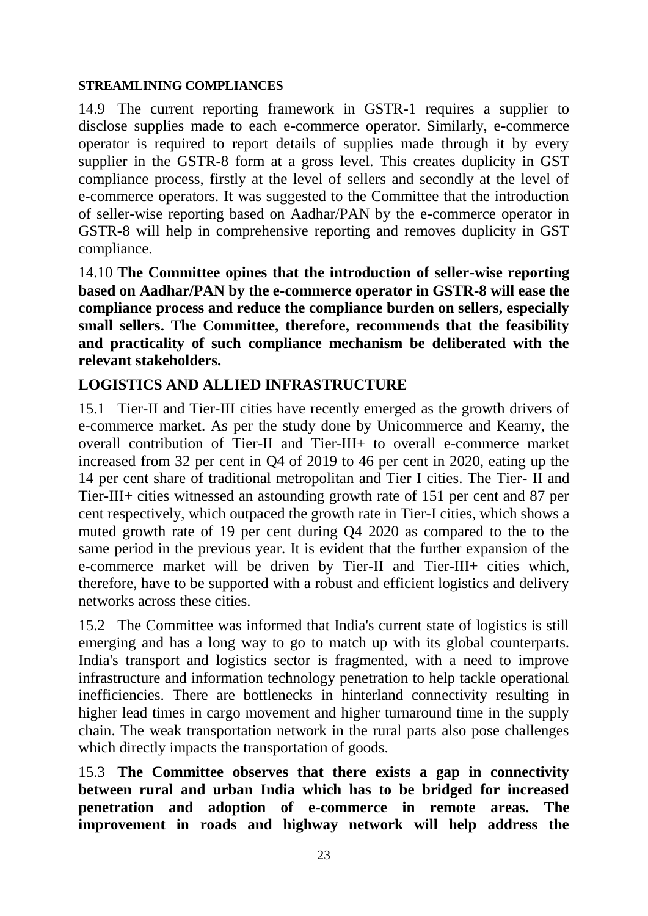#### **STREAMLINING COMPLIANCES**

14.9 The current reporting framework in GSTR-1 requires a supplier to disclose supplies made to each e-commerce operator. Similarly, e-commerce operator is required to report details of supplies made through it by every supplier in the GSTR-8 form at a gross level. This creates duplicity in GST compliance process, firstly at the level of sellers and secondly at the level of e-commerce operators. It was suggested to the Committee that the introduction of seller-wise reporting based on Aadhar/PAN by the e-commerce operator in GSTR-8 will help in comprehensive reporting and removes duplicity in GST compliance.

14.10 **The Committee opines that the introduction of seller-wise reporting based on Aadhar/PAN by the e-commerce operator in GSTR-8 will ease the compliance process and reduce the compliance burden on sellers, especially small sellers. The Committee, therefore, recommends that the feasibility and practicality of such compliance mechanism be deliberated with the relevant stakeholders.** 

# **LOGISTICS AND ALLIED INFRASTRUCTURE**

15.1 Tier-II and Tier-III cities have recently emerged as the growth drivers of e-commerce market. As per the study done by Unicommerce and Kearny, the overall contribution of Tier-II and Tier-III+ to overall e-commerce market increased from 32 per cent in Q4 of 2019 to 46 per cent in 2020, eating up the 14 per cent share of traditional metropolitan and Tier I cities. The Tier- II and Tier-III+ cities witnessed an astounding growth rate of 151 per cent and 87 per cent respectively, which outpaced the growth rate in Tier-I cities, which shows a muted growth rate of 19 per cent during Q4 2020 as compared to the to the same period in the previous year. It is evident that the further expansion of the e-commerce market will be driven by Tier-II and Tier-III+ cities which, therefore, have to be supported with a robust and efficient logistics and delivery networks across these cities.

15.2 The Committee was informed that India's current state of logistics is still emerging and has a long way to go to match up with its global counterparts. India's transport and logistics sector is fragmented, with a need to improve infrastructure and information technology penetration to help tackle operational inefficiencies. There are bottlenecks in hinterland connectivity resulting in higher lead times in cargo movement and higher turnaround time in the supply chain. The weak transportation network in the rural parts also pose challenges which directly impacts the transportation of goods.

15.3 **The Committee observes that there exists a gap in connectivity between rural and urban India which has to be bridged for increased penetration and adoption of e-commerce in remote areas. The improvement in roads and highway network will help address the**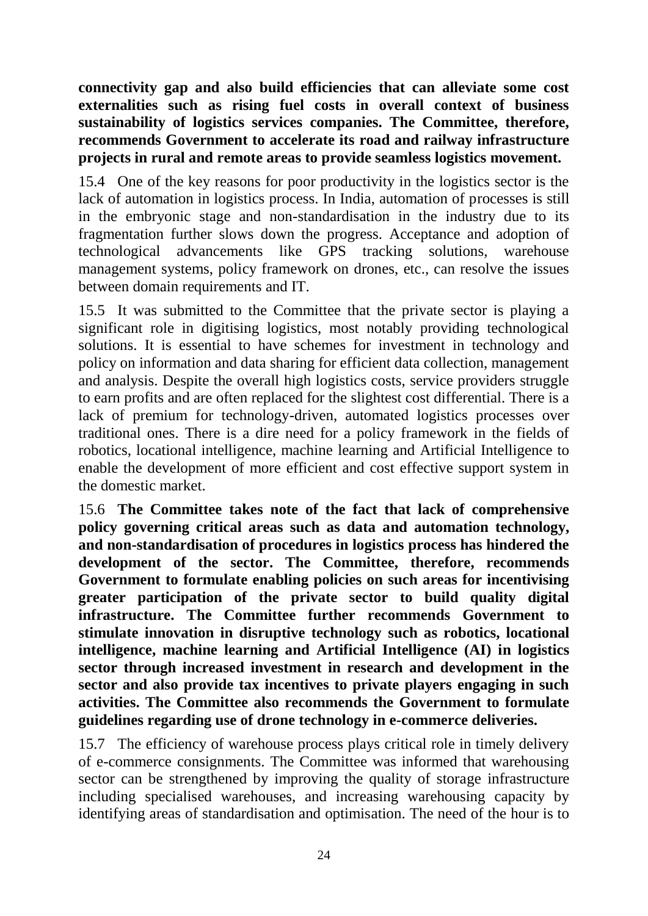**connectivity gap and also build efficiencies that can alleviate some cost externalities such as rising fuel costs in overall context of business sustainability of logistics services companies. The Committee, therefore, recommends Government to accelerate its road and railway infrastructure projects in rural and remote areas to provide seamless logistics movement.** 

15.4 One of the key reasons for poor productivity in the logistics sector is the lack of automation in logistics process. In India, automation of processes is still in the embryonic stage and non-standardisation in the industry due to its fragmentation further slows down the progress. Acceptance and adoption of technological advancements like GPS tracking solutions, warehouse management systems, policy framework on drones, etc., can resolve the issues between domain requirements and IT.

15.5 It was submitted to the Committee that the private sector is playing a significant role in digitising logistics, most notably providing technological solutions. It is essential to have schemes for investment in technology and policy on information and data sharing for efficient data collection, management and analysis. Despite the overall high logistics costs, service providers struggle to earn profits and are often replaced for the slightest cost differential. There is a lack of premium for technology-driven, automated logistics processes over traditional ones. There is a dire need for a policy framework in the fields of robotics, locational intelligence, machine learning and Artificial Intelligence to enable the development of more efficient and cost effective support system in the domestic market.

15.6 **The Committee takes note of the fact that lack of comprehensive policy governing critical areas such as data and automation technology, and non-standardisation of procedures in logistics process has hindered the development of the sector. The Committee, therefore, recommends Government to formulate enabling policies on such areas for incentivising greater participation of the private sector to build quality digital infrastructure. The Committee further recommends Government to stimulate innovation in disruptive technology such as robotics, locational intelligence, machine learning and Artificial Intelligence (AI) in logistics sector through increased investment in research and development in the sector and also provide tax incentives to private players engaging in such activities. The Committee also recommends the Government to formulate guidelines regarding use of drone technology in e-commerce deliveries.** 

15.7 The efficiency of warehouse process plays critical role in timely delivery of e-commerce consignments. The Committee was informed that warehousing sector can be strengthened by improving the quality of storage infrastructure including specialised warehouses, and increasing warehousing capacity by identifying areas of standardisation and optimisation. The need of the hour is to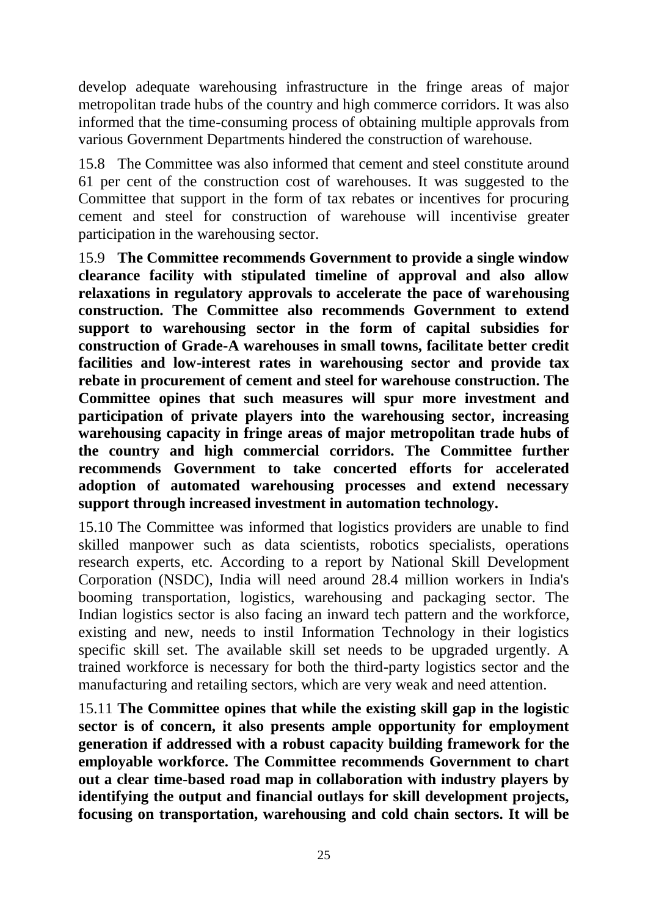develop adequate warehousing infrastructure in the fringe areas of major metropolitan trade hubs of the country and high commerce corridors. It was also informed that the time-consuming process of obtaining multiple approvals from various Government Departments hindered the construction of warehouse.

15.8 The Committee was also informed that cement and steel constitute around 61 per cent of the construction cost of warehouses. It was suggested to the Committee that support in the form of tax rebates or incentives for procuring cement and steel for construction of warehouse will incentivise greater participation in the warehousing sector.

15.9 **The Committee recommends Government to provide a single window clearance facility with stipulated timeline of approval and also allow relaxations in regulatory approvals to accelerate the pace of warehousing construction. The Committee also recommends Government to extend support to warehousing sector in the form of capital subsidies for construction of Grade-A warehouses in small towns, facilitate better credit facilities and low-interest rates in warehousing sector and provide tax rebate in procurement of cement and steel for warehouse construction. The Committee opines that such measures will spur more investment and participation of private players into the warehousing sector, increasing warehousing capacity in fringe areas of major metropolitan trade hubs of the country and high commercial corridors. The Committee further recommends Government to take concerted efforts for accelerated adoption of automated warehousing processes and extend necessary support through increased investment in automation technology.** 

15.10 The Committee was informed that logistics providers are unable to find skilled manpower such as data scientists, robotics specialists, operations research experts, etc. According to a report by National Skill Development Corporation (NSDC), India will need around 28.4 million workers in India's booming transportation, logistics, warehousing and packaging sector. The Indian logistics sector is also facing an inward tech pattern and the workforce, existing and new, needs to instil Information Technology in their logistics specific skill set. The available skill set needs to be upgraded urgently. A trained workforce is necessary for both the third-party logistics sector and the manufacturing and retailing sectors, which are very weak and need attention.

15.11 **The Committee opines that while the existing skill gap in the logistic sector is of concern, it also presents ample opportunity for employment generation if addressed with a robust capacity building framework for the employable workforce. The Committee recommends Government to chart out a clear time-based road map in collaboration with industry players by identifying the output and financial outlays for skill development projects, focusing on transportation, warehousing and cold chain sectors. It will be**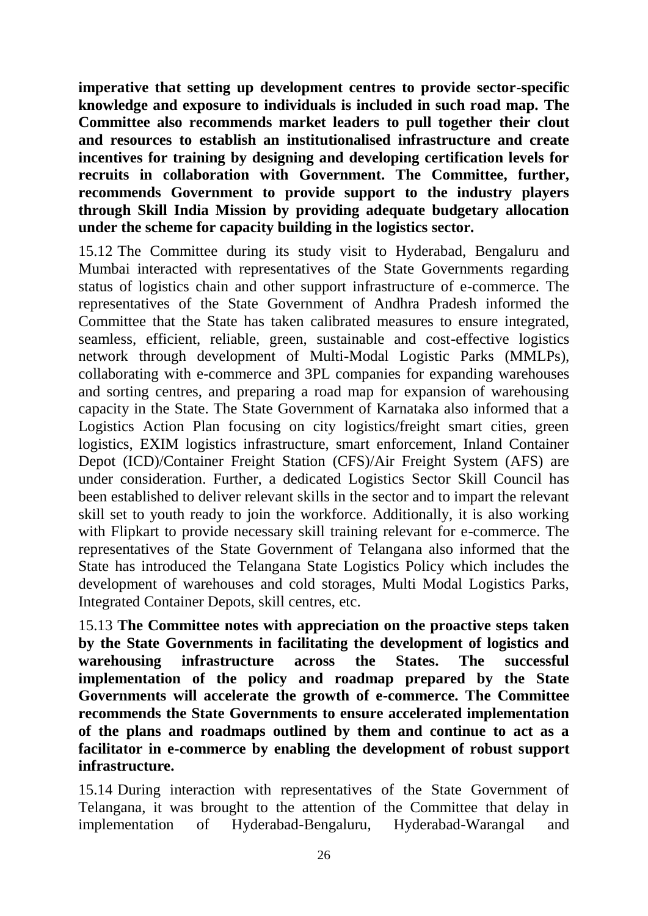**imperative that setting up development centres to provide sector-specific knowledge and exposure to individuals is included in such road map. The Committee also recommends market leaders to pull together their clout and resources to establish an institutionalised infrastructure and create incentives for training by designing and developing certification levels for recruits in collaboration with Government. The Committee, further, recommends Government to provide support to the industry players through Skill India Mission by providing adequate budgetary allocation under the scheme for capacity building in the logistics sector.**

15.12 The Committee during its study visit to Hyderabad, Bengaluru and Mumbai interacted with representatives of the State Governments regarding status of logistics chain and other support infrastructure of e-commerce. The representatives of the State Government of Andhra Pradesh informed the Committee that the State has taken calibrated measures to ensure integrated, seamless, efficient, reliable, green, sustainable and cost-effective logistics network through development of Multi-Modal Logistic Parks (MMLPs), collaborating with e-commerce and 3PL companies for expanding warehouses and sorting centres, and preparing a road map for expansion of warehousing capacity in the State. The State Government of Karnataka also informed that a Logistics Action Plan focusing on city logistics/freight smart cities, green logistics, EXIM logistics infrastructure, smart enforcement, Inland Container Depot (ICD)/Container Freight Station (CFS)/Air Freight System (AFS) are under consideration. Further, a dedicated Logistics Sector Skill Council has been established to deliver relevant skills in the sector and to impart the relevant skill set to youth ready to join the workforce. Additionally, it is also working with Flipkart to provide necessary skill training relevant for e-commerce. The representatives of the State Government of Telangana also informed that the State has introduced the Telangana State Logistics Policy which includes the development of warehouses and cold storages, Multi Modal Logistics Parks, Integrated Container Depots, skill centres, etc.

15.13 **The Committee notes with appreciation on the proactive steps taken by the State Governments in facilitating the development of logistics and warehousing infrastructure across the States. The successful implementation of the policy and roadmap prepared by the State Governments will accelerate the growth of e-commerce. The Committee recommends the State Governments to ensure accelerated implementation of the plans and roadmaps outlined by them and continue to act as a facilitator in e-commerce by enabling the development of robust support infrastructure.** 

15.14 During interaction with representatives of the State Government of Telangana, it was brought to the attention of the Committee that delay in implementation of Hyderabad-Bengaluru, Hyderabad-Warangal and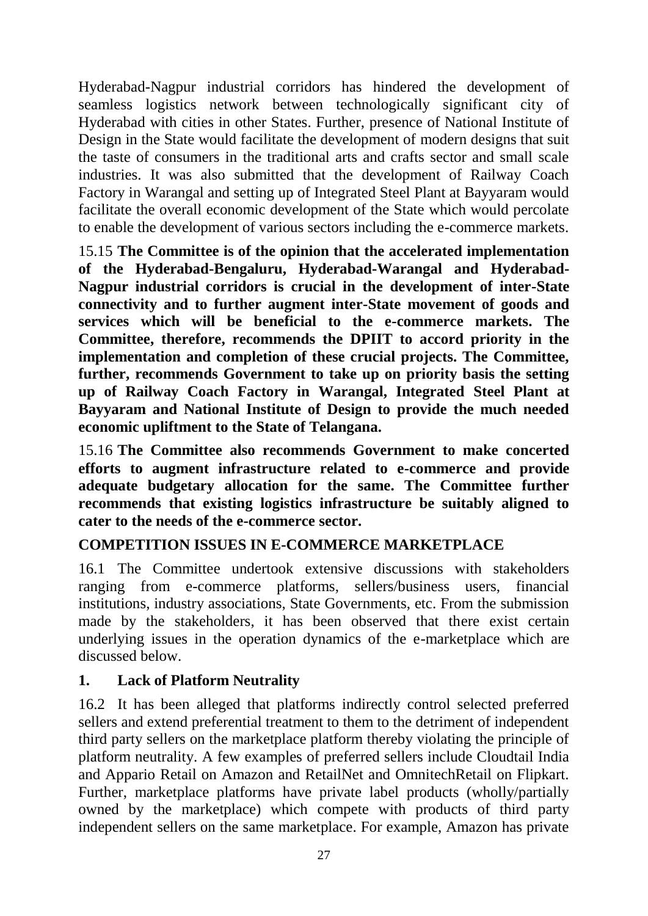Hyderabad-Nagpur industrial corridors has hindered the development of seamless logistics network between technologically significant city of Hyderabad with cities in other States. Further, presence of National Institute of Design in the State would facilitate the development of modern designs that suit the taste of consumers in the traditional arts and crafts sector and small scale industries. It was also submitted that the development of Railway Coach Factory in Warangal and setting up of Integrated Steel Plant at Bayyaram would facilitate the overall economic development of the State which would percolate to enable the development of various sectors including the e-commerce markets.

15.15 **The Committee is of the opinion that the accelerated implementation of the Hyderabad-Bengaluru, Hyderabad-Warangal and Hyderabad-Nagpur industrial corridors is crucial in the development of inter-State connectivity and to further augment inter-State movement of goods and services which will be beneficial to the e-commerce markets. The Committee, therefore, recommends the DPIIT to accord priority in the implementation and completion of these crucial projects. The Committee, further, recommends Government to take up on priority basis the setting up of Railway Coach Factory in Warangal, Integrated Steel Plant at Bayyaram and National Institute of Design to provide the much needed economic upliftment to the State of Telangana.** 

15.16 **The Committee also recommends Government to make concerted efforts to augment infrastructure related to e-commerce and provide adequate budgetary allocation for the same. The Committee further recommends that existing logistics infrastructure be suitably aligned to cater to the needs of the e-commerce sector.** 

# **COMPETITION ISSUES IN E-COMMERCE MARKETPLACE**

16.1 The Committee undertook extensive discussions with stakeholders ranging from e-commerce platforms, sellers/business users, financial institutions, industry associations, State Governments, etc. From the submission made by the stakeholders, it has been observed that there exist certain underlying issues in the operation dynamics of the e-marketplace which are discussed below.

# **1. Lack of Platform Neutrality**

16.2 It has been alleged that platforms indirectly control selected preferred sellers and extend preferential treatment to them to the detriment of independent third party sellers on the marketplace platform thereby violating the principle of platform neutrality. A few examples of preferred sellers include Cloudtail India and Appario Retail on Amazon and RetailNet and OmnitechRetail on Flipkart. Further, marketplace platforms have private label products (wholly/partially owned by the marketplace) which compete with products of third party independent sellers on the same marketplace. For example, Amazon has private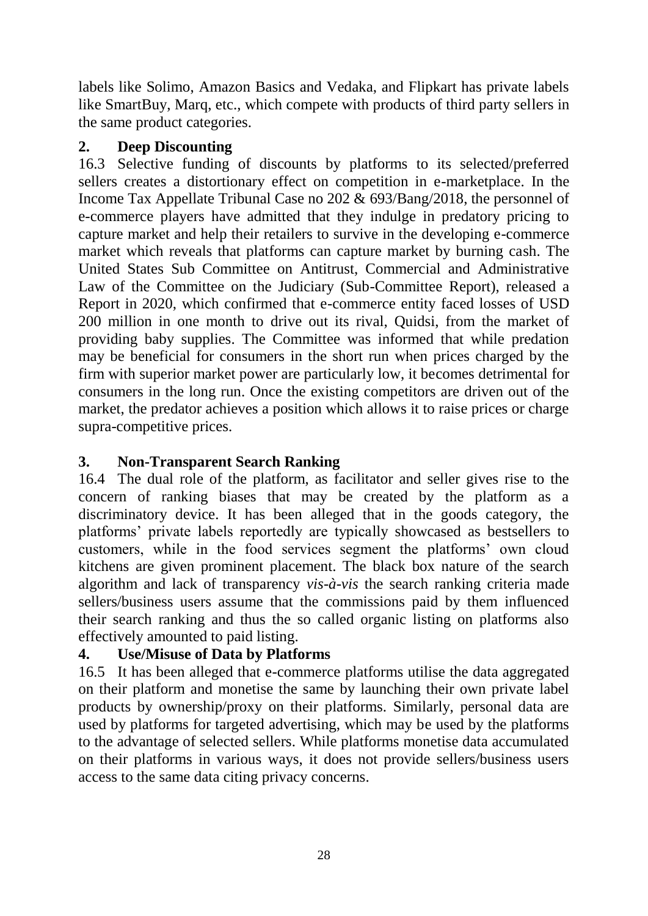labels like Solimo, Amazon Basics and Vedaka, and Flipkart has private labels like SmartBuy, Marq, etc., which compete with products of third party sellers in the same product categories.

## **2. Deep Discounting**

16.3 Selective funding of discounts by platforms to its selected/preferred sellers creates a distortionary effect on competition in e-marketplace. In the Income Tax Appellate Tribunal Case no 202 & 693/Bang/2018, the personnel of e-commerce players have admitted that they indulge in predatory pricing to capture market and help their retailers to survive in the developing e-commerce market which reveals that platforms can capture market by burning cash. The United States Sub Committee on Antitrust, Commercial and Administrative Law of the Committee on the Judiciary (Sub-Committee Report), released a Report in 2020, which confirmed that e-commerce entity faced losses of USD 200 million in one month to drive out its rival, Quidsi, from the market of providing baby supplies. The Committee was informed that while predation may be beneficial for consumers in the short run when prices charged by the firm with superior market power are particularly low, it becomes detrimental for consumers in the long run. Once the existing competitors are driven out of the market, the predator achieves a position which allows it to raise prices or charge supra-competitive prices.

# **3. Non-Transparent Search Ranking**

16.4 The dual role of the platform, as facilitator and seller gives rise to the concern of ranking biases that may be created by the platform as a discriminatory device. It has been alleged that in the goods category, the platforms' private labels reportedly are typically showcased as bestsellers to customers, while in the food services segment the platforms' own cloud kitchens are given prominent placement. The black box nature of the search algorithm and lack of transparency *vis-à-vis* the search ranking criteria made sellers/business users assume that the commissions paid by them influenced their search ranking and thus the so called organic listing on platforms also effectively amounted to paid listing.

# **4. Use/Misuse of Data by Platforms**

16.5 It has been alleged that e-commerce platforms utilise the data aggregated on their platform and monetise the same by launching their own private label products by ownership/proxy on their platforms. Similarly, personal data are used by platforms for targeted advertising, which may be used by the platforms to the advantage of selected sellers. While platforms monetise data accumulated on their platforms in various ways, it does not provide sellers/business users access to the same data citing privacy concerns.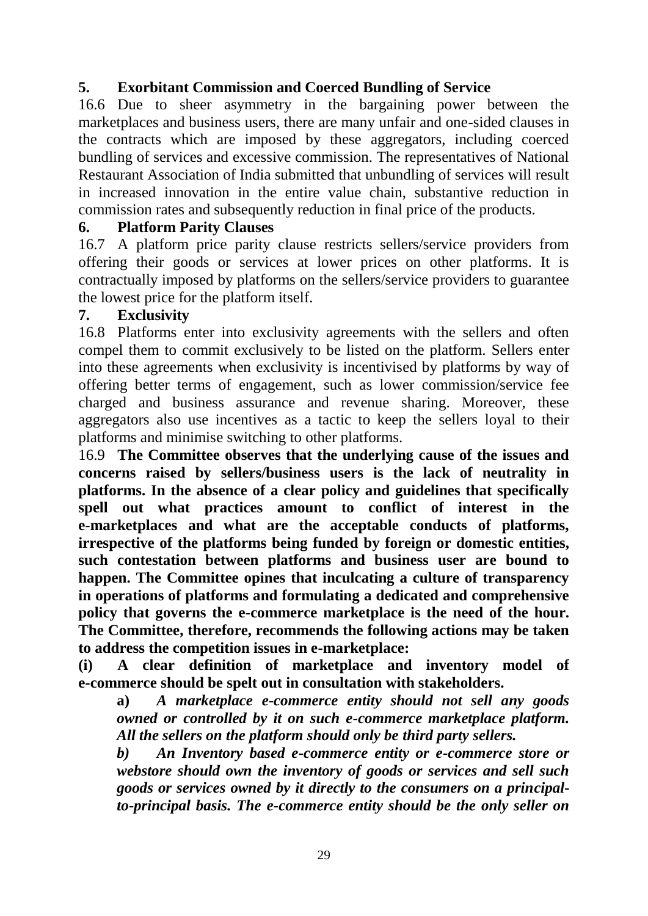# **5. Exorbitant Commission and Coerced Bundling of Service**

16.6 Due to sheer asymmetry in the bargaining power between the marketplaces and business users, there are many unfair and one-sided clauses in the contracts which are imposed by these aggregators, including coerced bundling of services and excessive commission. The representatives of National Restaurant Association of India submitted that unbundling of services will result in increased innovation in the entire value chain, substantive reduction in commission rates and subsequently reduction in final price of the products.

### **6. Platform Parity Clauses**

16.7 A platform price parity clause restricts sellers/service providers from offering their goods or services at lower prices on other platforms. It is contractually imposed by platforms on the sellers/service providers to guarantee the lowest price for the platform itself.

### **7. Exclusivity**

16.8 Platforms enter into exclusivity agreements with the sellers and often compel them to commit exclusively to be listed on the platform. Sellers enter into these agreements when exclusivity is incentivised by platforms by way of offering better terms of engagement, such as lower commission/service fee charged and business assurance and revenue sharing. Moreover, these aggregators also use incentives as a tactic to keep the sellers loyal to their platforms and minimise switching to other platforms.

16.9 **The Committee observes that the underlying cause of the issues and concerns raised by sellers/business users is the lack of neutrality in platforms. In the absence of a clear policy and guidelines that specifically spell out what practices amount to conflict of interest in the e-marketplaces and what are the acceptable conducts of platforms, irrespective of the platforms being funded by foreign or domestic entities, such contestation between platforms and business user are bound to happen. The Committee opines that inculcating a culture of transparency in operations of platforms and formulating a dedicated and comprehensive policy that governs the e-commerce marketplace is the need of the hour. The Committee, therefore, recommends the following actions may be taken to address the competition issues in e-marketplace:**

**(i) A clear definition of marketplace and inventory model of e-commerce should be spelt out in consultation with stakeholders.**

**a)** *A marketplace e-commerce entity should not sell any goods owned or controlled by it on such e-commerce marketplace platform. All the sellers on the platform should only be third party sellers.* 

*b) An Inventory based e-commerce entity or e-commerce store or webstore should own the inventory of goods or services and sell such goods or services owned by it directly to the consumers on a principalto-principal basis. The e-commerce entity should be the only seller on*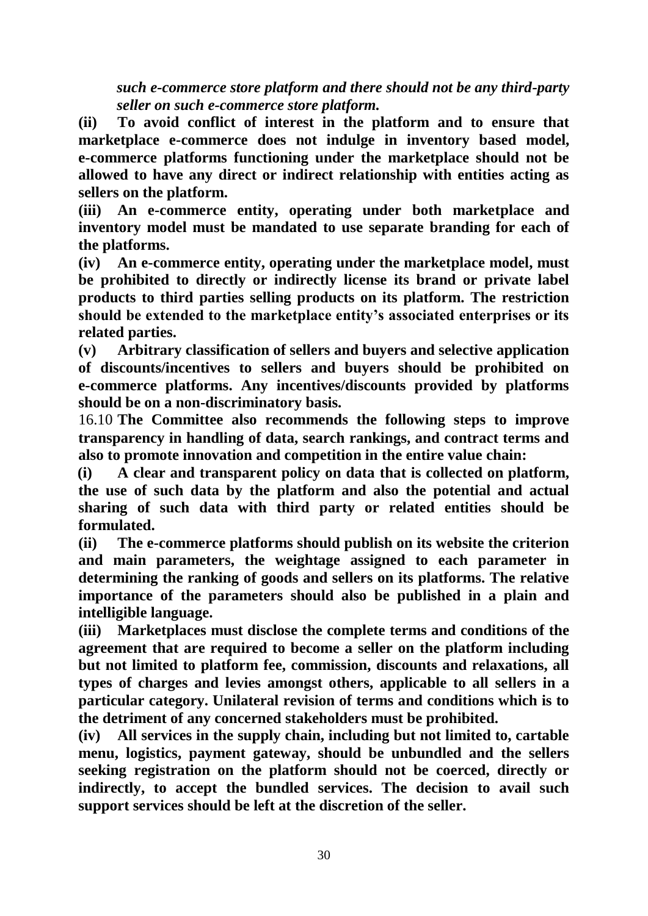*such e-commerce store platform and there should not be any third-party seller on such e-commerce store platform.* 

**(ii) To avoid conflict of interest in the platform and to ensure that marketplace e-commerce does not indulge in inventory based model, e-commerce platforms functioning under the marketplace should not be allowed to have any direct or indirect relationship with entities acting as sellers on the platform.** 

**(iii) An e-commerce entity, operating under both marketplace and inventory model must be mandated to use separate branding for each of the platforms.** 

**(iv) An e-commerce entity, operating under the marketplace model, must be prohibited to directly or indirectly license its brand or private label products to third parties selling products on its platform. The restriction should be extended to the marketplace entity's associated enterprises or its related parties.** 

**(v) Arbitrary classification of sellers and buyers and selective application of discounts/incentives to sellers and buyers should be prohibited on e-commerce platforms. Any incentives/discounts provided by platforms should be on a non-discriminatory basis.** 

16.10 **The Committee also recommends the following steps to improve transparency in handling of data, search rankings, and contract terms and also to promote innovation and competition in the entire value chain:**

**(i) A clear and transparent policy on data that is collected on platform, the use of such data by the platform and also the potential and actual sharing of such data with third party or related entities should be formulated.** 

**(ii) The e-commerce platforms should publish on its website the criterion and main parameters, the weightage assigned to each parameter in determining the ranking of goods and sellers on its platforms. The relative importance of the parameters should also be published in a plain and intelligible language.** 

**(iii) Marketplaces must disclose the complete terms and conditions of the agreement that are required to become a seller on the platform including but not limited to platform fee, commission, discounts and relaxations, all types of charges and levies amongst others, applicable to all sellers in a particular category. Unilateral revision of terms and conditions which is to the detriment of any concerned stakeholders must be prohibited.** 

**(iv) All services in the supply chain, including but not limited to, cartable menu, logistics, payment gateway, should be unbundled and the sellers seeking registration on the platform should not be coerced, directly or indirectly, to accept the bundled services. The decision to avail such support services should be left at the discretion of the seller.**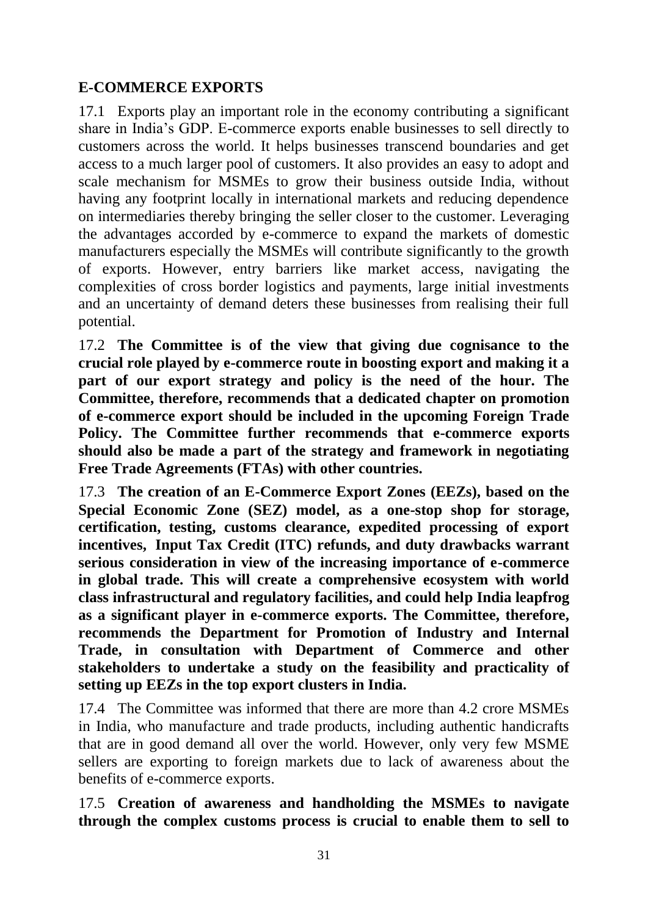# **E-COMMERCE EXPORTS**

17.1 Exports play an important role in the economy contributing a significant share in India's GDP. E-commerce exports enable businesses to sell directly to customers across the world. It helps businesses transcend boundaries and get access to a much larger pool of customers. It also provides an easy to adopt and scale mechanism for MSMEs to grow their business outside India, without having any footprint locally in international markets and reducing dependence on intermediaries thereby bringing the seller closer to the customer. Leveraging the advantages accorded by e-commerce to expand the markets of domestic manufacturers especially the MSMEs will contribute significantly to the growth of exports. However, entry barriers like market access, navigating the complexities of cross border logistics and payments, large initial investments and an uncertainty of demand deters these businesses from realising their full potential.

17.2 **The Committee is of the view that giving due cognisance to the crucial role played by e-commerce route in boosting export and making it a part of our export strategy and policy is the need of the hour. The Committee, therefore, recommends that a dedicated chapter on promotion of e-commerce export should be included in the upcoming Foreign Trade Policy. The Committee further recommends that e-commerce exports should also be made a part of the strategy and framework in negotiating Free Trade Agreements (FTAs) with other countries.** 

17.3 **The creation of an E-Commerce Export Zones (EEZs), based on the Special Economic Zone (SEZ) model, as a one-stop shop for storage, certification, testing, customs clearance, expedited processing of export incentives, Input Tax Credit (ITC) refunds, and duty drawbacks warrant serious consideration in view of the increasing importance of e-commerce in global trade. This will create a comprehensive ecosystem with world class infrastructural and regulatory facilities, and could help India leapfrog as a significant player in e-commerce exports. The Committee, therefore, recommends the Department for Promotion of Industry and Internal Trade, in consultation with Department of Commerce and other stakeholders to undertake a study on the feasibility and practicality of setting up EEZs in the top export clusters in India.**

17.4 The Committee was informed that there are more than 4.2 crore MSMEs in India, who manufacture and trade products, including authentic handicrafts that are in good demand all over the world. However, only very few MSME sellers are exporting to foreign markets due to lack of awareness about the benefits of e-commerce exports.

17.5 **Creation of awareness and handholding the MSMEs to navigate through the complex customs process is crucial to enable them to sell to**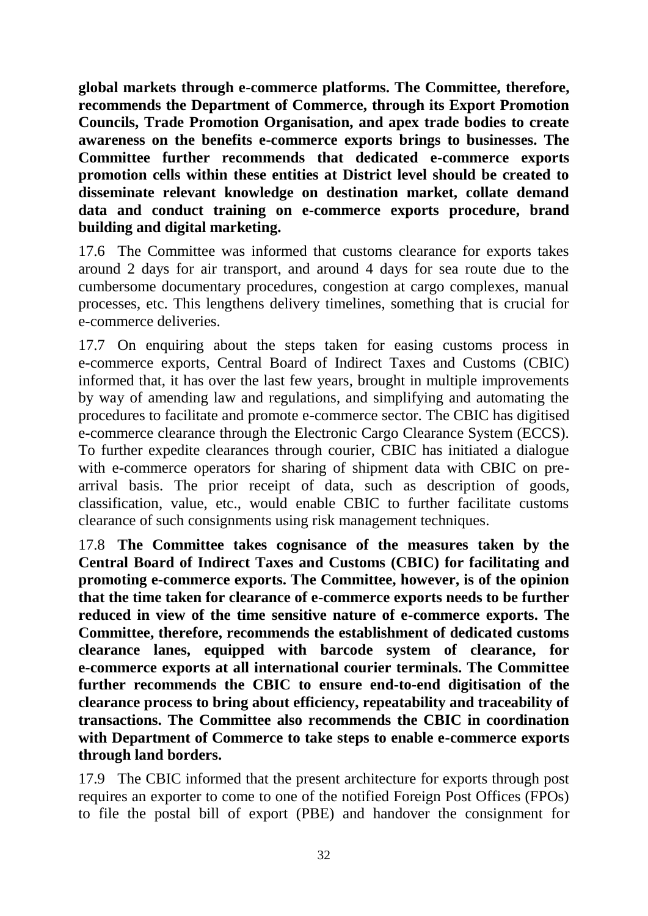**global markets through e-commerce platforms. The Committee, therefore, recommends the Department of Commerce, through its Export Promotion Councils, Trade Promotion Organisation, and apex trade bodies to create awareness on the benefits e-commerce exports brings to businesses. The Committee further recommends that dedicated e-commerce exports promotion cells within these entities at District level should be created to disseminate relevant knowledge on destination market, collate demand data and conduct training on e-commerce exports procedure, brand building and digital marketing.**

17.6 The Committee was informed that customs clearance for exports takes around 2 days for air transport, and around 4 days for sea route due to the cumbersome documentary procedures, congestion at cargo complexes, manual processes, etc. This lengthens delivery timelines, something that is crucial for e-commerce deliveries.

17.7 On enquiring about the steps taken for easing customs process in e-commerce exports, Central Board of Indirect Taxes and Customs (CBIC) informed that, it has over the last few years, brought in multiple improvements by way of amending law and regulations, and simplifying and automating the procedures to facilitate and promote e-commerce sector. The CBIC has digitised e-commerce clearance through the Electronic Cargo Clearance System (ECCS). To further expedite clearances through courier, CBIC has initiated a dialogue with e-commerce operators for sharing of shipment data with CBIC on prearrival basis. The prior receipt of data, such as description of goods, classification, value, etc., would enable CBIC to further facilitate customs clearance of such consignments using risk management techniques.

17.8 **The Committee takes cognisance of the measures taken by the Central Board of Indirect Taxes and Customs (CBIC) for facilitating and promoting e-commerce exports. The Committee, however, is of the opinion that the time taken for clearance of e-commerce exports needs to be further reduced in view of the time sensitive nature of e-commerce exports. The Committee, therefore, recommends the establishment of dedicated customs clearance lanes, equipped with barcode system of clearance, for e-commerce exports at all international courier terminals. The Committee further recommends the CBIC to ensure end-to-end digitisation of the clearance process to bring about efficiency, repeatability and traceability of transactions. The Committee also recommends the CBIC in coordination with Department of Commerce to take steps to enable e-commerce exports through land borders.** 

17.9 The CBIC informed that the present architecture for exports through post requires an exporter to come to one of the notified Foreign Post Offices (FPOs) to file the postal bill of export (PBE) and handover the consignment for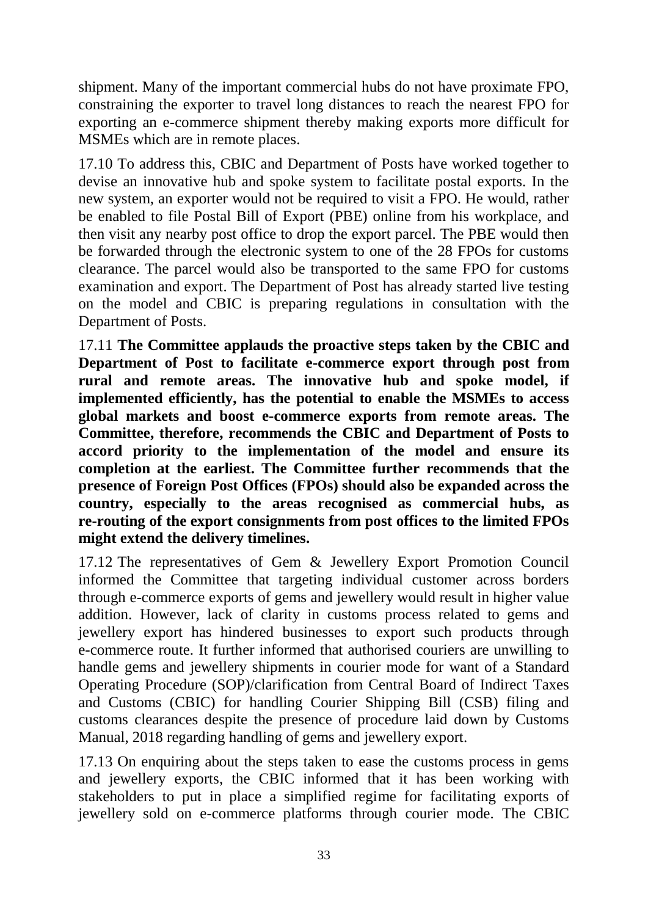shipment. Many of the important commercial hubs do not have proximate FPO, constraining the exporter to travel long distances to reach the nearest FPO for exporting an e-commerce shipment thereby making exports more difficult for MSMEs which are in remote places.

17.10 To address this, CBIC and Department of Posts have worked together to devise an innovative hub and spoke system to facilitate postal exports. In the new system, an exporter would not be required to visit a FPO. He would, rather be enabled to file Postal Bill of Export (PBE) online from his workplace, and then visit any nearby post office to drop the export parcel. The PBE would then be forwarded through the electronic system to one of the 28 FPOs for customs clearance. The parcel would also be transported to the same FPO for customs examination and export. The Department of Post has already started live testing on the model and CBIC is preparing regulations in consultation with the Department of Posts.

17.11 **The Committee applauds the proactive steps taken by the CBIC and Department of Post to facilitate e-commerce export through post from rural and remote areas. The innovative hub and spoke model, if implemented efficiently, has the potential to enable the MSMEs to access global markets and boost e-commerce exports from remote areas. The Committee, therefore, recommends the CBIC and Department of Posts to accord priority to the implementation of the model and ensure its completion at the earliest. The Committee further recommends that the presence of Foreign Post Offices (FPOs) should also be expanded across the country, especially to the areas recognised as commercial hubs, as re-routing of the export consignments from post offices to the limited FPOs might extend the delivery timelines.** 

17.12 The representatives of Gem & Jewellery Export Promotion Council informed the Committee that targeting individual customer across borders through e-commerce exports of gems and jewellery would result in higher value addition. However, lack of clarity in customs process related to gems and jewellery export has hindered businesses to export such products through e-commerce route. It further informed that authorised couriers are unwilling to handle gems and jewellery shipments in courier mode for want of a Standard Operating Procedure (SOP)/clarification from Central Board of Indirect Taxes and Customs (CBIC) for handling Courier Shipping Bill (CSB) filing and customs clearances despite the presence of procedure laid down by Customs Manual, 2018 regarding handling of gems and jewellery export.

17.13 On enquiring about the steps taken to ease the customs process in gems and jewellery exports, the CBIC informed that it has been working with stakeholders to put in place a simplified regime for facilitating exports of jewellery sold on e-commerce platforms through courier mode. The CBIC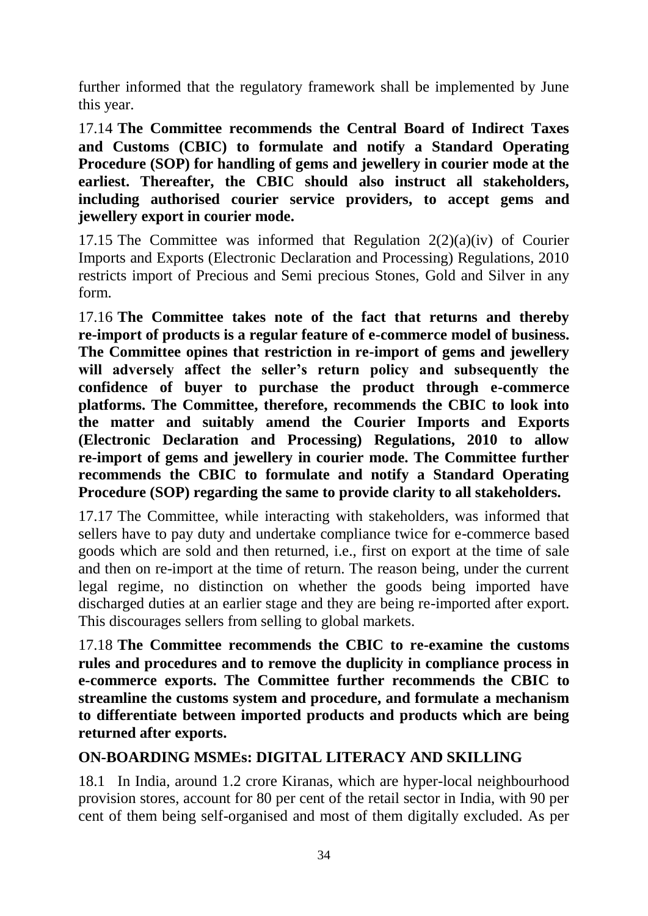further informed that the regulatory framework shall be implemented by June this year.

17.14 **The Committee recommends the Central Board of Indirect Taxes and Customs (CBIC) to formulate and notify a Standard Operating Procedure (SOP) for handling of gems and jewellery in courier mode at the earliest. Thereafter, the CBIC should also instruct all stakeholders, including authorised courier service providers, to accept gems and jewellery export in courier mode.**

17.15 The Committee was informed that Regulation  $2(2)(a)(iv)$  of Courier Imports and Exports (Electronic Declaration and Processing) Regulations, 2010 restricts import of Precious and Semi precious Stones, Gold and Silver in any form.

17.16 **The Committee takes note of the fact that returns and thereby re-import of products is a regular feature of e-commerce model of business. The Committee opines that restriction in re-import of gems and jewellery will adversely affect the seller's return policy and subsequently the confidence of buyer to purchase the product through e-commerce platforms. The Committee, therefore, recommends the CBIC to look into the matter and suitably amend the Courier Imports and Exports (Electronic Declaration and Processing) Regulations, 2010 to allow re-import of gems and jewellery in courier mode. The Committee further recommends the CBIC to formulate and notify a Standard Operating Procedure (SOP) regarding the same to provide clarity to all stakeholders.** 

17.17 The Committee, while interacting with stakeholders, was informed that sellers have to pay duty and undertake compliance twice for e-commerce based goods which are sold and then returned, i.e., first on export at the time of sale and then on re-import at the time of return. The reason being, under the current legal regime, no distinction on whether the goods being imported have discharged duties at an earlier stage and they are being re-imported after export. This discourages sellers from selling to global markets.

17.18 **The Committee recommends the CBIC to re-examine the customs rules and procedures and to remove the duplicity in compliance process in e-commerce exports. The Committee further recommends the CBIC to streamline the customs system and procedure, and formulate a mechanism to differentiate between imported products and products which are being returned after exports.** 

# **ON-BOARDING MSMEs: DIGITAL LITERACY AND SKILLING**

18.1 In India, around 1.2 crore Kiranas, which are hyper-local neighbourhood provision stores, account for 80 per cent of the retail sector in India, with 90 per cent of them being self-organised and most of them digitally excluded. As per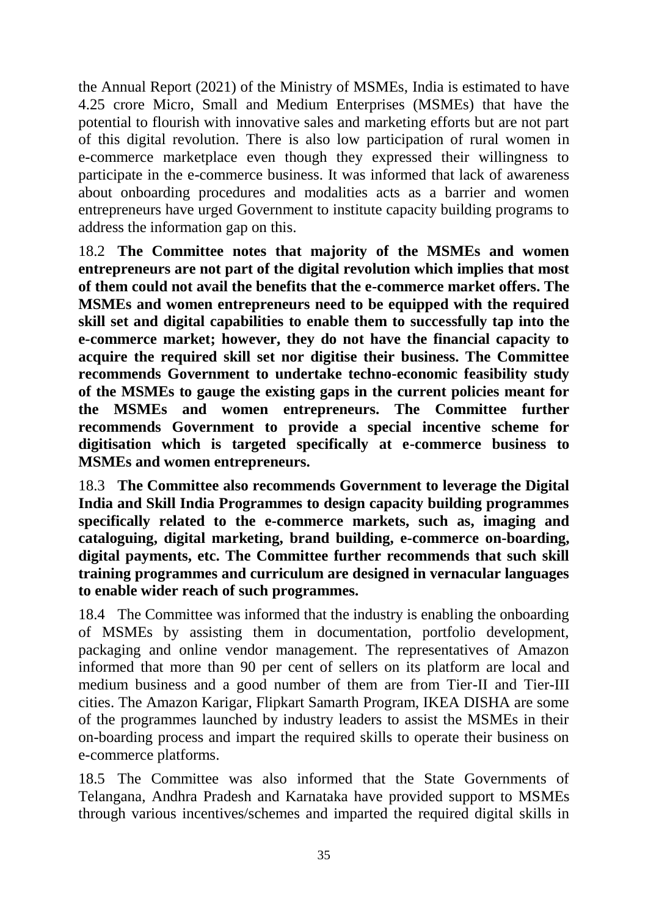the Annual Report (2021) of the Ministry of MSMEs, India is estimated to have 4.25 crore Micro, Small and Medium Enterprises (MSMEs) that have the potential to flourish with innovative sales and marketing efforts but are not part of this digital revolution. There is also low participation of rural women in e-commerce marketplace even though they expressed their willingness to participate in the e-commerce business. It was informed that lack of awareness about onboarding procedures and modalities acts as a barrier and women entrepreneurs have urged Government to institute capacity building programs to address the information gap on this.

18.2 **The Committee notes that majority of the MSMEs and women entrepreneurs are not part of the digital revolution which implies that most of them could not avail the benefits that the e-commerce market offers. The MSMEs and women entrepreneurs need to be equipped with the required skill set and digital capabilities to enable them to successfully tap into the e-commerce market; however, they do not have the financial capacity to acquire the required skill set nor digitise their business. The Committee recommends Government to undertake techno-economic feasibility study of the MSMEs to gauge the existing gaps in the current policies meant for the MSMEs and women entrepreneurs. The Committee further recommends Government to provide a special incentive scheme for digitisation which is targeted specifically at e-commerce business to MSMEs and women entrepreneurs.** 

18.3 **The Committee also recommends Government to leverage the Digital India and Skill India Programmes to design capacity building programmes specifically related to the e-commerce markets, such as, imaging and cataloguing, digital marketing, brand building, e-commerce on-boarding, digital payments, etc. The Committee further recommends that such skill training programmes and curriculum are designed in vernacular languages to enable wider reach of such programmes.** 

18.4 The Committee was informed that the industry is enabling the onboarding of MSMEs by assisting them in documentation, portfolio development, packaging and online vendor management. The representatives of Amazon informed that more than 90 per cent of sellers on its platform are local and medium business and a good number of them are from Tier-II and Tier-III cities. The Amazon Karigar, Flipkart Samarth Program, IKEA DISHA are some of the programmes launched by industry leaders to assist the MSMEs in their on-boarding process and impart the required skills to operate their business on e-commerce platforms.

18.5 The Committee was also informed that the State Governments of Telangana, Andhra Pradesh and Karnataka have provided support to MSMEs through various incentives/schemes and imparted the required digital skills in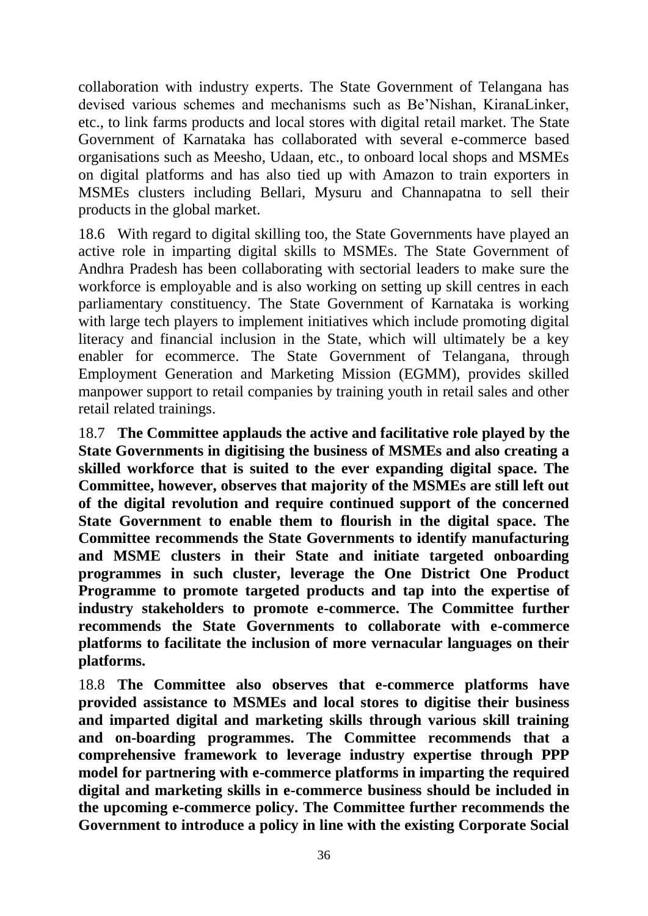collaboration with industry experts. The State Government of Telangana has devised various schemes and mechanisms such as Be'Nishan, KiranaLinker, etc., to link farms products and local stores with digital retail market. The State Government of Karnataka has collaborated with several e-commerce based organisations such as Meesho, Udaan, etc., to onboard local shops and MSMEs on digital platforms and has also tied up with Amazon to train exporters in MSMEs clusters including Bellari, Mysuru and Channapatna to sell their products in the global market.

18.6 With regard to digital skilling too, the State Governments have played an active role in imparting digital skills to MSMEs. The State Government of Andhra Pradesh has been collaborating with sectorial leaders to make sure the workforce is employable and is also working on setting up skill centres in each parliamentary constituency. The State Government of Karnataka is working with large tech players to implement initiatives which include promoting digital literacy and financial inclusion in the State, which will ultimately be a key enabler for ecommerce. The State Government of Telangana, through Employment Generation and Marketing Mission (EGMM), provides skilled manpower support to retail companies by training youth in retail sales and other retail related trainings.

18.7 **The Committee applauds the active and facilitative role played by the State Governments in digitising the business of MSMEs and also creating a skilled workforce that is suited to the ever expanding digital space. The Committee, however, observes that majority of the MSMEs are still left out of the digital revolution and require continued support of the concerned State Government to enable them to flourish in the digital space. The Committee recommends the State Governments to identify manufacturing and MSME clusters in their State and initiate targeted onboarding programmes in such cluster, leverage the One District One Product Programme to promote targeted products and tap into the expertise of industry stakeholders to promote e-commerce. The Committee further recommends the State Governments to collaborate with e-commerce platforms to facilitate the inclusion of more vernacular languages on their platforms.** 

18.8 **The Committee also observes that e-commerce platforms have provided assistance to MSMEs and local stores to digitise their business and imparted digital and marketing skills through various skill training and on-boarding programmes. The Committee recommends that a comprehensive framework to leverage industry expertise through PPP model for partnering with e-commerce platforms in imparting the required digital and marketing skills in e-commerce business should be included in the upcoming e-commerce policy. The Committee further recommends the Government to introduce a policy in line with the existing Corporate Social**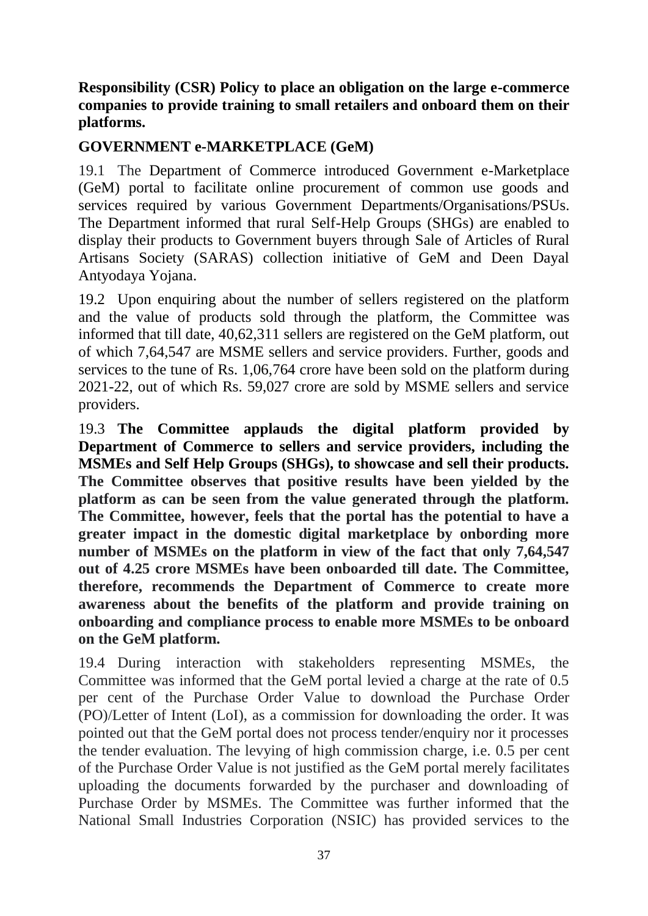# **Responsibility (CSR) Policy to place an obligation on the large e-commerce companies to provide training to small retailers and onboard them on their platforms.**

# **GOVERNMENT e-MARKETPLACE (GeM)**

19.1 The Department of Commerce introduced Government e-Marketplace (GeM) portal to facilitate online procurement of common use goods and services required by various Government Departments/Organisations/PSUs. The Department informed that rural Self-Help Groups (SHGs) are enabled to display their products to Government buyers through Sale of Articles of Rural Artisans Society (SARAS) collection initiative of GeM and Deen Dayal Antyodaya Yojana.

19.2 Upon enquiring about the number of sellers registered on the platform and the value of products sold through the platform, the Committee was informed that till date, 40,62,311 sellers are registered on the GeM platform, out of which 7,64,547 are MSME sellers and service providers. Further, goods and services to the tune of Rs. 1,06,764 crore have been sold on the platform during 2021-22, out of which Rs. 59,027 crore are sold by MSME sellers and service providers.

19.3 **The Committee applauds the digital platform provided by Department of Commerce to sellers and service providers, including the MSMEs and Self Help Groups (SHGs), to showcase and sell their products. The Committee observes that positive results have been yielded by the platform as can be seen from the value generated through the platform. The Committee, however, feels that the portal has the potential to have a greater impact in the domestic digital marketplace by onbording more number of MSMEs on the platform in view of the fact that only 7,64,547 out of 4.25 crore MSMEs have been onboarded till date. The Committee, therefore, recommends the Department of Commerce to create more awareness about the benefits of the platform and provide training on onboarding and compliance process to enable more MSMEs to be onboard on the GeM platform.** 

19.4 During interaction with stakeholders representing MSMEs, the Committee was informed that the GeM portal levied a charge at the rate of 0.5 per cent of the Purchase Order Value to download the Purchase Order (PO)/Letter of Intent (LoI), as a commission for downloading the order. It was pointed out that the GeM portal does not process tender/enquiry nor it processes the tender evaluation. The levying of high commission charge, i.e. 0.5 per cent of the Purchase Order Value is not justified as the GeM portal merely facilitates uploading the documents forwarded by the purchaser and downloading of Purchase Order by MSMEs. The Committee was further informed that the National Small Industries Corporation (NSIC) has provided services to the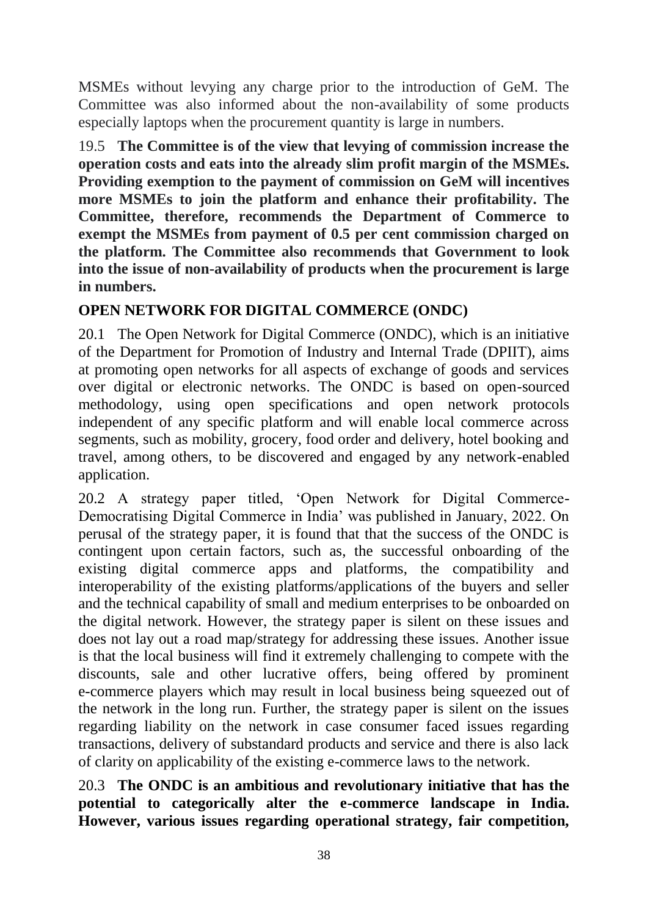MSMEs without levying any charge prior to the introduction of GeM. The Committee was also informed about the non-availability of some products especially laptops when the procurement quantity is large in numbers.

19.5 **The Committee is of the view that levying of commission increase the operation costs and eats into the already slim profit margin of the MSMEs. Providing exemption to the payment of commission on GeM will incentives more MSMEs to join the platform and enhance their profitability. The Committee, therefore, recommends the Department of Commerce to exempt the MSMEs from payment of 0.5 per cent commission charged on the platform. The Committee also recommends that Government to look into the issue of non-availability of products when the procurement is large in numbers.**

# **OPEN NETWORK FOR DIGITAL COMMERCE (ONDC)**

20.1 The Open Network for Digital Commerce (ONDC), which is an initiative of the Department for Promotion of Industry and Internal Trade (DPIIT), aims at promoting open networks for all aspects of exchange of goods and services over digital or electronic networks. The ONDC is based on open-sourced methodology, using open specifications and open network protocols independent of any specific platform and will enable local commerce across segments, such as mobility, grocery, food order and delivery, hotel booking and travel, among others, to be discovered and engaged by any network-enabled application.

20.2 A strategy paper titled, 'Open Network for Digital Commerce-Democratising Digital Commerce in India' was published in January, 2022. On perusal of the strategy paper, it is found that that the success of the ONDC is contingent upon certain factors, such as, the successful onboarding of the existing digital commerce apps and platforms, the compatibility and interoperability of the existing platforms/applications of the buyers and seller and the technical capability of small and medium enterprises to be onboarded on the digital network. However, the strategy paper is silent on these issues and does not lay out a road map/strategy for addressing these issues. Another issue is that the local business will find it extremely challenging to compete with the discounts, sale and other lucrative offers, being offered by prominent e-commerce players which may result in local business being squeezed out of the network in the long run. Further, the strategy paper is silent on the issues regarding liability on the network in case consumer faced issues regarding transactions, delivery of substandard products and service and there is also lack of clarity on applicability of the existing e-commerce laws to the network.

20.3 **The ONDC is an ambitious and revolutionary initiative that has the potential to categorically alter the e-commerce landscape in India. However, various issues regarding operational strategy, fair competition,**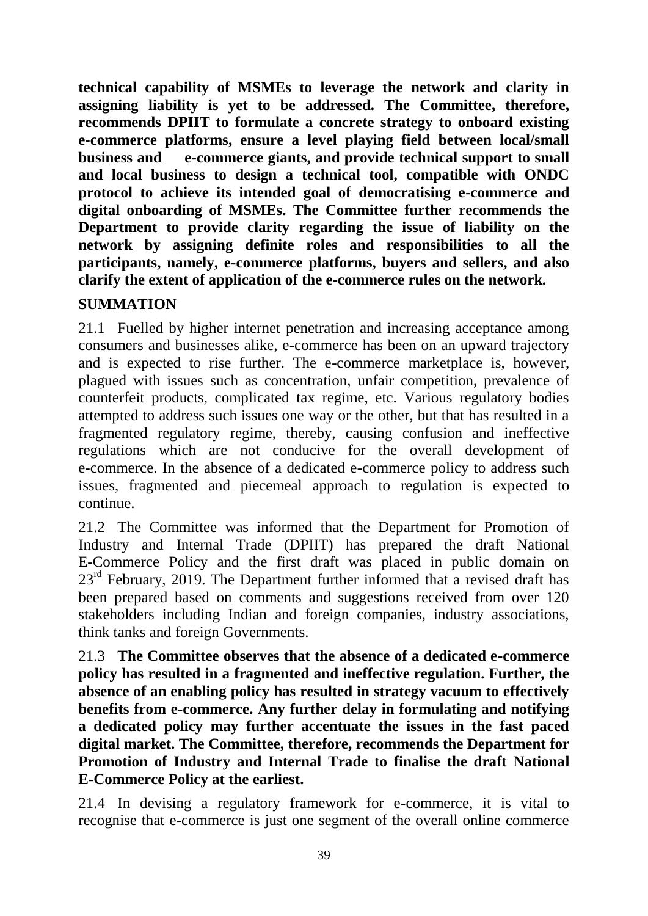**technical capability of MSMEs to leverage the network and clarity in assigning liability is yet to be addressed. The Committee, therefore, recommends DPIIT to formulate a concrete strategy to onboard existing e-commerce platforms, ensure a level playing field between local/small business and e-commerce giants, and provide technical support to small and local business to design a technical tool, compatible with ONDC protocol to achieve its intended goal of democratising e-commerce and digital onboarding of MSMEs. The Committee further recommends the Department to provide clarity regarding the issue of liability on the network by assigning definite roles and responsibilities to all the participants, namely, e-commerce platforms, buyers and sellers, and also clarify the extent of application of the e-commerce rules on the network.** 

# **SUMMATION**

21.1 Fuelled by higher internet penetration and increasing acceptance among consumers and businesses alike, e-commerce has been on an upward trajectory and is expected to rise further. The e-commerce marketplace is, however, plagued with issues such as concentration, unfair competition, prevalence of counterfeit products, complicated tax regime, etc. Various regulatory bodies attempted to address such issues one way or the other, but that has resulted in a fragmented regulatory regime, thereby, causing confusion and ineffective regulations which are not conducive for the overall development of e-commerce. In the absence of a dedicated e-commerce policy to address such issues, fragmented and piecemeal approach to regulation is expected to continue.

21.2 The Committee was informed that the Department for Promotion of Industry and Internal Trade (DPIIT) has prepared the draft National E-Commerce Policy and the first draft was placed in public domain on  $23<sup>rd</sup>$  February, 2019. The Department further informed that a revised draft has been prepared based on comments and suggestions received from over 120 stakeholders including Indian and foreign companies, industry associations, think tanks and foreign Governments.

21.3 **The Committee observes that the absence of a dedicated e-commerce policy has resulted in a fragmented and ineffective regulation. Further, the absence of an enabling policy has resulted in strategy vacuum to effectively benefits from e-commerce. Any further delay in formulating and notifying a dedicated policy may further accentuate the issues in the fast paced digital market. The Committee, therefore, recommends the Department for Promotion of Industry and Internal Trade to finalise the draft National E-Commerce Policy at the earliest.** 

21.4 In devising a regulatory framework for e-commerce, it is vital to recognise that e-commerce is just one segment of the overall online commerce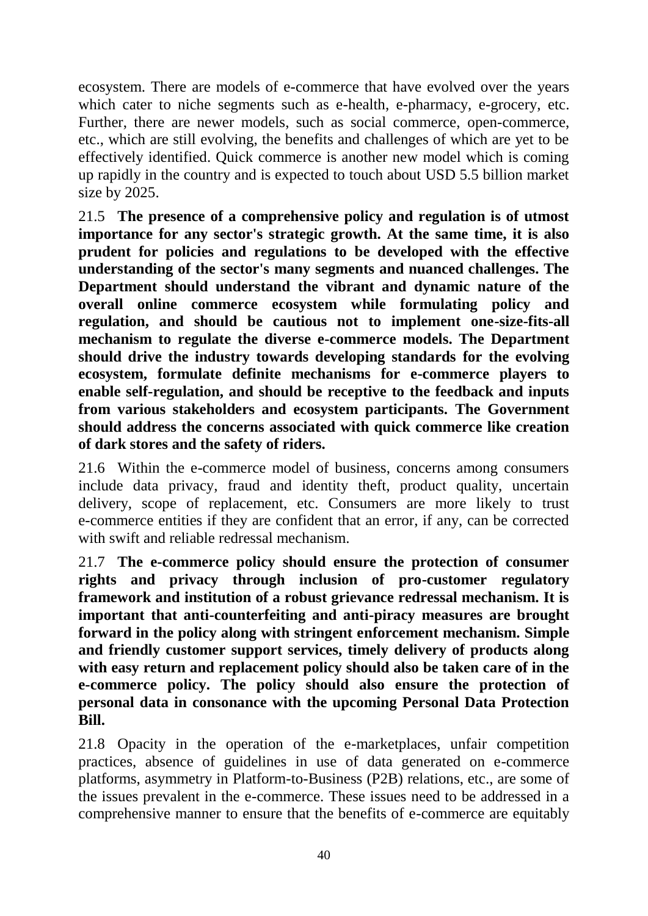ecosystem. There are models of e-commerce that have evolved over the years which cater to niche segments such as e-health, e-pharmacy, e-grocery, etc. Further, there are newer models, such as social commerce, open-commerce, etc., which are still evolving, the benefits and challenges of which are yet to be effectively identified. Quick commerce is another new model which is coming up rapidly in the country and is expected to touch about USD 5.5 billion market size by 2025.

21.5 **The presence of a comprehensive policy and regulation is of utmost importance for any sector's strategic growth. At the same time, it is also prudent for policies and regulations to be developed with the effective understanding of the sector's many segments and nuanced challenges. The Department should understand the vibrant and dynamic nature of the overall online commerce ecosystem while formulating policy and regulation, and should be cautious not to implement one-size-fits-all mechanism to regulate the diverse e-commerce models. The Department should drive the industry towards developing standards for the evolving ecosystem, formulate definite mechanisms for e-commerce players to enable self-regulation, and should be receptive to the feedback and inputs from various stakeholders and ecosystem participants. The Government should address the concerns associated with quick commerce like creation of dark stores and the safety of riders.**

21.6 Within the e-commerce model of business, concerns among consumers include data privacy, fraud and identity theft, product quality, uncertain delivery, scope of replacement, etc. Consumers are more likely to trust e-commerce entities if they are confident that an error, if any, can be corrected with swift and reliable redressal mechanism.

21.7 **The e-commerce policy should ensure the protection of consumer rights and privacy through inclusion of pro-customer regulatory framework and institution of a robust grievance redressal mechanism. It is important that anti-counterfeiting and anti-piracy measures are brought forward in the policy along with stringent enforcement mechanism. Simple and friendly customer support services, timely delivery of products along with easy return and replacement policy should also be taken care of in the e-commerce policy. The policy should also ensure the protection of personal data in consonance with the upcoming Personal Data Protection Bill.**

21.8 Opacity in the operation of the e-marketplaces, unfair competition practices, absence of guidelines in use of data generated on e-commerce platforms, asymmetry in Platform-to-Business (P2B) relations, etc., are some of the issues prevalent in the e-commerce. These issues need to be addressed in a comprehensive manner to ensure that the benefits of e-commerce are equitably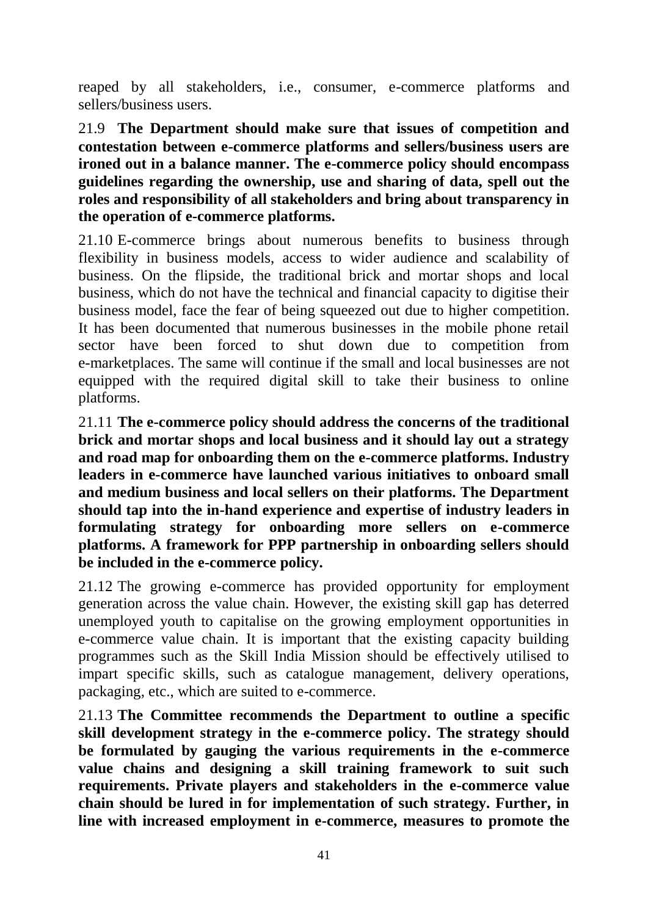reaped by all stakeholders, i.e., consumer, e-commerce platforms and sellers/business users.

21.9 **The Department should make sure that issues of competition and contestation between e-commerce platforms and sellers/business users are ironed out in a balance manner. The e-commerce policy should encompass guidelines regarding the ownership, use and sharing of data, spell out the roles and responsibility of all stakeholders and bring about transparency in the operation of e-commerce platforms.** 

21.10 E-commerce brings about numerous benefits to business through flexibility in business models, access to wider audience and scalability of business. On the flipside, the traditional brick and mortar shops and local business, which do not have the technical and financial capacity to digitise their business model, face the fear of being squeezed out due to higher competition. It has been documented that numerous businesses in the mobile phone retail sector have been forced to shut down due to competition from e-marketplaces. The same will continue if the small and local businesses are not equipped with the required digital skill to take their business to online platforms.

21.11 **The e-commerce policy should address the concerns of the traditional brick and mortar shops and local business and it should lay out a strategy and road map for onboarding them on the e-commerce platforms. Industry leaders in e-commerce have launched various initiatives to onboard small and medium business and local sellers on their platforms. The Department should tap into the in-hand experience and expertise of industry leaders in formulating strategy for onboarding more sellers on e-commerce platforms. A framework for PPP partnership in onboarding sellers should be included in the e-commerce policy.** 

21.12 The growing e-commerce has provided opportunity for employment generation across the value chain. However, the existing skill gap has deterred unemployed youth to capitalise on the growing employment opportunities in e-commerce value chain. It is important that the existing capacity building programmes such as the Skill India Mission should be effectively utilised to impart specific skills, such as catalogue management, delivery operations, packaging, etc., which are suited to e-commerce.

21.13 **The Committee recommends the Department to outline a specific skill development strategy in the e-commerce policy. The strategy should be formulated by gauging the various requirements in the e-commerce value chains and designing a skill training framework to suit such requirements. Private players and stakeholders in the e-commerce value chain should be lured in for implementation of such strategy. Further, in line with increased employment in e-commerce, measures to promote the**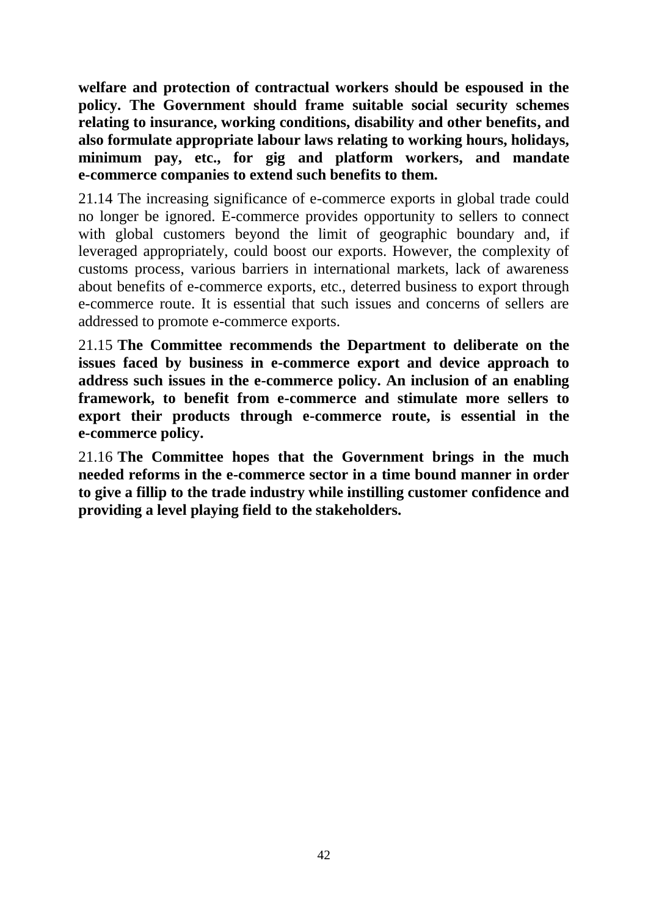**welfare and protection of contractual workers should be espoused in the policy. The Government should frame suitable social security schemes relating to insurance, working conditions, disability and other benefits, and also formulate appropriate labour laws relating to working hours, holidays, minimum pay, etc., for gig and platform workers, and mandate e-commerce companies to extend such benefits to them.** 

21.14 The increasing significance of e-commerce exports in global trade could no longer be ignored. E-commerce provides opportunity to sellers to connect with global customers beyond the limit of geographic boundary and, if leveraged appropriately, could boost our exports. However, the complexity of customs process, various barriers in international markets, lack of awareness about benefits of e-commerce exports, etc., deterred business to export through e-commerce route. It is essential that such issues and concerns of sellers are addressed to promote e-commerce exports.

21.15 **The Committee recommends the Department to deliberate on the issues faced by business in e-commerce export and device approach to address such issues in the e-commerce policy. An inclusion of an enabling framework, to benefit from e-commerce and stimulate more sellers to export their products through e-commerce route, is essential in the e-commerce policy.** 

21.16 **The Committee hopes that the Government brings in the much needed reforms in the e-commerce sector in a time bound manner in order to give a fillip to the trade industry while instilling customer confidence and providing a level playing field to the stakeholders.**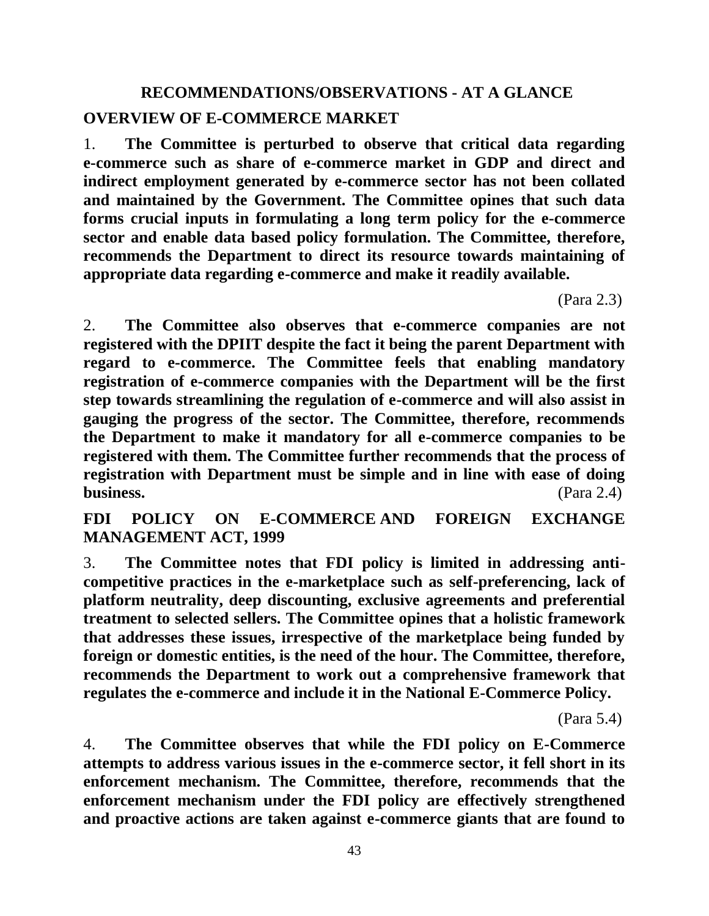# **RECOMMENDATIONS/OBSERVATIONS - AT A GLANCE OVERVIEW OF E-COMMERCE MARKET**

1. **The Committee is perturbed to observe that critical data regarding e-commerce such as share of e-commerce market in GDP and direct and indirect employment generated by e-commerce sector has not been collated and maintained by the Government. The Committee opines that such data forms crucial inputs in formulating a long term policy for the e-commerce sector and enable data based policy formulation. The Committee, therefore, recommends the Department to direct its resource towards maintaining of appropriate data regarding e-commerce and make it readily available.** 

(Para 2.3)

2. **The Committee also observes that e-commerce companies are not registered with the DPIIT despite the fact it being the parent Department with regard to e-commerce. The Committee feels that enabling mandatory registration of e-commerce companies with the Department will be the first step towards streamlining the regulation of e-commerce and will also assist in gauging the progress of the sector. The Committee, therefore, recommends the Department to make it mandatory for all e-commerce companies to be registered with them. The Committee further recommends that the process of registration with Department must be simple and in line with ease of doing business.** (Para 2.4)

**FDI POLICY ON E-COMMERCE AND FOREIGN EXCHANGE MANAGEMENT ACT, 1999**

3. **The Committee notes that FDI policy is limited in addressing anticompetitive practices in the e-marketplace such as self-preferencing, lack of platform neutrality, deep discounting, exclusive agreements and preferential treatment to selected sellers. The Committee opines that a holistic framework that addresses these issues, irrespective of the marketplace being funded by foreign or domestic entities, is the need of the hour. The Committee, therefore, recommends the Department to work out a comprehensive framework that regulates the e-commerce and include it in the National E-Commerce Policy.**

(Para 5.4)

4. **The Committee observes that while the FDI policy on E-Commerce attempts to address various issues in the e-commerce sector, it fell short in its enforcement mechanism. The Committee, therefore, recommends that the enforcement mechanism under the FDI policy are effectively strengthened and proactive actions are taken against e-commerce giants that are found to** 

43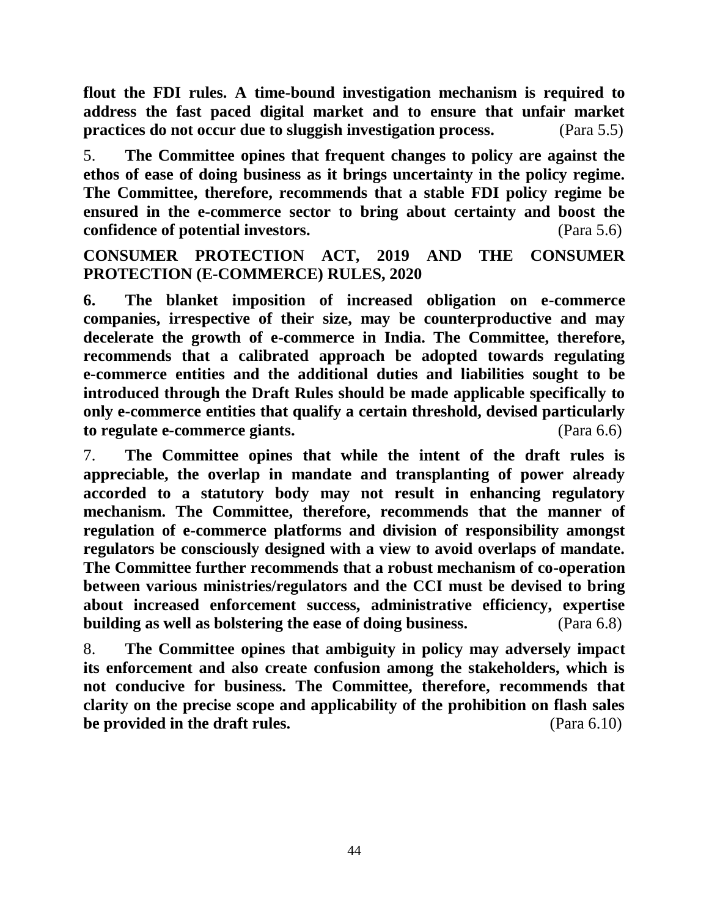**flout the FDI rules. A time-bound investigation mechanism is required to address the fast paced digital market and to ensure that unfair market practices do not occur due to sluggish investigation process.** (Para 5.5)

5. **The Committee opines that frequent changes to policy are against the ethos of ease of doing business as it brings uncertainty in the policy regime. The Committee, therefore, recommends that a stable FDI policy regime be ensured in the e-commerce sector to bring about certainty and boost the confidence of potential investors.** (Para 5.6)

**CONSUMER PROTECTION ACT, 2019 AND THE CONSUMER PROTECTION (E-COMMERCE) RULES, 2020**

**6. The blanket imposition of increased obligation on e-commerce companies, irrespective of their size, may be counterproductive and may decelerate the growth of e-commerce in India. The Committee, therefore, recommends that a calibrated approach be adopted towards regulating e-commerce entities and the additional duties and liabilities sought to be introduced through the Draft Rules should be made applicable specifically to only e-commerce entities that qualify a certain threshold, devised particularly to regulate e-commerce giants.** (Para 6.6)

7. **The Committee opines that while the intent of the draft rules is appreciable, the overlap in mandate and transplanting of power already accorded to a statutory body may not result in enhancing regulatory mechanism. The Committee, therefore, recommends that the manner of regulation of e-commerce platforms and division of responsibility amongst regulators be consciously designed with a view to avoid overlaps of mandate. The Committee further recommends that a robust mechanism of co-operation between various ministries/regulators and the CCI must be devised to bring about increased enforcement success, administrative efficiency, expertise building as well as bolstering the ease of doing business.** (Para 6.8)

8. **The Committee opines that ambiguity in policy may adversely impact its enforcement and also create confusion among the stakeholders, which is not conducive for business. The Committee, therefore, recommends that clarity on the precise scope and applicability of the prohibition on flash sales be provided in the draft rules.** (Para 6.10)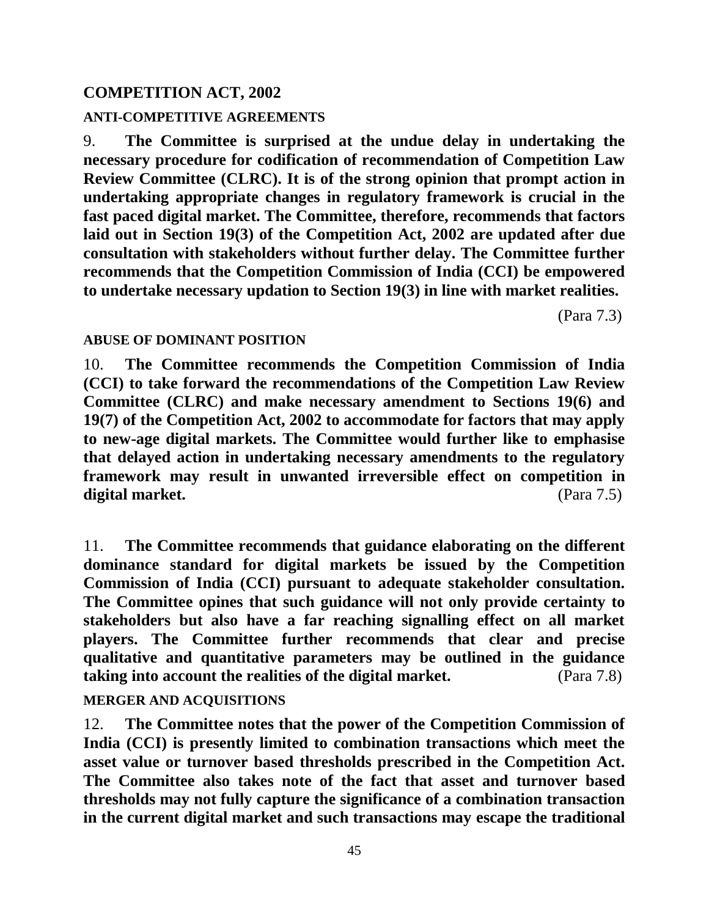### **COMPETITION ACT, 2002**

### **ANTI-COMPETITIVE AGREEMENTS**

9. **The Committee is surprised at the undue delay in undertaking the necessary procedure for codification of recommendation of Competition Law Review Committee (CLRC). It is of the strong opinion that prompt action in undertaking appropriate changes in regulatory framework is crucial in the fast paced digital market. The Committee, therefore, recommends that factors laid out in Section 19(3) of the Competition Act, 2002 are updated after due consultation with stakeholders without further delay. The Committee further recommends that the Competition Commission of India (CCI) be empowered to undertake necessary updation to Section 19(3) in line with market realities.**

(Para 7.3)

### **ABUSE OF DOMINANT POSITION**

10. **The Committee recommends the Competition Commission of India (CCI) to take forward the recommendations of the Competition Law Review Committee (CLRC) and make necessary amendment to Sections 19(6) and 19(7) of the Competition Act, 2002 to accommodate for factors that may apply to new-age digital markets. The Committee would further like to emphasise that delayed action in undertaking necessary amendments to the regulatory framework may result in unwanted irreversible effect on competition in digital market.** (Para 7.5)

11. **The Committee recommends that guidance elaborating on the different dominance standard for digital markets be issued by the Competition Commission of India (CCI) pursuant to adequate stakeholder consultation. The Committee opines that such guidance will not only provide certainty to stakeholders but also have a far reaching signalling effect on all market players. The Committee further recommends that clear and precise qualitative and quantitative parameters may be outlined in the guidance taking into account the realities of the digital market.** (Para 7.8)

### **MERGER AND ACQUISITIONS**

12. **The Committee notes that the power of the Competition Commission of India (CCI) is presently limited to combination transactions which meet the asset value or turnover based thresholds prescribed in the Competition Act. The Committee also takes note of the fact that asset and turnover based thresholds may not fully capture the significance of a combination transaction in the current digital market and such transactions may escape the traditional**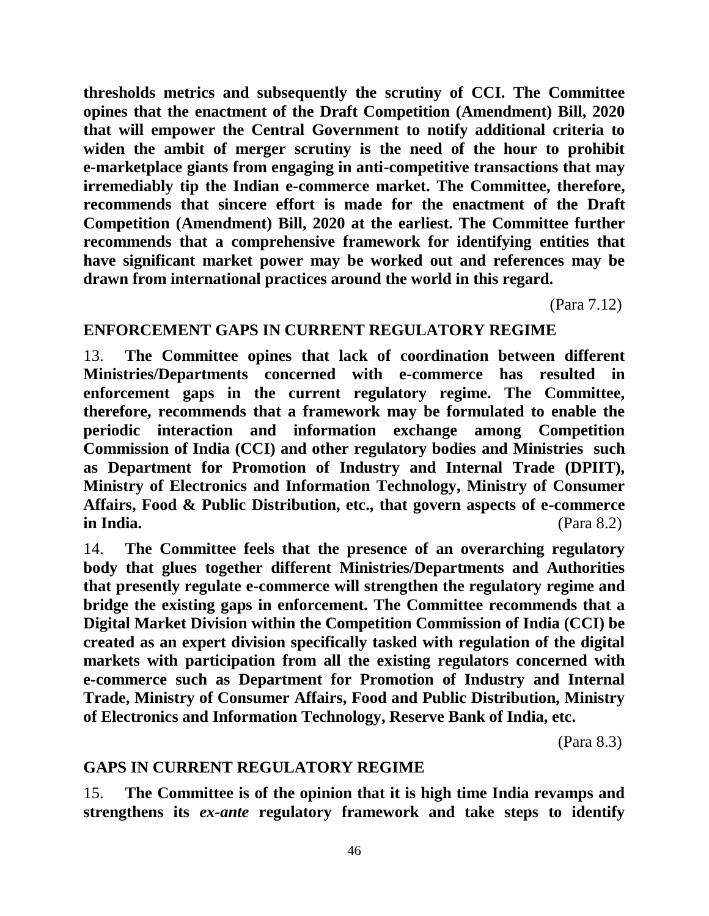**thresholds metrics and subsequently the scrutiny of CCI. The Committee opines that the enactment of the Draft Competition (Amendment) Bill, 2020 that will empower the Central Government to notify additional criteria to widen the ambit of merger scrutiny is the need of the hour to prohibit e-marketplace giants from engaging in anti-competitive transactions that may irremediably tip the Indian e-commerce market. The Committee, therefore, recommends that sincere effort is made for the enactment of the Draft Competition (Amendment) Bill, 2020 at the earliest. The Committee further recommends that a comprehensive framework for identifying entities that have significant market power may be worked out and references may be drawn from international practices around the world in this regard.** 

(Para 7.12)

### **ENFORCEMENT GAPS IN CURRENT REGULATORY REGIME**

13. **The Committee opines that lack of coordination between different Ministries/Departments concerned with e-commerce has resulted in enforcement gaps in the current regulatory regime. The Committee, therefore, recommends that a framework may be formulated to enable the periodic interaction and information exchange among Competition Commission of India (CCI) and other regulatory bodies and Ministries such as Department for Promotion of Industry and Internal Trade (DPIIT), Ministry of Electronics and Information Technology, Ministry of Consumer Affairs, Food & Public Distribution, etc., that govern aspects of e-commerce in India.** (Para 8.2)

14. **The Committee feels that the presence of an overarching regulatory body that glues together different Ministries/Departments and Authorities that presently regulate e-commerce will strengthen the regulatory regime and bridge the existing gaps in enforcement. The Committee recommends that a Digital Market Division within the Competition Commission of India (CCI) be created as an expert division specifically tasked with regulation of the digital markets with participation from all the existing regulators concerned with e-commerce such as Department for Promotion of Industry and Internal Trade, Ministry of Consumer Affairs, Food and Public Distribution, Ministry of Electronics and Information Technology, Reserve Bank of India, etc.** 

(Para 8.3)

### **GAPS IN CURRENT REGULATORY REGIME**

15. **The Committee is of the opinion that it is high time India revamps and strengthens its** *ex-ante* **regulatory framework and take steps to identify**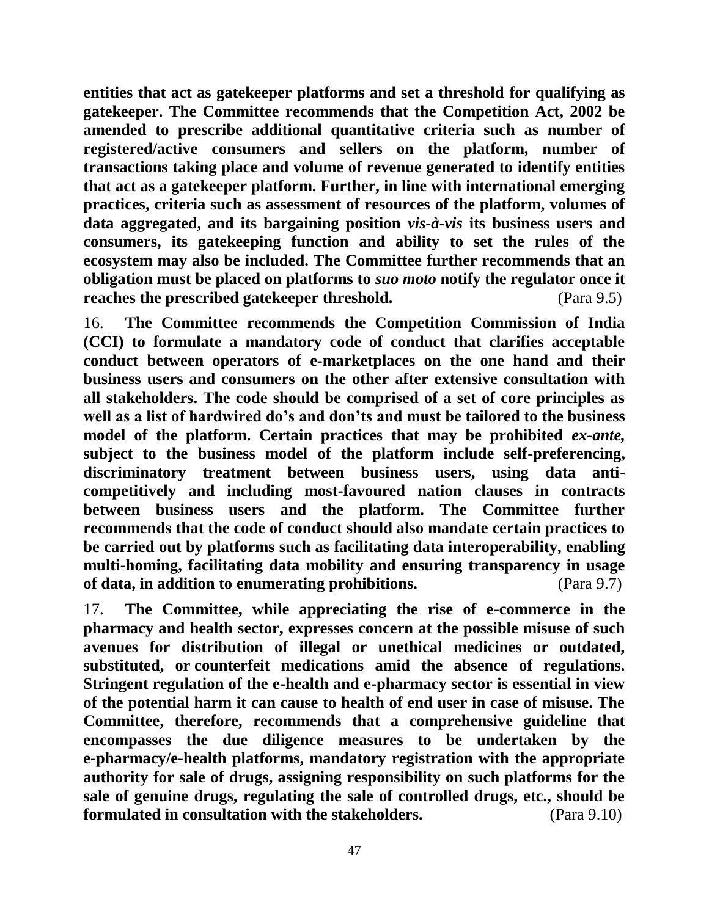**entities that act as gatekeeper platforms and set a threshold for qualifying as gatekeeper. The Committee recommends that the Competition Act, 2002 be amended to prescribe additional quantitative criteria such as number of registered/active consumers and sellers on the platform, number of transactions taking place and volume of revenue generated to identify entities that act as a gatekeeper platform. Further, in line with international emerging practices, criteria such as assessment of resources of the platform, volumes of data aggregated, and its bargaining position** *vis-à-vis* **its business users and consumers, its gatekeeping function and ability to set the rules of the ecosystem may also be included. The Committee further recommends that an obligation must be placed on platforms to** *suo moto* **notify the regulator once it reaches the prescribed gatekeeper threshold.** (Para 9.5)

16. **The Committee recommends the Competition Commission of India (CCI) to formulate a mandatory code of conduct that clarifies acceptable conduct between operators of e-marketplaces on the one hand and their business users and consumers on the other after extensive consultation with all stakeholders. The code should be comprised of a set of core principles as well as a list of hardwired do's and don'ts and must be tailored to the business model of the platform. Certain practices that may be prohibited** *ex-ante,*  **subject to the business model of the platform include self-preferencing, discriminatory treatment between business users, using data anticompetitively and including most-favoured nation clauses in contracts between business users and the platform. The Committee further recommends that the code of conduct should also mandate certain practices to be carried out by platforms such as facilitating data interoperability, enabling multi-homing, facilitating data mobility and ensuring transparency in usage of data, in addition to enumerating prohibitions.** (Para 9.7)

17. **The Committee, while appreciating the rise of e-commerce in the pharmacy and health sector, expresses concern at the possible misuse of such avenues for distribution of illegal or unethical medicines or outdated, substituted, or counterfeit medications amid the absence of regulations. Stringent regulation of the e-health and e-pharmacy sector is essential in view of the potential harm it can cause to health of end user in case of misuse. The Committee, therefore, recommends that a comprehensive guideline that encompasses the due diligence measures to be undertaken by the e-pharmacy/e-health platforms, mandatory registration with the appropriate authority for sale of drugs, assigning responsibility on such platforms for the sale of genuine drugs, regulating the sale of controlled drugs, etc., should be formulated in consultation with the stakeholders.** (Para 9.10)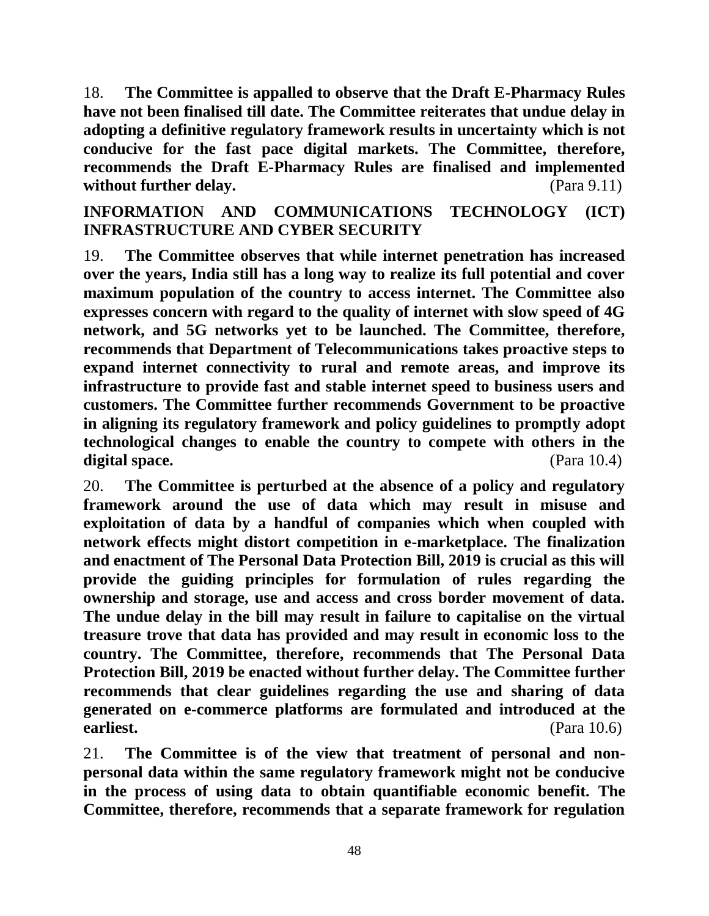18. **The Committee is appalled to observe that the Draft E-Pharmacy Rules have not been finalised till date. The Committee reiterates that undue delay in adopting a definitive regulatory framework results in uncertainty which is not conducive for the fast pace digital markets. The Committee, therefore, recommends the Draft E-Pharmacy Rules are finalised and implemented without further delay.** (Para 9.11)

# **INFORMATION AND COMMUNICATIONS TECHNOLOGY (ICT) INFRASTRUCTURE AND CYBER SECURITY**

19. **The Committee observes that while internet penetration has increased over the years, India still has a long way to realize its full potential and cover maximum population of the country to access internet. The Committee also expresses concern with regard to the quality of internet with slow speed of 4G network, and 5G networks yet to be launched. The Committee, therefore, recommends that Department of Telecommunications takes proactive steps to expand internet connectivity to rural and remote areas, and improve its infrastructure to provide fast and stable internet speed to business users and customers. The Committee further recommends Government to be proactive in aligning its regulatory framework and policy guidelines to promptly adopt technological changes to enable the country to compete with others in the**  digital space. (Para 10.4)

20. **The Committee is perturbed at the absence of a policy and regulatory framework around the use of data which may result in misuse and exploitation of data by a handful of companies which when coupled with network effects might distort competition in e-marketplace. The finalization and enactment of The Personal Data Protection Bill, 2019 is crucial as this will provide the guiding principles for formulation of rules regarding the ownership and storage, use and access and cross border movement of data. The undue delay in the bill may result in failure to capitalise on the virtual treasure trove that data has provided and may result in economic loss to the country. The Committee, therefore, recommends that The Personal Data Protection Bill, 2019 be enacted without further delay. The Committee further recommends that clear guidelines regarding the use and sharing of data generated on e-commerce platforms are formulated and introduced at the earliest.** (Para 10.6)

21. **The Committee is of the view that treatment of personal and nonpersonal data within the same regulatory framework might not be conducive in the process of using data to obtain quantifiable economic benefit. The Committee, therefore, recommends that a separate framework for regulation**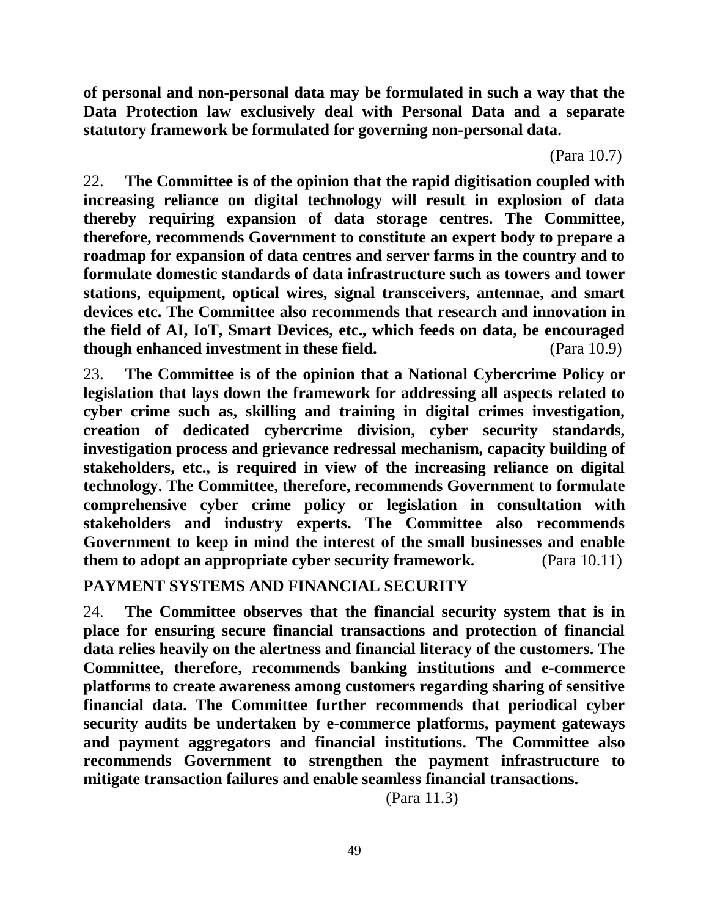**of personal and non-personal data may be formulated in such a way that the Data Protection law exclusively deal with Personal Data and a separate statutory framework be formulated for governing non-personal data.**

(Para 10.7)

22. **The Committee is of the opinion that the rapid digitisation coupled with increasing reliance on digital technology will result in explosion of data thereby requiring expansion of data storage centres. The Committee, therefore, recommends Government to constitute an expert body to prepare a roadmap for expansion of data centres and server farms in the country and to formulate domestic standards of data infrastructure such as towers and tower stations, equipment, optical wires, signal transceivers, antennae, and smart devices etc. The Committee also recommends that research and innovation in the field of AI, IoT, Smart Devices, etc., which feeds on data, be encouraged though enhanced investment in these field.** (Para 10.9)

23. **The Committee is of the opinion that a National Cybercrime Policy or legislation that lays down the framework for addressing all aspects related to cyber crime such as, skilling and training in digital crimes investigation, creation of dedicated cybercrime division, cyber security standards, investigation process and grievance redressal mechanism, capacity building of stakeholders, etc., is required in view of the increasing reliance on digital technology. The Committee, therefore, recommends Government to formulate comprehensive cyber crime policy or legislation in consultation with stakeholders and industry experts. The Committee also recommends Government to keep in mind the interest of the small businesses and enable them to adopt an appropriate cyber security framework.** (Para 10.11)

**PAYMENT SYSTEMS AND FINANCIAL SECURITY**

24. **The Committee observes that the financial security system that is in place for ensuring secure financial transactions and protection of financial data relies heavily on the alertness and financial literacy of the customers. The Committee, therefore, recommends banking institutions and e-commerce platforms to create awareness among customers regarding sharing of sensitive financial data. The Committee further recommends that periodical cyber security audits be undertaken by e-commerce platforms, payment gateways and payment aggregators and financial institutions. The Committee also recommends Government to strengthen the payment infrastructure to mitigate transaction failures and enable seamless financial transactions.**

(Para 11.3)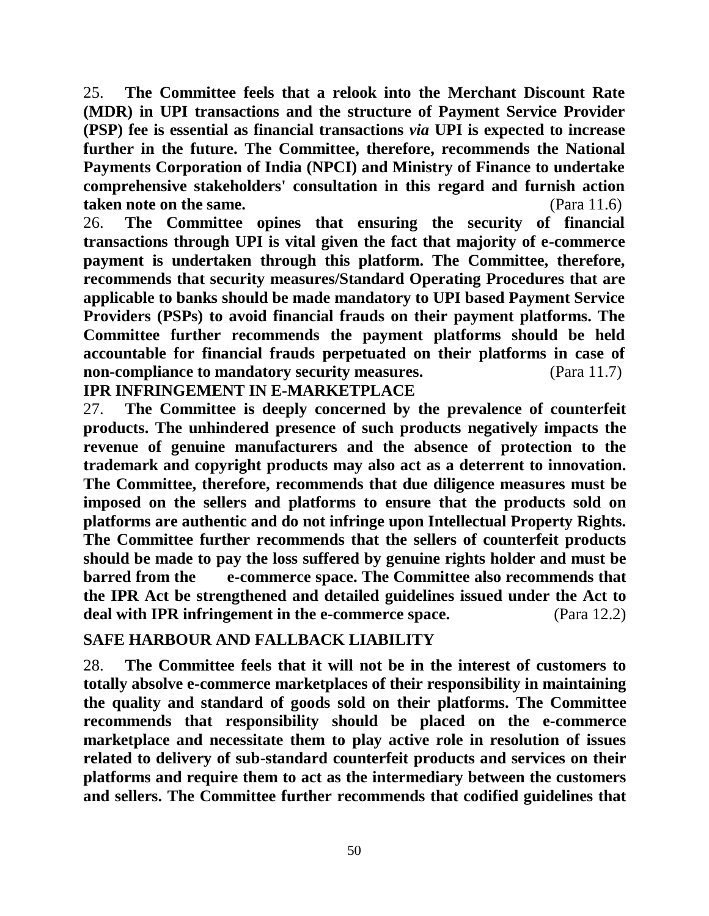25. **The Committee feels that a relook into the Merchant Discount Rate (MDR) in UPI transactions and the structure of Payment Service Provider (PSP) fee is essential as financial transactions** *via* **UPI is expected to increase further in the future. The Committee, therefore, recommends the National Payments Corporation of India (NPCI) and Ministry of Finance to undertake comprehensive stakeholders' consultation in this regard and furnish action taken note on the same.** (Para 11.6)

26. **The Committee opines that ensuring the security of financial transactions through UPI is vital given the fact that majority of e-commerce payment is undertaken through this platform. The Committee, therefore, recommends that security measures/Standard Operating Procedures that are applicable to banks should be made mandatory to UPI based Payment Service Providers (PSPs) to avoid financial frauds on their payment platforms. The Committee further recommends the payment platforms should be held accountable for financial frauds perpetuated on their platforms in case of non-compliance to mandatory security measures.** (Para 11.7)

**IPR INFRINGEMENT IN E-MARKETPLACE**

27. **The Committee is deeply concerned by the prevalence of counterfeit products. The unhindered presence of such products negatively impacts the revenue of genuine manufacturers and the absence of protection to the trademark and copyright products may also act as a deterrent to innovation. The Committee, therefore, recommends that due diligence measures must be imposed on the sellers and platforms to ensure that the products sold on platforms are authentic and do not infringe upon Intellectual Property Rights. The Committee further recommends that the sellers of counterfeit products should be made to pay the loss suffered by genuine rights holder and must be barred from the e-commerce space. The Committee also recommends that the IPR Act be strengthened and detailed guidelines issued under the Act to deal with IPR infringement in the e-commerce space.** (Para 12.2)

### **SAFE HARBOUR AND FALLBACK LIABILITY**

28. **The Committee feels that it will not be in the interest of customers to totally absolve e-commerce marketplaces of their responsibility in maintaining the quality and standard of goods sold on their platforms. The Committee recommends that responsibility should be placed on the e-commerce marketplace and necessitate them to play active role in resolution of issues related to delivery of sub-standard counterfeit products and services on their platforms and require them to act as the intermediary between the customers and sellers. The Committee further recommends that codified guidelines that**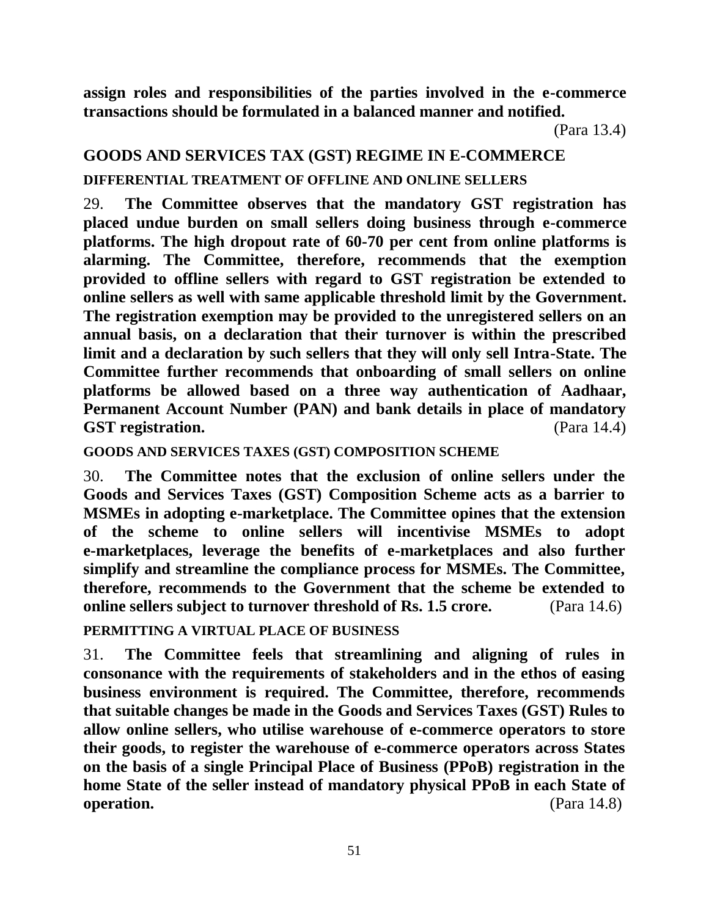**assign roles and responsibilities of the parties involved in the e-commerce transactions should be formulated in a balanced manner and notified.** 

# **GOODS AND SERVICES TAX (GST) REGIME IN E-COMMERCE**

# **DIFFERENTIAL TREATMENT OF OFFLINE AND ONLINE SELLERS**

29. **The Committee observes that the mandatory GST registration has placed undue burden on small sellers doing business through e-commerce platforms. The high dropout rate of 60-70 per cent from online platforms is alarming. The Committee, therefore, recommends that the exemption provided to offline sellers with regard to GST registration be extended to online sellers as well with same applicable threshold limit by the Government. The registration exemption may be provided to the unregistered sellers on an annual basis, on a declaration that their turnover is within the prescribed limit and a declaration by such sellers that they will only sell Intra-State. The Committee further recommends that onboarding of small sellers on online platforms be allowed based on a three way authentication of Aadhaar, Permanent Account Number (PAN) and bank details in place of mandatory GST registration.** (Para 14.4)

**GOODS AND SERVICES TAXES (GST) COMPOSITION SCHEME**

30. **The Committee notes that the exclusion of online sellers under the Goods and Services Taxes (GST) Composition Scheme acts as a barrier to MSMEs in adopting e-marketplace. The Committee opines that the extension of the scheme to online sellers will incentivise MSMEs to adopt e-marketplaces, leverage the benefits of e-marketplaces and also further simplify and streamline the compliance process for MSMEs. The Committee, therefore, recommends to the Government that the scheme be extended to online sellers subject to turnover threshold of Rs. 1.5 crore.** (Para 14.6)

**PERMITTING A VIRTUAL PLACE OF BUSINESS**

31. **The Committee feels that streamlining and aligning of rules in consonance with the requirements of stakeholders and in the ethos of easing business environment is required. The Committee, therefore, recommends that suitable changes be made in the Goods and Services Taxes (GST) Rules to allow online sellers, who utilise warehouse of e-commerce operators to store their goods, to register the warehouse of e-commerce operators across States on the basis of a single Principal Place of Business (PPoB) registration in the home State of the seller instead of mandatory physical PPoB in each State of operation.** (Para 14.8)

(Para 13.4)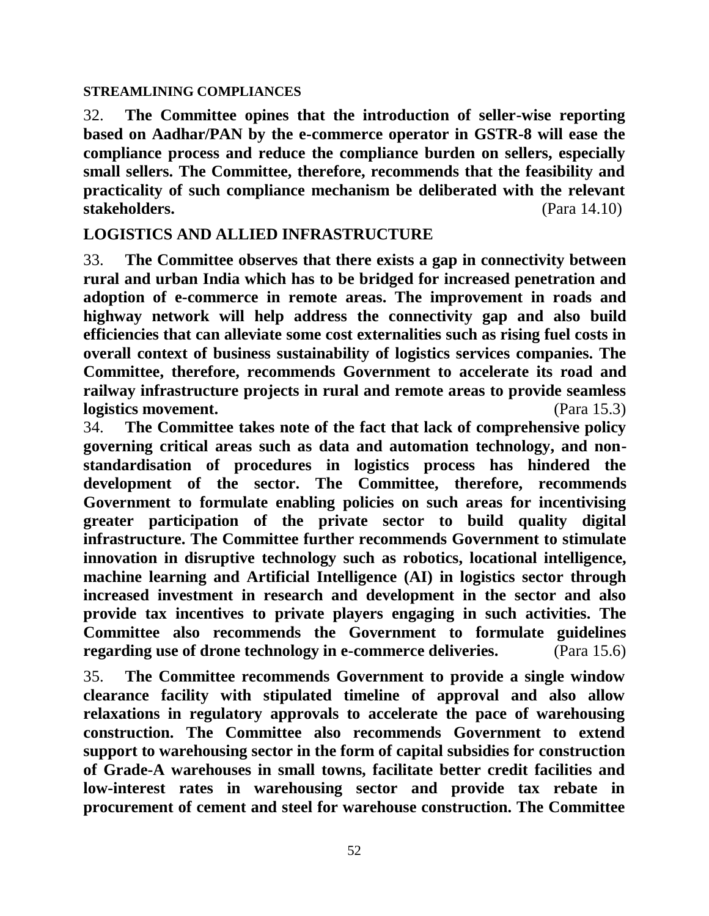#### **STREAMLINING COMPLIANCES**

32. **The Committee opines that the introduction of seller-wise reporting based on Aadhar/PAN by the e-commerce operator in GSTR-8 will ease the compliance process and reduce the compliance burden on sellers, especially small sellers. The Committee, therefore, recommends that the feasibility and practicality of such compliance mechanism be deliberated with the relevant stakeholders.** (Para 14.10)

### **LOGISTICS AND ALLIED INFRASTRUCTURE**

33. **The Committee observes that there exists a gap in connectivity between rural and urban India which has to be bridged for increased penetration and adoption of e-commerce in remote areas. The improvement in roads and highway network will help address the connectivity gap and also build efficiencies that can alleviate some cost externalities such as rising fuel costs in overall context of business sustainability of logistics services companies. The Committee, therefore, recommends Government to accelerate its road and railway infrastructure projects in rural and remote areas to provide seamless logistics movement.** (Para 15.3)

34. **The Committee takes note of the fact that lack of comprehensive policy governing critical areas such as data and automation technology, and nonstandardisation of procedures in logistics process has hindered the development of the sector. The Committee, therefore, recommends Government to formulate enabling policies on such areas for incentivising greater participation of the private sector to build quality digital infrastructure. The Committee further recommends Government to stimulate innovation in disruptive technology such as robotics, locational intelligence, machine learning and Artificial Intelligence (AI) in logistics sector through increased investment in research and development in the sector and also provide tax incentives to private players engaging in such activities. The Committee also recommends the Government to formulate guidelines regarding use of drone technology in e-commerce deliveries.** (Para 15.6)

35. **The Committee recommends Government to provide a single window clearance facility with stipulated timeline of approval and also allow relaxations in regulatory approvals to accelerate the pace of warehousing construction. The Committee also recommends Government to extend support to warehousing sector in the form of capital subsidies for construction of Grade-A warehouses in small towns, facilitate better credit facilities and low-interest rates in warehousing sector and provide tax rebate in procurement of cement and steel for warehouse construction. The Committee**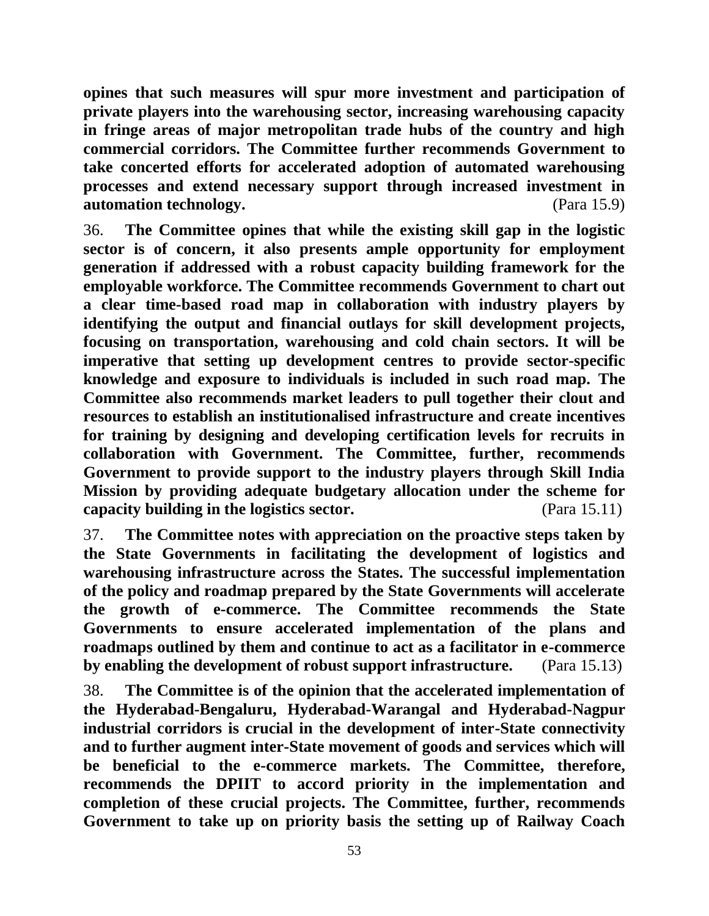**opines that such measures will spur more investment and participation of private players into the warehousing sector, increasing warehousing capacity in fringe areas of major metropolitan trade hubs of the country and high commercial corridors. The Committee further recommends Government to take concerted efforts for accelerated adoption of automated warehousing processes and extend necessary support through increased investment in automation technology.** (Para 15.9)

36. **The Committee opines that while the existing skill gap in the logistic sector is of concern, it also presents ample opportunity for employment generation if addressed with a robust capacity building framework for the employable workforce. The Committee recommends Government to chart out a clear time-based road map in collaboration with industry players by identifying the output and financial outlays for skill development projects, focusing on transportation, warehousing and cold chain sectors. It will be imperative that setting up development centres to provide sector-specific knowledge and exposure to individuals is included in such road map. The Committee also recommends market leaders to pull together their clout and resources to establish an institutionalised infrastructure and create incentives for training by designing and developing certification levels for recruits in collaboration with Government. The Committee, further, recommends Government to provide support to the industry players through Skill India Mission by providing adequate budgetary allocation under the scheme for capacity building in the logistics sector.** (Para 15.11)

37. **The Committee notes with appreciation on the proactive steps taken by the State Governments in facilitating the development of logistics and warehousing infrastructure across the States. The successful implementation of the policy and roadmap prepared by the State Governments will accelerate the growth of e-commerce. The Committee recommends the State Governments to ensure accelerated implementation of the plans and roadmaps outlined by them and continue to act as a facilitator in e-commerce by enabling the development of robust support infrastructure.** (Para 15.13)

38. **The Committee is of the opinion that the accelerated implementation of the Hyderabad-Bengaluru, Hyderabad-Warangal and Hyderabad-Nagpur industrial corridors is crucial in the development of inter-State connectivity and to further augment inter-State movement of goods and services which will be beneficial to the e-commerce markets. The Committee, therefore, recommends the DPIIT to accord priority in the implementation and completion of these crucial projects. The Committee, further, recommends Government to take up on priority basis the setting up of Railway Coach**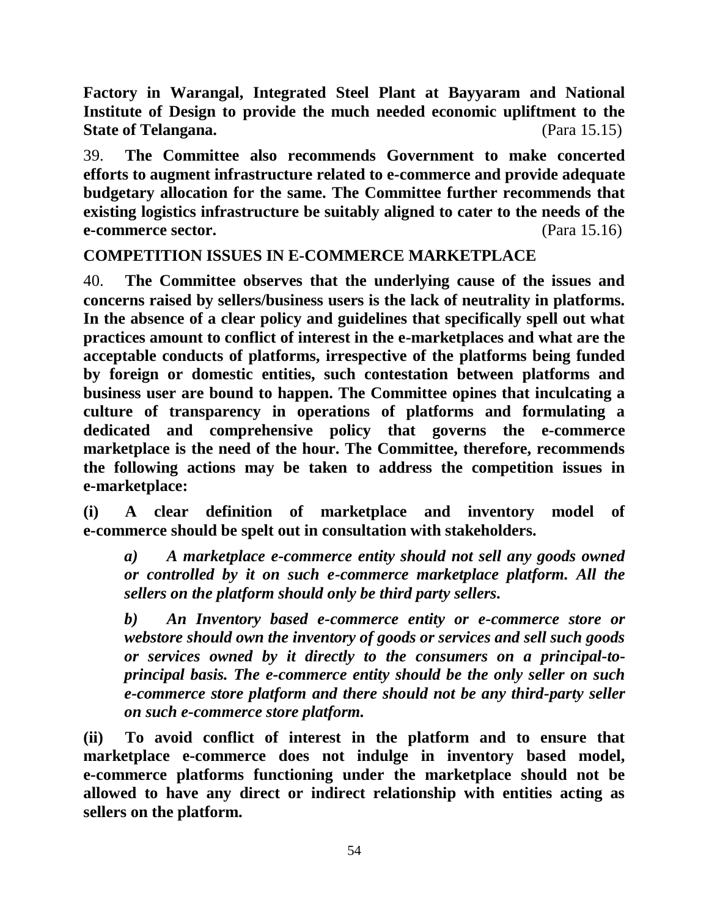**Factory in Warangal, Integrated Steel Plant at Bayyaram and National Institute of Design to provide the much needed economic upliftment to the State of Telangana.** (Para 15.15)

39. **The Committee also recommends Government to make concerted efforts to augment infrastructure related to e-commerce and provide adequate budgetary allocation for the same. The Committee further recommends that existing logistics infrastructure be suitably aligned to cater to the needs of the e-commerce sector.** (Para 15.16)

**COMPETITION ISSUES IN E-COMMERCE MARKETPLACE**

40. **The Committee observes that the underlying cause of the issues and concerns raised by sellers/business users is the lack of neutrality in platforms. In the absence of a clear policy and guidelines that specifically spell out what practices amount to conflict of interest in the e-marketplaces and what are the acceptable conducts of platforms, irrespective of the platforms being funded by foreign or domestic entities, such contestation between platforms and business user are bound to happen. The Committee opines that inculcating a culture of transparency in operations of platforms and formulating a dedicated and comprehensive policy that governs the e-commerce marketplace is the need of the hour. The Committee, therefore, recommends the following actions may be taken to address the competition issues in e-marketplace:**

**(i) A clear definition of marketplace and inventory model of e-commerce should be spelt out in consultation with stakeholders.**

*a) A marketplace e-commerce entity should not sell any goods owned or controlled by it on such e-commerce marketplace platform. All the sellers on the platform should only be third party sellers.* 

*b) An Inventory based e-commerce entity or e-commerce store or webstore should own the inventory of goods or services and sell such goods or services owned by it directly to the consumers on a principal-toprincipal basis. The e-commerce entity should be the only seller on such e-commerce store platform and there should not be any third-party seller on such e-commerce store platform.* 

**(ii) To avoid conflict of interest in the platform and to ensure that marketplace e-commerce does not indulge in inventory based model, e-commerce platforms functioning under the marketplace should not be allowed to have any direct or indirect relationship with entities acting as sellers on the platform.**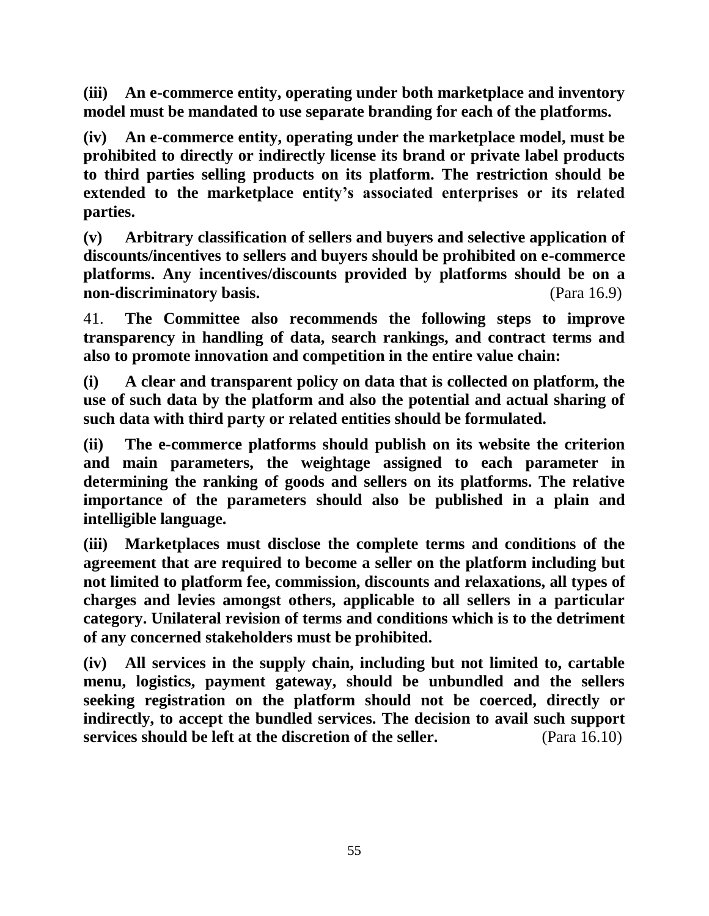**(iii) An e-commerce entity, operating under both marketplace and inventory model must be mandated to use separate branding for each of the platforms.** 

**(iv) An e-commerce entity, operating under the marketplace model, must be prohibited to directly or indirectly license its brand or private label products to third parties selling products on its platform. The restriction should be extended to the marketplace entity's associated enterprises or its related parties.** 

**(v) Arbitrary classification of sellers and buyers and selective application of discounts/incentives to sellers and buyers should be prohibited on e-commerce platforms. Any incentives/discounts provided by platforms should be on a non-discriminatory basis.** (Para 16.9)

41. **The Committee also recommends the following steps to improve transparency in handling of data, search rankings, and contract terms and also to promote innovation and competition in the entire value chain:**

**(i) A clear and transparent policy on data that is collected on platform, the use of such data by the platform and also the potential and actual sharing of such data with third party or related entities should be formulated.** 

**(ii) The e-commerce platforms should publish on its website the criterion and main parameters, the weightage assigned to each parameter in determining the ranking of goods and sellers on its platforms. The relative importance of the parameters should also be published in a plain and intelligible language.** 

**(iii) Marketplaces must disclose the complete terms and conditions of the agreement that are required to become a seller on the platform including but not limited to platform fee, commission, discounts and relaxations, all types of charges and levies amongst others, applicable to all sellers in a particular category. Unilateral revision of terms and conditions which is to the detriment of any concerned stakeholders must be prohibited.** 

**(iv) All services in the supply chain, including but not limited to, cartable menu, logistics, payment gateway, should be unbundled and the sellers seeking registration on the platform should not be coerced, directly or indirectly, to accept the bundled services. The decision to avail such support services should be left at the discretion of the seller.** (Para 16.10)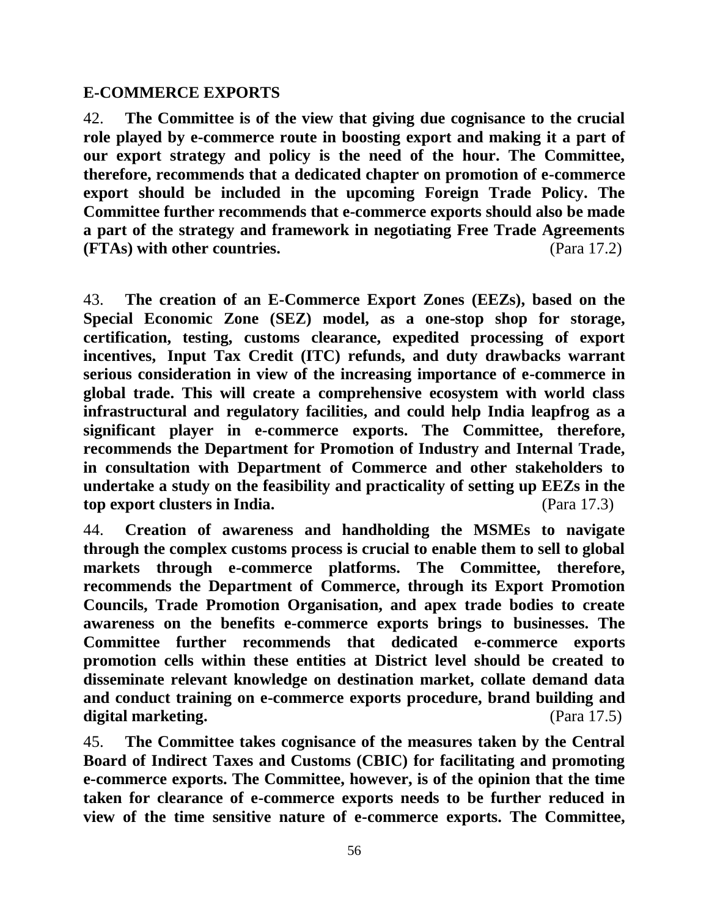### **E-COMMERCE EXPORTS**

42. **The Committee is of the view that giving due cognisance to the crucial role played by e-commerce route in boosting export and making it a part of our export strategy and policy is the need of the hour. The Committee, therefore, recommends that a dedicated chapter on promotion of e-commerce export should be included in the upcoming Foreign Trade Policy. The Committee further recommends that e-commerce exports should also be made a part of the strategy and framework in negotiating Free Trade Agreements (FTAs) with other countries.** (Para 17.2)

43. **The creation of an E-Commerce Export Zones (EEZs), based on the Special Economic Zone (SEZ) model, as a one-stop shop for storage, certification, testing, customs clearance, expedited processing of export incentives, Input Tax Credit (ITC) refunds, and duty drawbacks warrant serious consideration in view of the increasing importance of e-commerce in global trade. This will create a comprehensive ecosystem with world class infrastructural and regulatory facilities, and could help India leapfrog as a significant player in e-commerce exports. The Committee, therefore, recommends the Department for Promotion of Industry and Internal Trade, in consultation with Department of Commerce and other stakeholders to undertake a study on the feasibility and practicality of setting up EEZs in the top export clusters in India.** (Para 17.3)

44. **Creation of awareness and handholding the MSMEs to navigate through the complex customs process is crucial to enable them to sell to global markets through e-commerce platforms. The Committee, therefore, recommends the Department of Commerce, through its Export Promotion Councils, Trade Promotion Organisation, and apex trade bodies to create awareness on the benefits e-commerce exports brings to businesses. The Committee further recommends that dedicated e-commerce exports promotion cells within these entities at District level should be created to disseminate relevant knowledge on destination market, collate demand data and conduct training on e-commerce exports procedure, brand building and digital marketing.** (Para 17.5)

45. **The Committee takes cognisance of the measures taken by the Central Board of Indirect Taxes and Customs (CBIC) for facilitating and promoting e-commerce exports. The Committee, however, is of the opinion that the time taken for clearance of e-commerce exports needs to be further reduced in view of the time sensitive nature of e-commerce exports. The Committee,**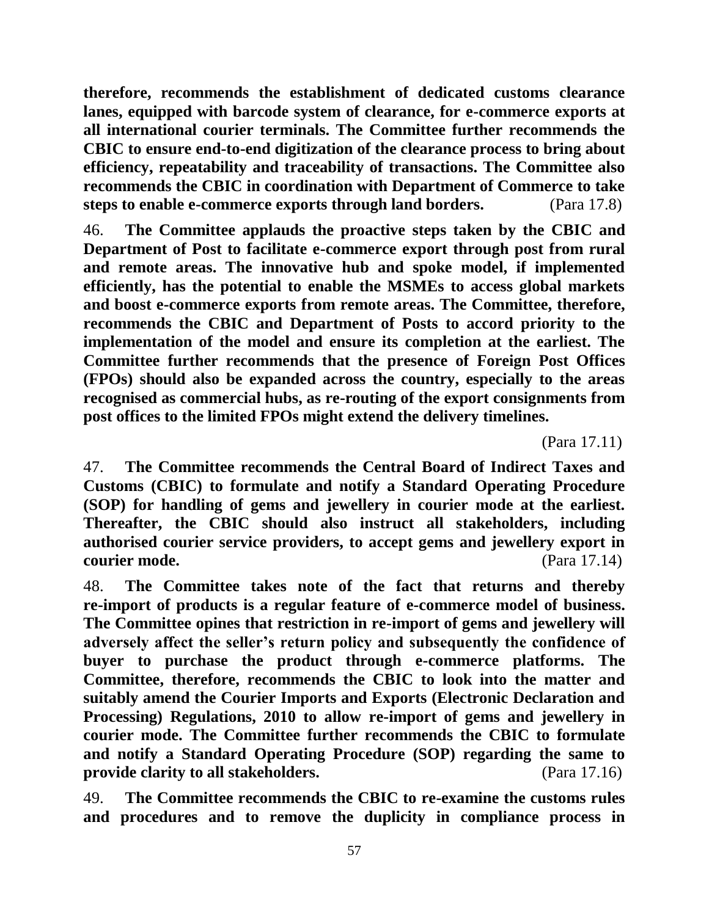**therefore, recommends the establishment of dedicated customs clearance lanes, equipped with barcode system of clearance, for e-commerce exports at all international courier terminals. The Committee further recommends the CBIC to ensure end-to-end digitization of the clearance process to bring about efficiency, repeatability and traceability of transactions. The Committee also recommends the CBIC in coordination with Department of Commerce to take steps to enable e-commerce exports through land borders.** (Para 17.8)

46. **The Committee applauds the proactive steps taken by the CBIC and Department of Post to facilitate e-commerce export through post from rural and remote areas. The innovative hub and spoke model, if implemented efficiently, has the potential to enable the MSMEs to access global markets and boost e-commerce exports from remote areas. The Committee, therefore, recommends the CBIC and Department of Posts to accord priority to the implementation of the model and ensure its completion at the earliest. The Committee further recommends that the presence of Foreign Post Offices (FPOs) should also be expanded across the country, especially to the areas recognised as commercial hubs, as re-routing of the export consignments from post offices to the limited FPOs might extend the delivery timelines.** 

(Para 17.11)

47. **The Committee recommends the Central Board of Indirect Taxes and Customs (CBIC) to formulate and notify a Standard Operating Procedure (SOP) for handling of gems and jewellery in courier mode at the earliest. Thereafter, the CBIC should also instruct all stakeholders, including authorised courier service providers, to accept gems and jewellery export in courier mode.** (Para 17.14)

48. **The Committee takes note of the fact that returns and thereby re-import of products is a regular feature of e-commerce model of business. The Committee opines that restriction in re-import of gems and jewellery will adversely affect the seller's return policy and subsequently the confidence of buyer to purchase the product through e-commerce platforms. The Committee, therefore, recommends the CBIC to look into the matter and suitably amend the Courier Imports and Exports (Electronic Declaration and Processing) Regulations, 2010 to allow re-import of gems and jewellery in courier mode. The Committee further recommends the CBIC to formulate and notify a Standard Operating Procedure (SOP) regarding the same to provide clarity to all stakeholders.** (Para 17.16)

49. **The Committee recommends the CBIC to re-examine the customs rules and procedures and to remove the duplicity in compliance process in**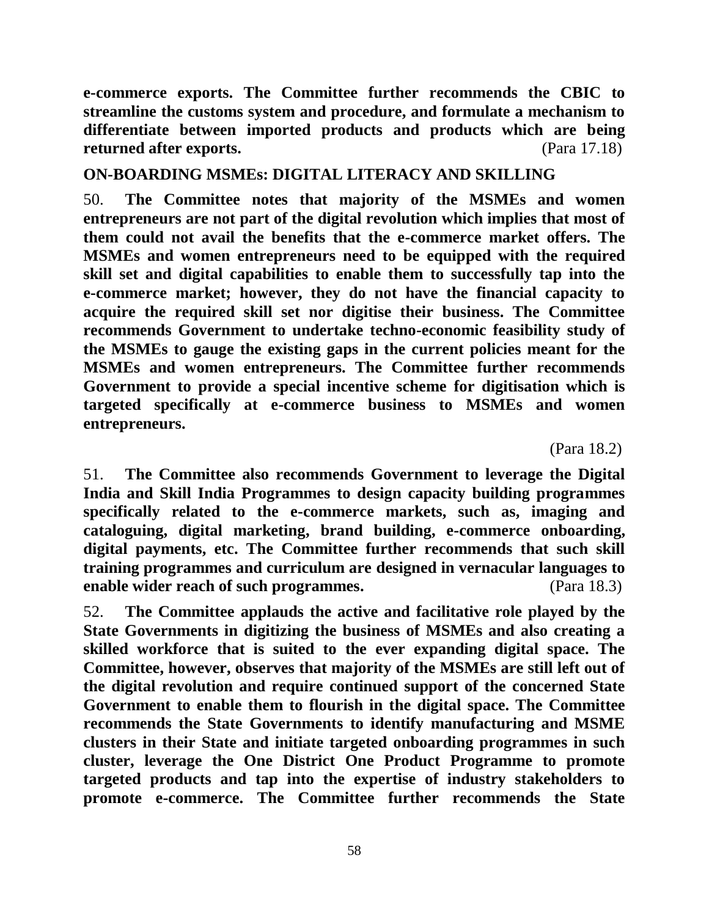**e-commerce exports. The Committee further recommends the CBIC to streamline the customs system and procedure, and formulate a mechanism to differentiate between imported products and products which are being returned after exports.** (Para 17.18)

### **ON-BOARDING MSMEs: DIGITAL LITERACY AND SKILLING**

50. **The Committee notes that majority of the MSMEs and women entrepreneurs are not part of the digital revolution which implies that most of them could not avail the benefits that the e-commerce market offers. The MSMEs and women entrepreneurs need to be equipped with the required skill set and digital capabilities to enable them to successfully tap into the e-commerce market; however, they do not have the financial capacity to acquire the required skill set nor digitise their business. The Committee recommends Government to undertake techno-economic feasibility study of the MSMEs to gauge the existing gaps in the current policies meant for the MSMEs and women entrepreneurs. The Committee further recommends Government to provide a special incentive scheme for digitisation which is targeted specifically at e-commerce business to MSMEs and women entrepreneurs.**

(Para 18.2)

51. **The Committee also recommends Government to leverage the Digital India and Skill India Programmes to design capacity building programmes specifically related to the e-commerce markets, such as, imaging and cataloguing, digital marketing, brand building, e-commerce onboarding, digital payments, etc. The Committee further recommends that such skill training programmes and curriculum are designed in vernacular languages to enable wider reach of such programmes.** (Para 18.3)

52. **The Committee applauds the active and facilitative role played by the State Governments in digitizing the business of MSMEs and also creating a skilled workforce that is suited to the ever expanding digital space. The Committee, however, observes that majority of the MSMEs are still left out of the digital revolution and require continued support of the concerned State Government to enable them to flourish in the digital space. The Committee recommends the State Governments to identify manufacturing and MSME clusters in their State and initiate targeted onboarding programmes in such cluster, leverage the One District One Product Programme to promote targeted products and tap into the expertise of industry stakeholders to promote e-commerce. The Committee further recommends the State**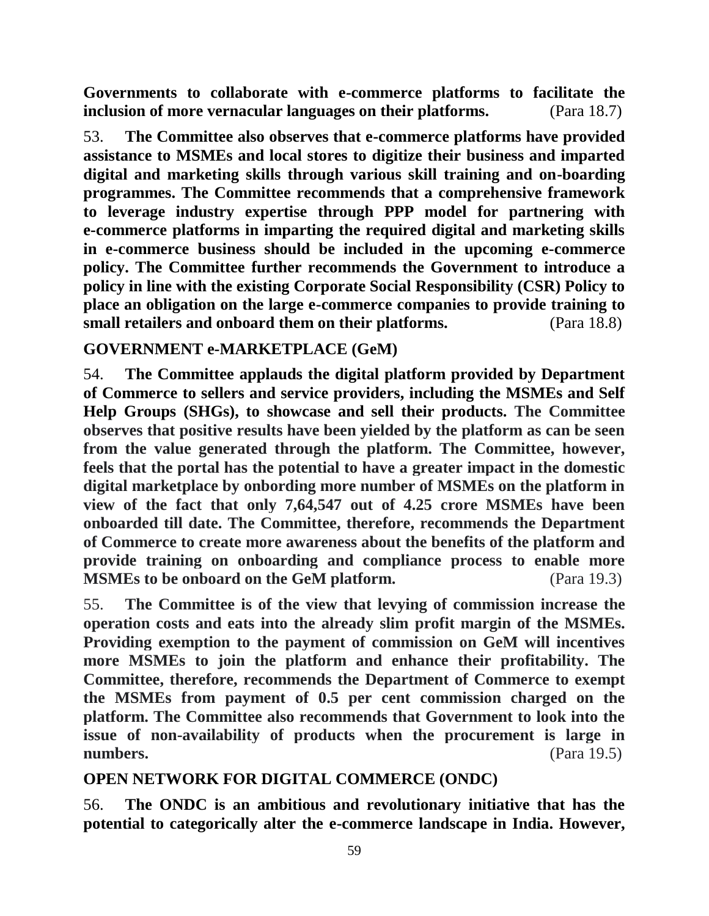**Governments to collaborate with e-commerce platforms to facilitate the inclusion of more vernacular languages on their platforms.** (Para 18.7)

53. **The Committee also observes that e-commerce platforms have provided assistance to MSMEs and local stores to digitize their business and imparted digital and marketing skills through various skill training and on-boarding programmes. The Committee recommends that a comprehensive framework to leverage industry expertise through PPP model for partnering with e-commerce platforms in imparting the required digital and marketing skills in e-commerce business should be included in the upcoming e-commerce policy. The Committee further recommends the Government to introduce a policy in line with the existing Corporate Social Responsibility (CSR) Policy to place an obligation on the large e-commerce companies to provide training to small retailers and onboard them on their platforms.** (Para 18.8)

### **GOVERNMENT e-MARKETPLACE (GeM)**

54. **The Committee applauds the digital platform provided by Department of Commerce to sellers and service providers, including the MSMEs and Self Help Groups (SHGs), to showcase and sell their products. The Committee observes that positive results have been yielded by the platform as can be seen from the value generated through the platform. The Committee, however, feels that the portal has the potential to have a greater impact in the domestic digital marketplace by onbording more number of MSMEs on the platform in view of the fact that only 7,64,547 out of 4.25 crore MSMEs have been onboarded till date. The Committee, therefore, recommends the Department of Commerce to create more awareness about the benefits of the platform and provide training on onboarding and compliance process to enable more MSMEs to be onboard on the GeM platform.** (Para 19.3)

55. **The Committee is of the view that levying of commission increase the operation costs and eats into the already slim profit margin of the MSMEs. Providing exemption to the payment of commission on GeM will incentives more MSMEs to join the platform and enhance their profitability. The Committee, therefore, recommends the Department of Commerce to exempt the MSMEs from payment of 0.5 per cent commission charged on the platform. The Committee also recommends that Government to look into the issue of non-availability of products when the procurement is large in numbers.** (Para 19.5)

# **OPEN NETWORK FOR DIGITAL COMMERCE (ONDC)**

56. **The ONDC is an ambitious and revolutionary initiative that has the potential to categorically alter the e-commerce landscape in India. However,**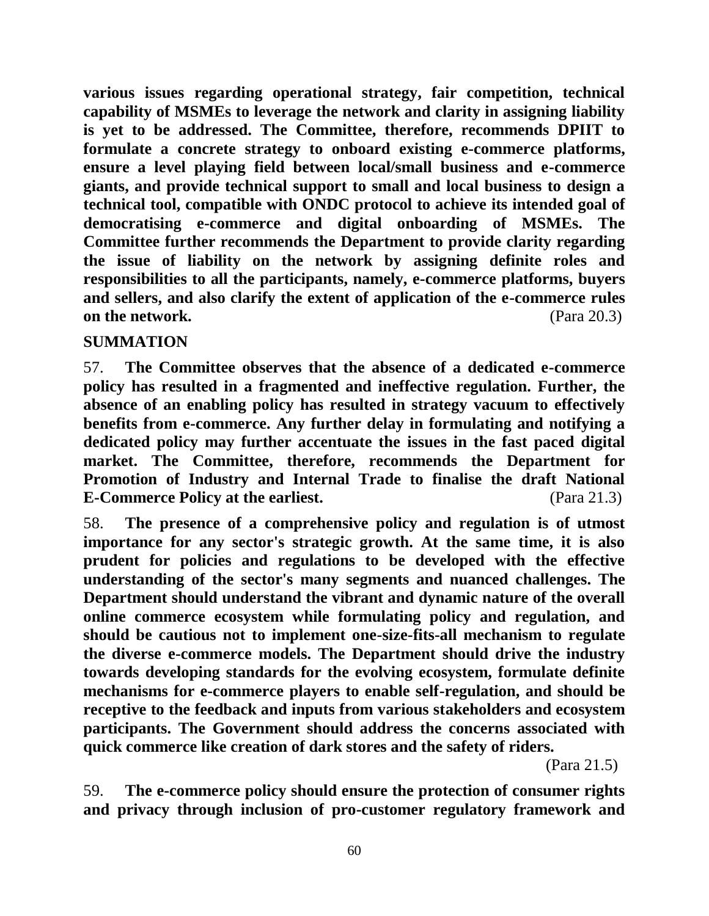**various issues regarding operational strategy, fair competition, technical capability of MSMEs to leverage the network and clarity in assigning liability is yet to be addressed. The Committee, therefore, recommends DPIIT to formulate a concrete strategy to onboard existing e-commerce platforms, ensure a level playing field between local/small business and e-commerce giants, and provide technical support to small and local business to design a technical tool, compatible with ONDC protocol to achieve its intended goal of democratising e-commerce and digital onboarding of MSMEs. The Committee further recommends the Department to provide clarity regarding the issue of liability on the network by assigning definite roles and responsibilities to all the participants, namely, e-commerce platforms, buyers and sellers, and also clarify the extent of application of the e-commerce rules on the network.** (Para 20.3)

### **SUMMATION**

57. **The Committee observes that the absence of a dedicated e-commerce policy has resulted in a fragmented and ineffective regulation. Further, the absence of an enabling policy has resulted in strategy vacuum to effectively benefits from e-commerce. Any further delay in formulating and notifying a dedicated policy may further accentuate the issues in the fast paced digital market. The Committee, therefore, recommends the Department for Promotion of Industry and Internal Trade to finalise the draft National E-Commerce Policy at the earliest.** (Para 21.3)

58. **The presence of a comprehensive policy and regulation is of utmost importance for any sector's strategic growth. At the same time, it is also prudent for policies and regulations to be developed with the effective understanding of the sector's many segments and nuanced challenges. The Department should understand the vibrant and dynamic nature of the overall online commerce ecosystem while formulating policy and regulation, and should be cautious not to implement one-size-fits-all mechanism to regulate the diverse e-commerce models. The Department should drive the industry towards developing standards for the evolving ecosystem, formulate definite mechanisms for e-commerce players to enable self-regulation, and should be receptive to the feedback and inputs from various stakeholders and ecosystem participants. The Government should address the concerns associated with quick commerce like creation of dark stores and the safety of riders.**

(Para 21.5)

59. **The e-commerce policy should ensure the protection of consumer rights and privacy through inclusion of pro-customer regulatory framework and**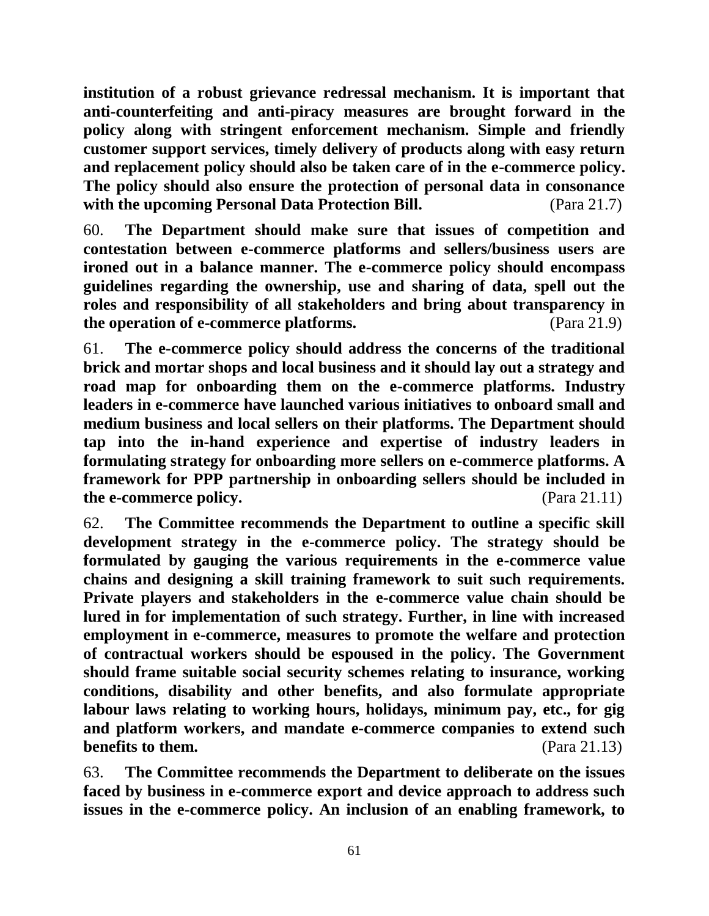**institution of a robust grievance redressal mechanism. It is important that anti-counterfeiting and anti-piracy measures are brought forward in the policy along with stringent enforcement mechanism. Simple and friendly customer support services, timely delivery of products along with easy return and replacement policy should also be taken care of in the e-commerce policy. The policy should also ensure the protection of personal data in consonance with the upcoming Personal Data Protection Bill.** (Para 21.7)

60. **The Department should make sure that issues of competition and contestation between e-commerce platforms and sellers/business users are ironed out in a balance manner. The e-commerce policy should encompass guidelines regarding the ownership, use and sharing of data, spell out the roles and responsibility of all stakeholders and bring about transparency in the operation of e-commerce platforms.** (Para 21.9)

61. **The e-commerce policy should address the concerns of the traditional brick and mortar shops and local business and it should lay out a strategy and road map for onboarding them on the e-commerce platforms. Industry leaders in e-commerce have launched various initiatives to onboard small and medium business and local sellers on their platforms. The Department should tap into the in-hand experience and expertise of industry leaders in formulating strategy for onboarding more sellers on e-commerce platforms. A framework for PPP partnership in onboarding sellers should be included in the e-commerce policy.** (Para 21.11)

62. **The Committee recommends the Department to outline a specific skill development strategy in the e-commerce policy. The strategy should be formulated by gauging the various requirements in the e-commerce value chains and designing a skill training framework to suit such requirements. Private players and stakeholders in the e-commerce value chain should be lured in for implementation of such strategy. Further, in line with increased employment in e-commerce, measures to promote the welfare and protection of contractual workers should be espoused in the policy. The Government should frame suitable social security schemes relating to insurance, working conditions, disability and other benefits, and also formulate appropriate labour laws relating to working hours, holidays, minimum pay, etc., for gig and platform workers, and mandate e-commerce companies to extend such benefits to them.** (Para 21.13)

63. **The Committee recommends the Department to deliberate on the issues faced by business in e-commerce export and device approach to address such issues in the e-commerce policy. An inclusion of an enabling framework, to**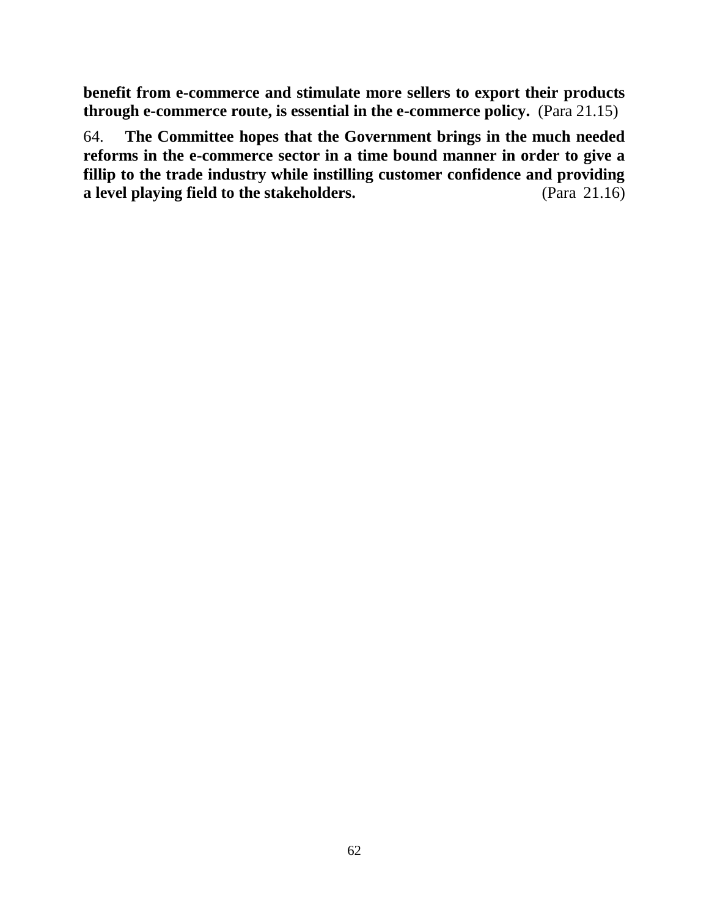**benefit from e-commerce and stimulate more sellers to export their products through e-commerce route, is essential in the e-commerce policy.** (Para 21.15)

64. **The Committee hopes that the Government brings in the much needed reforms in the e-commerce sector in a time bound manner in order to give a fillip to the trade industry while instilling customer confidence and providing a level playing field to the stakeholders.** (Para 21.16)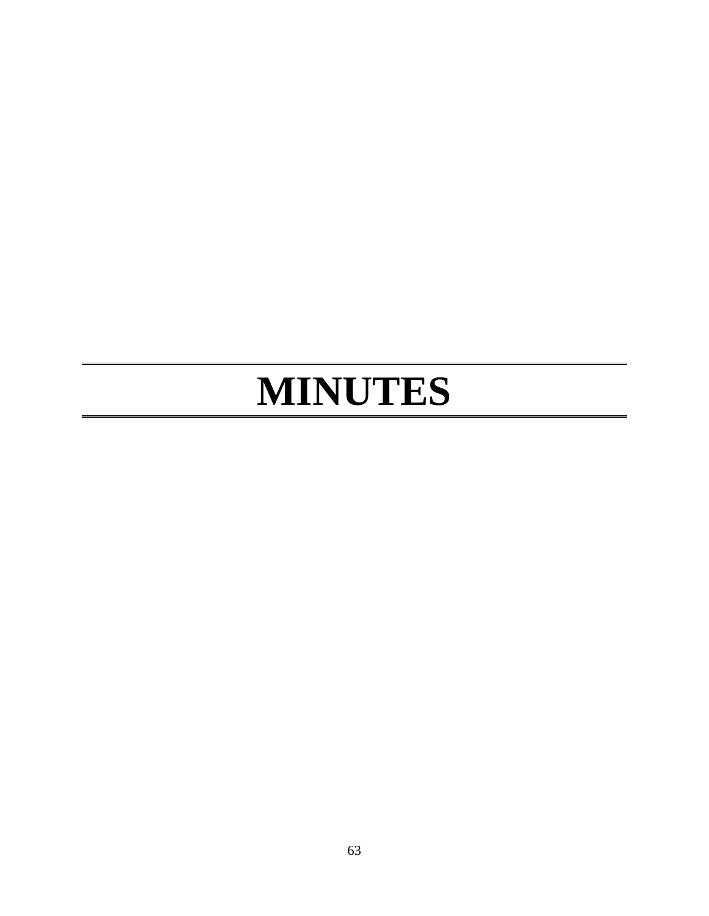# **MINUTES**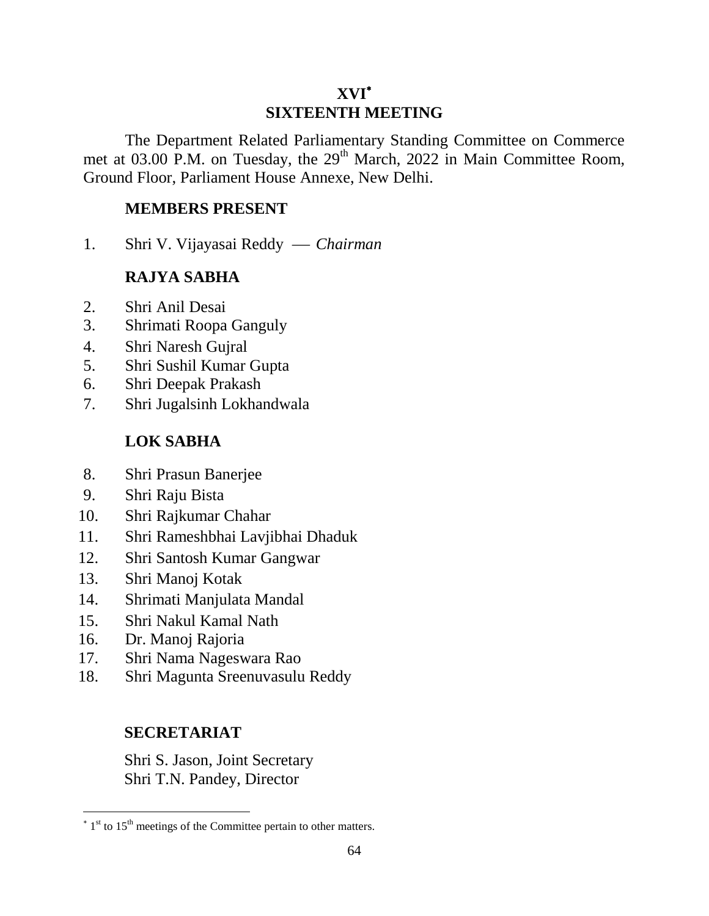# **XVI SIXTEENTH MEETING**

The Department Related Parliamentary Standing Committee on Commerce met at 03.00 P.M. on Tuesday, the 29<sup>th</sup> March, 2022 in Main Committee Room, Ground Floor, Parliament House Annexe, New Delhi.

### **MEMBERS PRESENT**

1. Shri V. Vijayasai Reddy  *Chairman*

# **RAJYA SABHA**

- 2. Shri Anil Desai
- 3. Shrimati Roopa Ganguly
- 4. Shri Naresh Gujral
- 5. Shri Sushil Kumar Gupta
- 6. Shri Deepak Prakash
- 7. Shri Jugalsinh Lokhandwala

# **LOK SABHA**

- 8. Shri Prasun Banerjee
- 9. Shri Raju Bista
- 10. Shri Rajkumar Chahar
- 11. Shri Rameshbhai Lavjibhai Dhaduk
- 12. Shri Santosh Kumar Gangwar
- 13. Shri Manoj Kotak
- 14. Shrimati Manjulata Mandal
- 15. Shri Nakul Kamal Nath
- 16. Dr. Manoj Rajoria

 $\overline{a}$ 

- 17. Shri Nama Nageswara Rao
- 18. Shri Magunta Sreenuvasulu Reddy

# **SECRETARIAT**

Shri S. Jason, Joint Secretary Shri T.N. Pandey, Director

 $*$  1<sup>st</sup> to 15<sup>th</sup> meetings of the Committee pertain to other matters.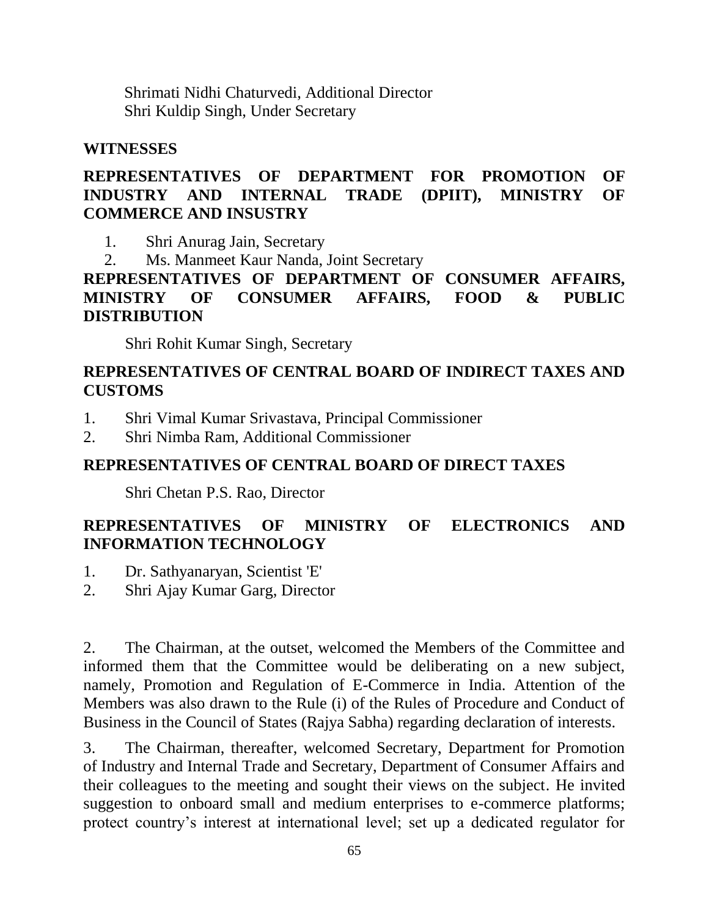Shrimati Nidhi Chaturvedi, Additional Director Shri Kuldip Singh, Under Secretary

#### **WITNESSES**

#### **REPRESENTATIVES OF DEPARTMENT FOR PROMOTION OF INDUSTRY AND INTERNAL TRADE (DPIIT), MINISTRY OF COMMERCE AND INSUSTRY**

1. Shri Anurag Jain, Secretary

2. Ms. Manmeet Kaur Nanda, Joint Secretary

**REPRESENTATIVES OF DEPARTMENT OF CONSUMER AFFAIRS, MINISTRY OF CONSUMER AFFAIRS, FOOD & PUBLIC DISTRIBUTION**

Shri Rohit Kumar Singh, Secretary

#### **REPRESENTATIVES OF CENTRAL BOARD OF INDIRECT TAXES AND CUSTOMS**

- 1. Shri Vimal Kumar Srivastava, Principal Commissioner
- 2. Shri Nimba Ram, Additional Commissioner

## **REPRESENTATIVES OF CENTRAL BOARD OF DIRECT TAXES**

Shri Chetan P.S. Rao, Director

# **REPRESENTATIVES OF MINISTRY OF ELECTRONICS AND INFORMATION TECHNOLOGY**

- 1. Dr. Sathyanaryan, Scientist 'E'
- 2. Shri Ajay Kumar Garg, Director

2. The Chairman, at the outset, welcomed the Members of the Committee and informed them that the Committee would be deliberating on a new subject, namely, Promotion and Regulation of E-Commerce in India. Attention of the Members was also drawn to the Rule (i) of the Rules of Procedure and Conduct of Business in the Council of States (Rajya Sabha) regarding declaration of interests.

3. The Chairman, thereafter, welcomed Secretary, Department for Promotion of Industry and Internal Trade and Secretary, Department of Consumer Affairs and their colleagues to the meeting and sought their views on the subject. He invited suggestion to onboard small and medium enterprises to e-commerce platforms; protect country's interest at international level; set up a dedicated regulator for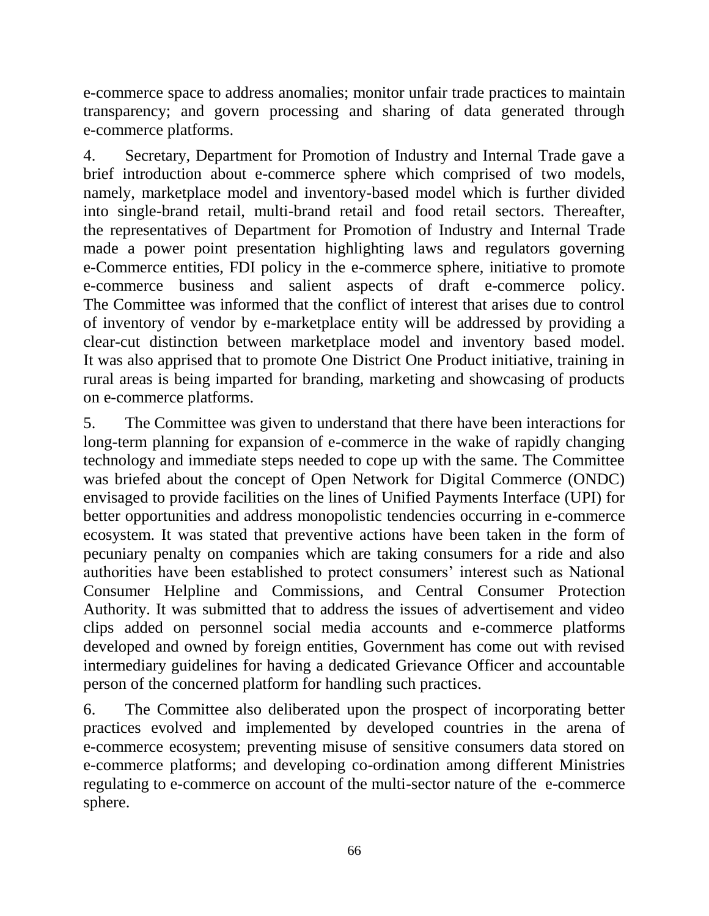e-commerce space to address anomalies; monitor unfair trade practices to maintain transparency; and govern processing and sharing of data generated through e-commerce platforms.

4. Secretary, Department for Promotion of Industry and Internal Trade gave a brief introduction about e-commerce sphere which comprised of two models, namely, marketplace model and inventory-based model which is further divided into single-brand retail, multi-brand retail and food retail sectors. Thereafter, the representatives of Department for Promotion of Industry and Internal Trade made a power point presentation highlighting laws and regulators governing e-Commerce entities, FDI policy in the e-commerce sphere, initiative to promote e-commerce business and salient aspects of draft e-commerce policy. The Committee was informed that the conflict of interest that arises due to control of inventory of vendor by e-marketplace entity will be addressed by providing a clear-cut distinction between marketplace model and inventory based model. It was also apprised that to promote One District One Product initiative, training in rural areas is being imparted for branding, marketing and showcasing of products on e-commerce platforms.

5. The Committee was given to understand that there have been interactions for long-term planning for expansion of e-commerce in the wake of rapidly changing technology and immediate steps needed to cope up with the same. The Committee was briefed about the concept of Open Network for Digital Commerce (ONDC) envisaged to provide facilities on the lines of Unified Payments Interface (UPI) for better opportunities and address monopolistic tendencies occurring in e-commerce ecosystem. It was stated that preventive actions have been taken in the form of pecuniary penalty on companies which are taking consumers for a ride and also authorities have been established to protect consumers' interest such as National Consumer Helpline and Commissions, and Central Consumer Protection Authority. It was submitted that to address the issues of advertisement and video clips added on personnel social media accounts and e-commerce platforms developed and owned by foreign entities, Government has come out with revised intermediary guidelines for having a dedicated Grievance Officer and accountable person of the concerned platform for handling such practices.

6. The Committee also deliberated upon the prospect of incorporating better practices evolved and implemented by developed countries in the arena of e-commerce ecosystem; preventing misuse of sensitive consumers data stored on e-commerce platforms; and developing co-ordination among different Ministries regulating to e-commerce on account of the multi-sector nature of the e-commerce sphere.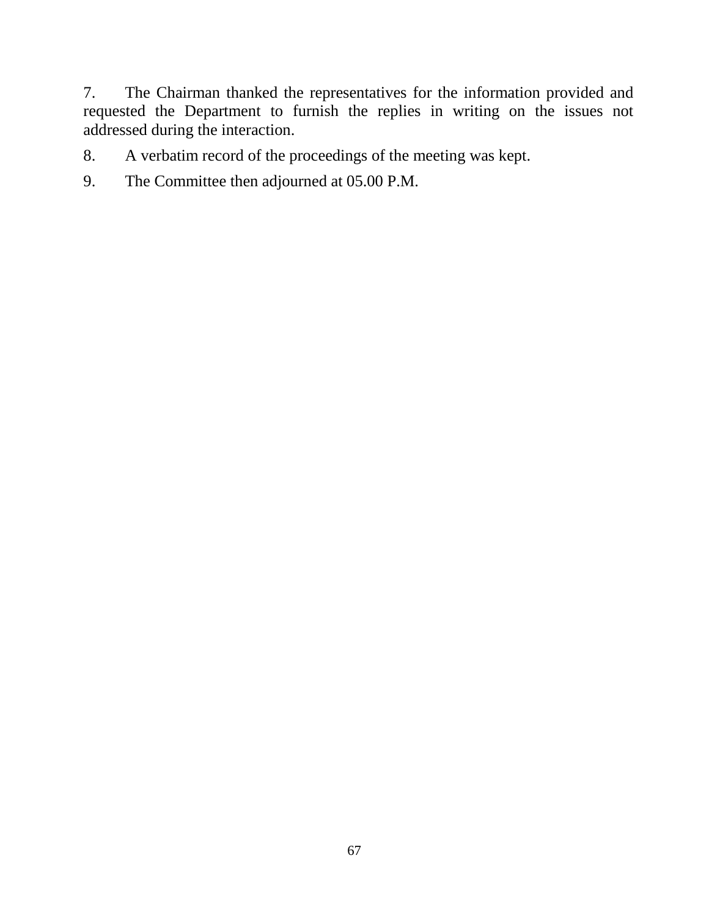7. The Chairman thanked the representatives for the information provided and requested the Department to furnish the replies in writing on the issues not addressed during the interaction.

- 8. A verbatim record of the proceedings of the meeting was kept.
- 9. The Committee then adjourned at 05.00 P.M.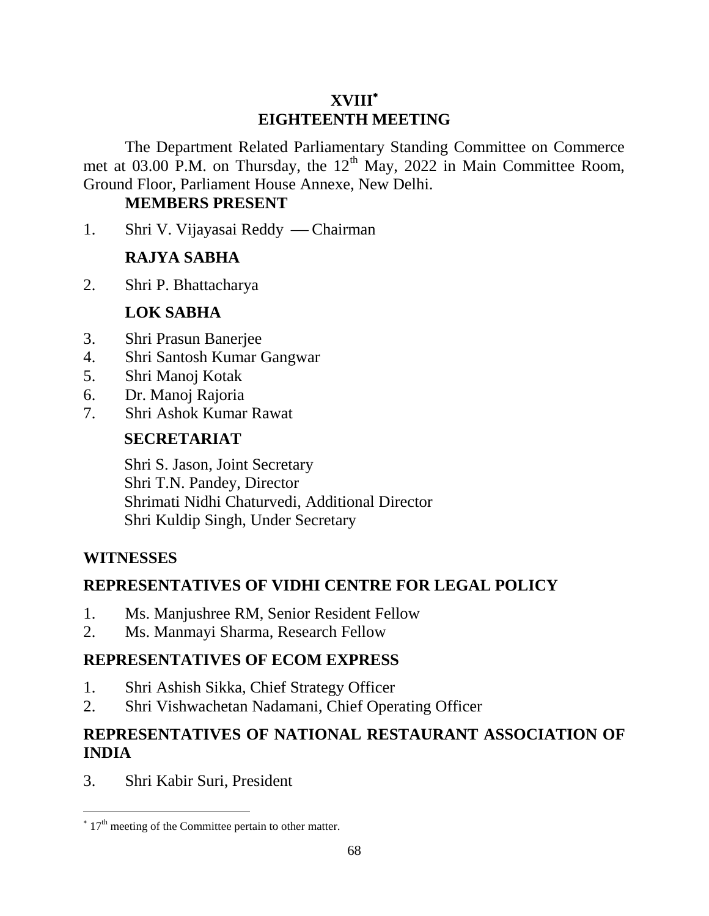# **XVIII EIGHTEENTH MEETING**

The Department Related Parliamentary Standing Committee on Commerce met at 03.00 P.M. on Thursday, the  $12<sup>th</sup>$  May, 2022 in Main Committee Room, Ground Floor, Parliament House Annexe, New Delhi.

#### **MEMBERS PRESENT**

1. Shri V. Vijayasai Reddy — Chairman

## **RAJYA SABHA**

2. Shri P. Bhattacharya

#### **LOK SABHA**

- 3. Shri Prasun Banerjee
- 4. Shri Santosh Kumar Gangwar
- 5. Shri Manoj Kotak
- 6. Dr. Manoj Rajoria
- 7. Shri Ashok Kumar Rawat

#### **SECRETARIAT**

Shri S. Jason, Joint Secretary Shri T.N. Pandey, Director Shrimati Nidhi Chaturvedi, Additional Director Shri Kuldip Singh, Under Secretary

#### **WITNESSES**

 $\overline{a}$ 

## **REPRESENTATIVES OF VIDHI CENTRE FOR LEGAL POLICY**

- 1. Ms. Manjushree RM, Senior Resident Fellow
- 2. Ms. Manmayi Sharma, Research Fellow

## **REPRESENTATIVES OF ECOM EXPRESS**

- 1. Shri Ashish Sikka, Chief Strategy Officer
- 2. Shri Vishwachetan Nadamani, Chief Operating Officer

# **REPRESENTATIVES OF NATIONAL RESTAURANT ASSOCIATION OF INDIA**

3. Shri Kabir Suri, President

 $*$  17<sup>th</sup> meeting of the Committee pertain to other matter.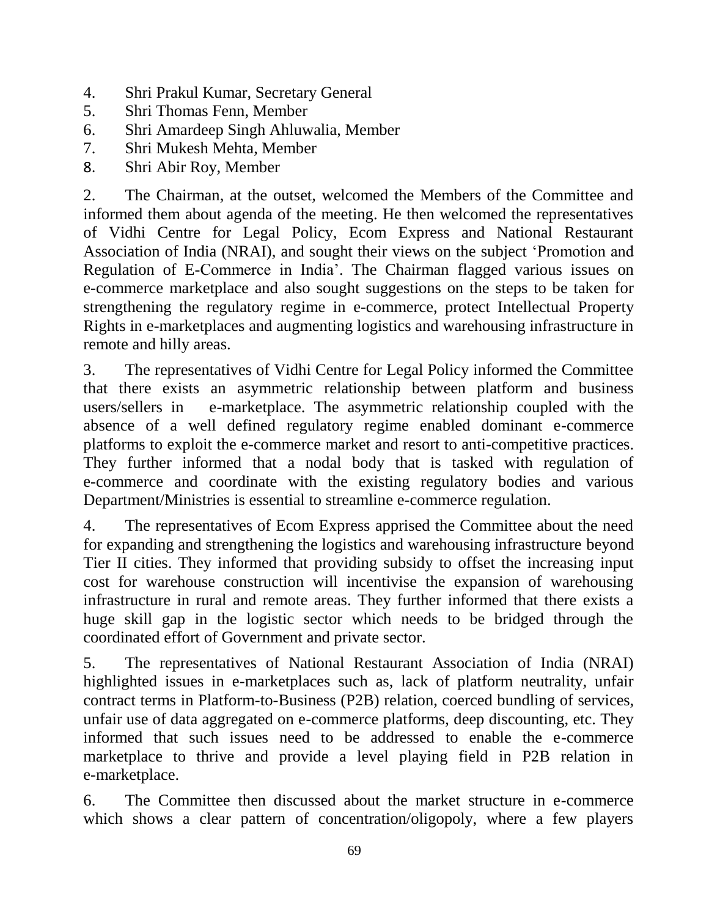- 4. Shri Prakul Kumar, Secretary General
- 5. Shri Thomas Fenn, Member
- 6. Shri Amardeep Singh Ahluwalia, Member
- 7. Shri Mukesh Mehta, Member
- 8. Shri Abir Roy, Member

2. The Chairman, at the outset, welcomed the Members of the Committee and informed them about agenda of the meeting. He then welcomed the representatives of Vidhi Centre for Legal Policy, Ecom Express and National Restaurant Association of India (NRAI), and sought their views on the subject 'Promotion and Regulation of E-Commerce in India'. The Chairman flagged various issues on e-commerce marketplace and also sought suggestions on the steps to be taken for strengthening the regulatory regime in e-commerce, protect Intellectual Property Rights in e-marketplaces and augmenting logistics and warehousing infrastructure in remote and hilly areas.

3. The representatives of Vidhi Centre for Legal Policy informed the Committee that there exists an asymmetric relationship between platform and business users/sellers in e-marketplace. The asymmetric relationship coupled with the absence of a well defined regulatory regime enabled dominant e-commerce platforms to exploit the e-commerce market and resort to anti-competitive practices. They further informed that a nodal body that is tasked with regulation of e-commerce and coordinate with the existing regulatory bodies and various Department/Ministries is essential to streamline e-commerce regulation.

4. The representatives of Ecom Express apprised the Committee about the need for expanding and strengthening the logistics and warehousing infrastructure beyond Tier II cities. They informed that providing subsidy to offset the increasing input cost for warehouse construction will incentivise the expansion of warehousing infrastructure in rural and remote areas. They further informed that there exists a huge skill gap in the logistic sector which needs to be bridged through the coordinated effort of Government and private sector.

5. The representatives of National Restaurant Association of India (NRAI) highlighted issues in e-marketplaces such as, lack of platform neutrality, unfair contract terms in Platform-to-Business (P2B) relation, coerced bundling of services, unfair use of data aggregated on e-commerce platforms, deep discounting, etc. They informed that such issues need to be addressed to enable the e-commerce marketplace to thrive and provide a level playing field in P2B relation in e-marketplace.

6. The Committee then discussed about the market structure in e-commerce which shows a clear pattern of concentration/oligopoly, where a few players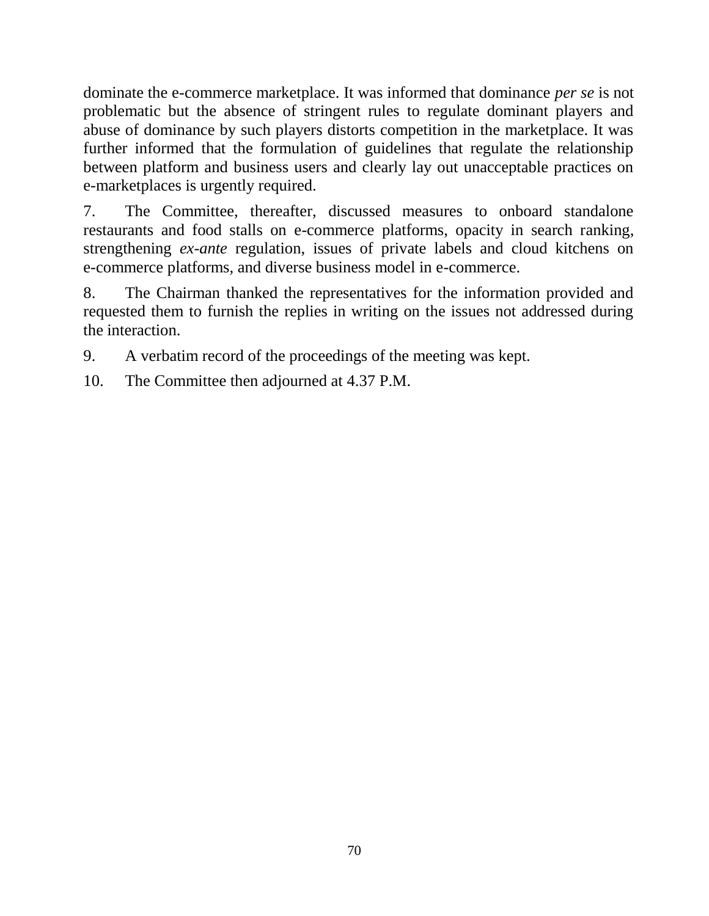dominate the e-commerce marketplace. It was informed that dominance *per se* is not problematic but the absence of stringent rules to regulate dominant players and abuse of dominance by such players distorts competition in the marketplace. It was further informed that the formulation of guidelines that regulate the relationship between platform and business users and clearly lay out unacceptable practices on e-marketplaces is urgently required.

7. The Committee, thereafter, discussed measures to onboard standalone restaurants and food stalls on e-commerce platforms, opacity in search ranking, strengthening *ex-ante* regulation, issues of private labels and cloud kitchens on e-commerce platforms, and diverse business model in e-commerce.

8. The Chairman thanked the representatives for the information provided and requested them to furnish the replies in writing on the issues not addressed during the interaction.

9. A verbatim record of the proceedings of the meeting was kept.

10. The Committee then adjourned at 4.37 P.M.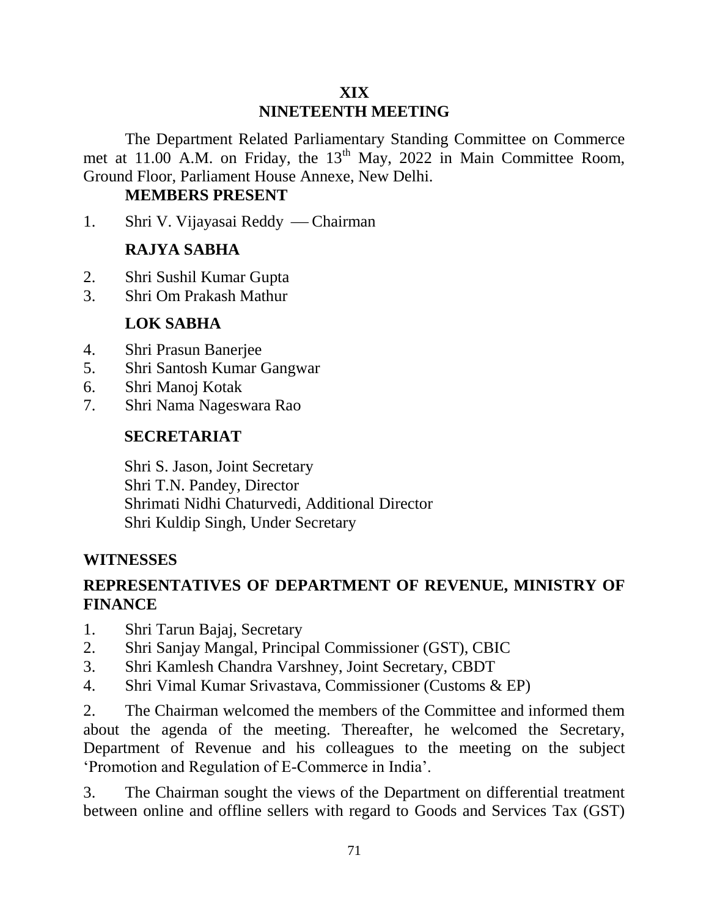### **XIX NINETEENTH MEETING**

The Department Related Parliamentary Standing Committee on Commerce met at 11.00 A.M. on Friday, the 13<sup>th</sup> May, 2022 in Main Committee Room, Ground Floor, Parliament House Annexe, New Delhi.

# **MEMBERS PRESENT**

1. Shri V. Vijayasai Reddy — Chairman

# **RAJYA SABHA**

- 2. Shri Sushil Kumar Gupta
- 3. Shri Om Prakash Mathur

## **LOK SABHA**

- 4. Shri Prasun Banerjee
- 5. Shri Santosh Kumar Gangwar
- 6. Shri Manoj Kotak
- 7. Shri Nama Nageswara Rao

#### **SECRETARIAT**

Shri S. Jason, Joint Secretary Shri T.N. Pandey, Director Shrimati Nidhi Chaturvedi, Additional Director Shri Kuldip Singh, Under Secretary

## **WITNESSES**

# **REPRESENTATIVES OF DEPARTMENT OF REVENUE, MINISTRY OF FINANCE**

- 1. Shri Tarun Bajaj, Secretary
- 2. Shri Sanjay Mangal, Principal Commissioner (GST), CBIC
- 3. Shri Kamlesh Chandra Varshney, Joint Secretary, CBDT
- 4. Shri Vimal Kumar Srivastava, Commissioner (Customs & EP)

2. The Chairman welcomed the members of the Committee and informed them about the agenda of the meeting. Thereafter, he welcomed the Secretary, Department of Revenue and his colleagues to the meeting on the subject 'Promotion and Regulation of E-Commerce in India'.

3. The Chairman sought the views of the Department on differential treatment between online and offline sellers with regard to Goods and Services Tax (GST)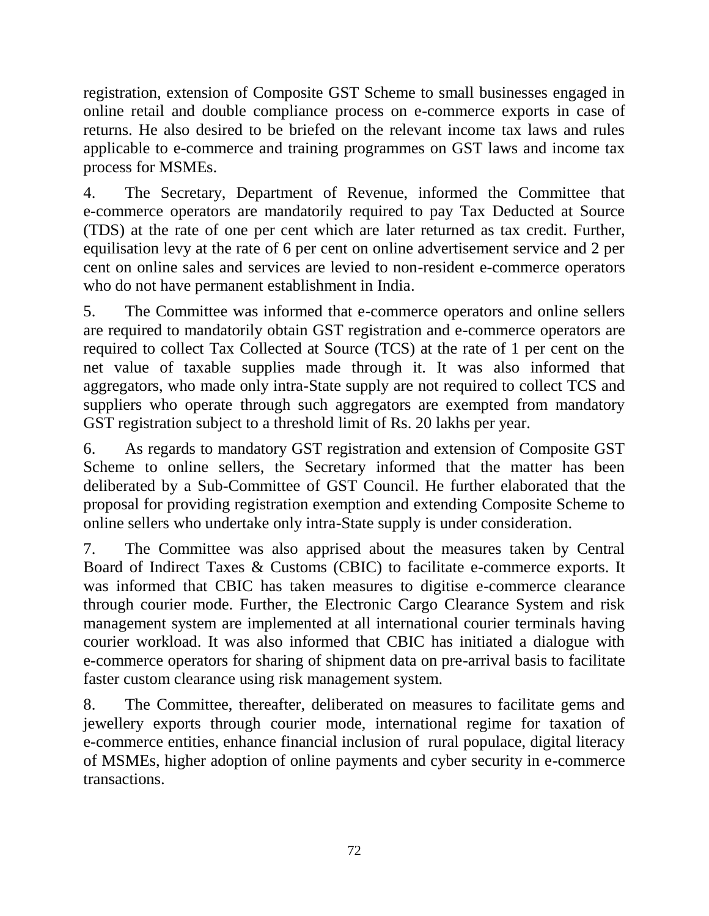registration, extension of Composite GST Scheme to small businesses engaged in online retail and double compliance process on e-commerce exports in case of returns. He also desired to be briefed on the relevant income tax laws and rules applicable to e-commerce and training programmes on GST laws and income tax process for MSMEs.

4. The Secretary, Department of Revenue, informed the Committee that e-commerce operators are mandatorily required to pay Tax Deducted at Source (TDS) at the rate of one per cent which are later returned as tax credit. Further, equilisation levy at the rate of 6 per cent on online advertisement service and 2 per cent on online sales and services are levied to non-resident e-commerce operators who do not have permanent establishment in India.

5. The Committee was informed that e-commerce operators and online sellers are required to mandatorily obtain GST registration and e-commerce operators are required to collect Tax Collected at Source (TCS) at the rate of 1 per cent on the net value of taxable supplies made through it. It was also informed that aggregators, who made only intra-State supply are not required to collect TCS and suppliers who operate through such aggregators are exempted from mandatory GST registration subject to a threshold limit of Rs. 20 lakhs per year.

6. As regards to mandatory GST registration and extension of Composite GST Scheme to online sellers, the Secretary informed that the matter has been deliberated by a Sub-Committee of GST Council. He further elaborated that the proposal for providing registration exemption and extending Composite Scheme to online sellers who undertake only intra-State supply is under consideration.

7. The Committee was also apprised about the measures taken by Central Board of Indirect Taxes & Customs (CBIC) to facilitate e-commerce exports. It was informed that CBIC has taken measures to digitise e-commerce clearance through courier mode. Further, the Electronic Cargo Clearance System and risk management system are implemented at all international courier terminals having courier workload. It was also informed that CBIC has initiated a dialogue with e-commerce operators for sharing of shipment data on pre-arrival basis to facilitate faster custom clearance using risk management system.

8. The Committee, thereafter, deliberated on measures to facilitate gems and jewellery exports through courier mode, international regime for taxation of e-commerce entities, enhance financial inclusion of rural populace, digital literacy of MSMEs, higher adoption of online payments and cyber security in e-commerce transactions.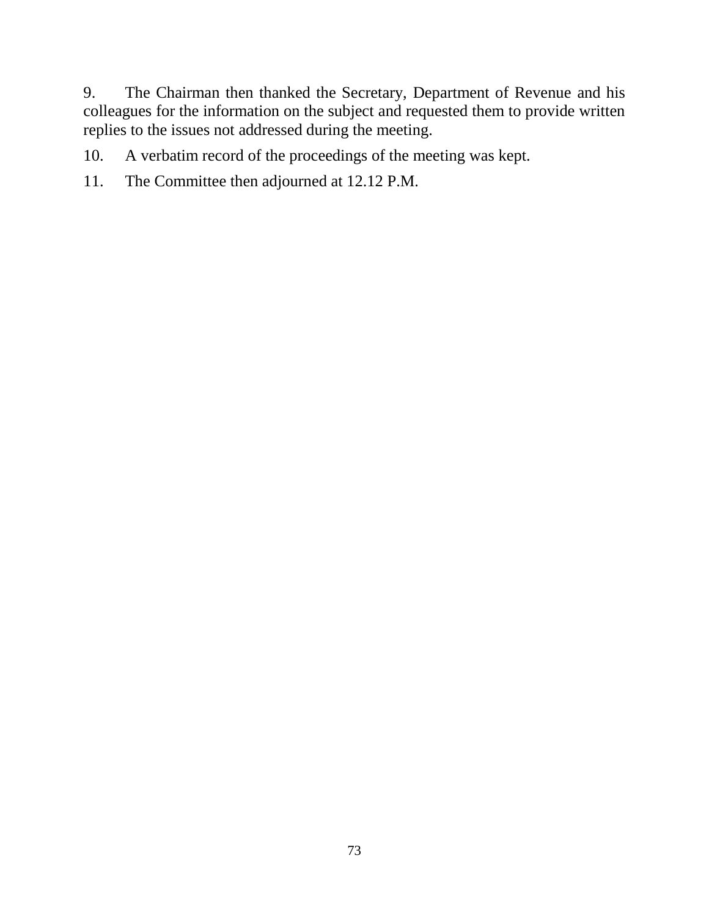9. The Chairman then thanked the Secretary, Department of Revenue and his colleagues for the information on the subject and requested them to provide written replies to the issues not addressed during the meeting.

10. A verbatim record of the proceedings of the meeting was kept.

11. The Committee then adjourned at 12.12 P.M.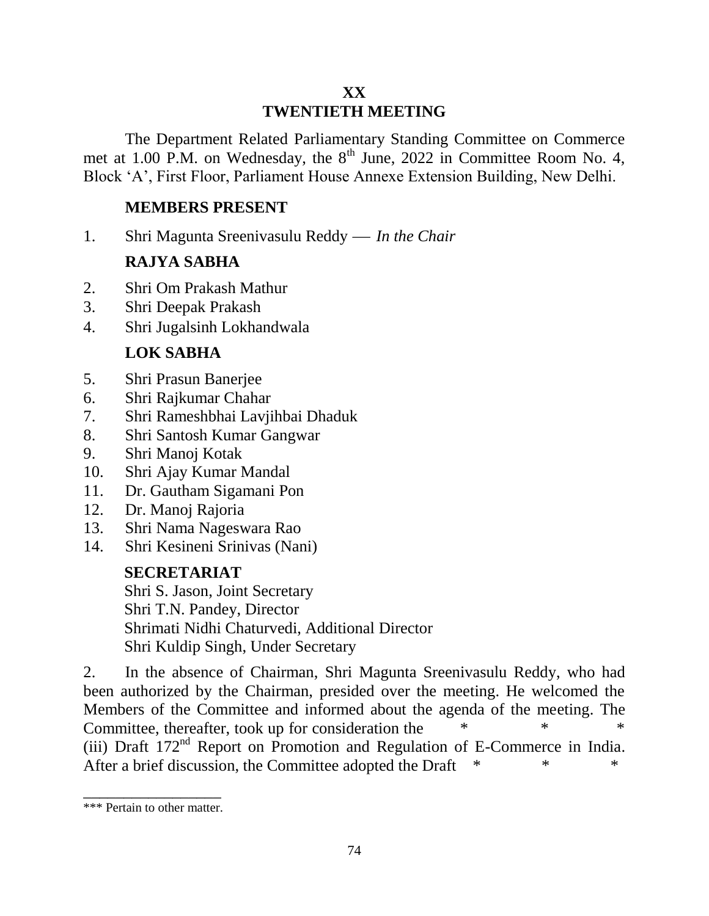# **XX TWENTIETH MEETING**

The Department Related Parliamentary Standing Committee on Commerce met at 1.00 P.M. on Wednesday, the 8<sup>th</sup> June, 2022 in Committee Room No. 4, Block 'A', First Floor, Parliament House Annexe Extension Building, New Delhi.

#### **MEMBERS PRESENT**

1. Shri Magunta Sreenivasulu Reddy — *In the Chair* 

## **RAJYA SABHA**

- 2. Shri Om Prakash Mathur
- 3. Shri Deepak Prakash
- 4. Shri Jugalsinh Lokhandwala

## **LOK SABHA**

- 5. Shri Prasun Banerjee
- 6. Shri Rajkumar Chahar
- 7. Shri Rameshbhai Lavjihbai Dhaduk
- 8. Shri Santosh Kumar Gangwar
- 9. Shri Manoj Kotak
- 10. Shri Ajay Kumar Mandal
- 11. Dr. Gautham Sigamani Pon
- 12. Dr. Manoj Rajoria
- 13. Shri Nama Nageswara Rao
- 14. Shri Kesineni Srinivas (Nani)

## **SECRETARIAT**

Shri S. Jason, Joint Secretary Shri T.N. Pandey, Director Shrimati Nidhi Chaturvedi, Additional Director Shri Kuldip Singh, Under Secretary

2. In the absence of Chairman, Shri Magunta Sreenivasulu Reddy, who had been authorized by the Chairman, presided over the meeting. He welcomed the Members of the Committee and informed about the agenda of the meeting. The Committee, thereafter, took up for consideration the (iii) Draft 172nd Report on Promotion and Regulation of E-Commerce in India. After a brief discussion, the Committee adopted the Draft \*

\_\_\_\_\_\_\_\_\_\_\_\_\_\_\_\_\_ \*\*\* Pertain to other matter.